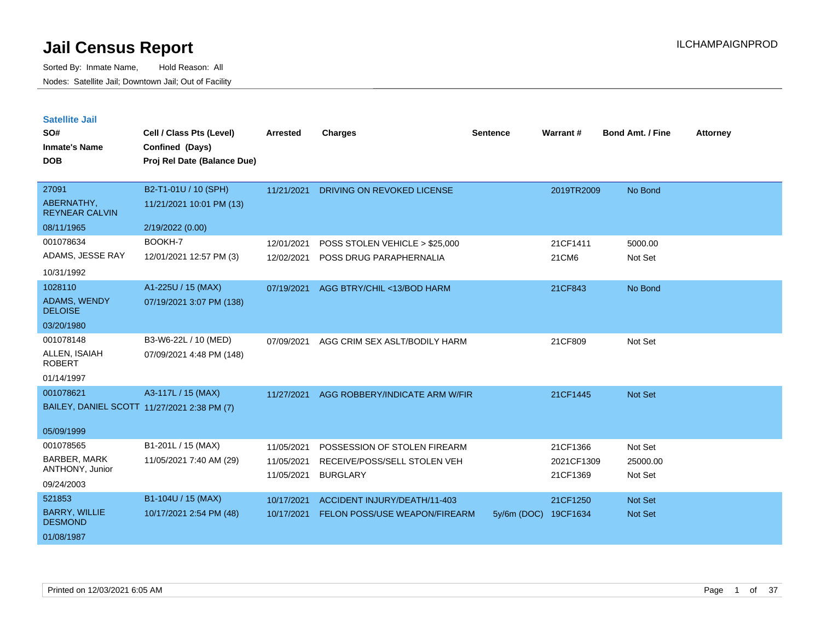| <b>Satellite Jail</b> |  |
|-----------------------|--|
|                       |  |

| SO#<br><b>Inmate's Name</b><br><b>DOB</b>                              | Cell / Class Pts (Level)<br>Confined (Days)<br>Proj Rel Date (Balance Due) | <b>Arrested</b>                        | <b>Charges</b>                                                                  | <b>Sentence</b> | Warrant#                           | <b>Bond Amt. / Fine</b>        | <b>Attorney</b> |
|------------------------------------------------------------------------|----------------------------------------------------------------------------|----------------------------------------|---------------------------------------------------------------------------------|-----------------|------------------------------------|--------------------------------|-----------------|
| 27091<br>ABERNATHY,<br><b>REYNEAR CALVIN</b><br>08/11/1965             | B2-T1-01U / 10 (SPH)<br>11/21/2021 10:01 PM (13)                           | 11/21/2021                             | <b>DRIVING ON REVOKED LICENSE</b>                                               |                 | 2019TR2009                         | No Bond                        |                 |
| 001078634<br>ADAMS, JESSE RAY<br>10/31/1992                            | 2/19/2022 (0.00)<br>BOOKH-7<br>12/01/2021 12:57 PM (3)                     | 12/01/2021<br>12/02/2021               | POSS STOLEN VEHICLE > \$25,000<br>POSS DRUG PARAPHERNALIA                       |                 | 21CF1411<br>21CM6                  | 5000.00<br>Not Set             |                 |
| 1028110<br><b>ADAMS, WENDY</b><br><b>DELOISE</b><br>03/20/1980         | A1-225U / 15 (MAX)<br>07/19/2021 3:07 PM (138)                             | 07/19/2021                             | AGG BTRY/CHIL <13/BOD HARM                                                      |                 | 21CF843                            | No Bond                        |                 |
| 001078148<br>ALLEN, ISAIAH<br><b>ROBERT</b><br>01/14/1997              | B3-W6-22L / 10 (MED)<br>07/09/2021 4:48 PM (148)                           | 07/09/2021                             | AGG CRIM SEX ASLT/BODILY HARM                                                   |                 | 21CF809                            | Not Set                        |                 |
| 001078621<br>BAILEY, DANIEL SCOTT 11/27/2021 2:38 PM (7)<br>05/09/1999 | A3-117L / 15 (MAX)                                                         | 11/27/2021                             | AGG ROBBERY/INDICATE ARM W/FIR                                                  |                 | 21CF1445                           | Not Set                        |                 |
| 001078565<br><b>BARBER, MARK</b><br>ANTHONY, Junior<br>09/24/2003      | B1-201L / 15 (MAX)<br>11/05/2021 7:40 AM (29)                              | 11/05/2021<br>11/05/2021<br>11/05/2021 | POSSESSION OF STOLEN FIREARM<br>RECEIVE/POSS/SELL STOLEN VEH<br><b>BURGLARY</b> |                 | 21CF1366<br>2021CF1309<br>21CF1369 | Not Set<br>25000.00<br>Not Set |                 |
| 521853<br><b>BARRY, WILLIE</b><br><b>DESMOND</b><br>01/08/1987         | B1-104U / 15 (MAX)<br>10/17/2021 2:54 PM (48)                              | 10/17/2021<br>10/17/2021               | ACCIDENT INJURY/DEATH/11-403<br>FELON POSS/USE WEAPON/FIREARM                   | 5y/6m (DOC)     | 21CF1250<br>19CF1634               | <b>Not Set</b><br>Not Set      |                 |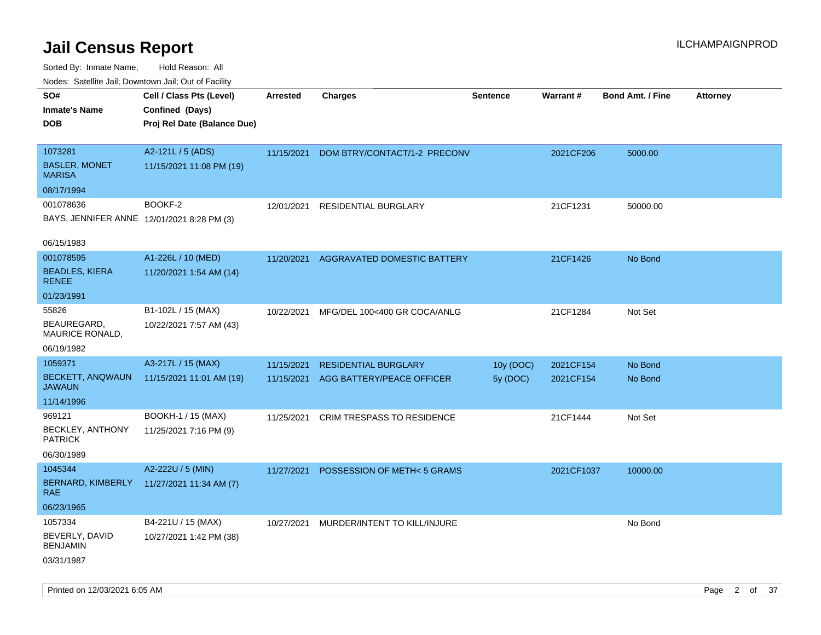Sorted By: Inmate Name, Hold Reason: All Nodes: Satellite Jail; Downtown Jail; Out of Facility

| ivouss. Satellite Jali, Downtown Jali, Out of Facility |                             |                 |                                   |                 |            |                         |                 |
|--------------------------------------------------------|-----------------------------|-----------------|-----------------------------------|-----------------|------------|-------------------------|-----------------|
| SO#                                                    | Cell / Class Pts (Level)    | <b>Arrested</b> | <b>Charges</b>                    | <b>Sentence</b> | Warrant#   | <b>Bond Amt. / Fine</b> | <b>Attorney</b> |
| Inmate's Name                                          | Confined (Days)             |                 |                                   |                 |            |                         |                 |
| DOB                                                    | Proj Rel Date (Balance Due) |                 |                                   |                 |            |                         |                 |
|                                                        |                             |                 |                                   |                 |            |                         |                 |
| 1073281                                                | A2-121L / 5 (ADS)           | 11/15/2021      | DOM BTRY/CONTACT/1-2 PRECONV      |                 | 2021CF206  | 5000.00                 |                 |
| <b>BASLER, MONET</b><br><b>MARISA</b>                  | 11/15/2021 11:08 PM (19)    |                 |                                   |                 |            |                         |                 |
| 08/17/1994                                             |                             |                 |                                   |                 |            |                         |                 |
| 001078636                                              | BOOKF-2                     | 12/01/2021      | <b>RESIDENTIAL BURGLARY</b>       |                 | 21CF1231   | 50000.00                |                 |
| BAYS, JENNIFER ANNE 12/01/2021 8:28 PM (3)             |                             |                 |                                   |                 |            |                         |                 |
|                                                        |                             |                 |                                   |                 |            |                         |                 |
| 06/15/1983                                             |                             |                 |                                   |                 |            |                         |                 |
| 001078595                                              | A1-226L / 10 (MED)          | 11/20/2021      | AGGRAVATED DOMESTIC BATTERY       |                 | 21CF1426   | No Bond                 |                 |
| <b>BEADLES, KIERA</b><br>RENEE                         | 11/20/2021 1:54 AM (14)     |                 |                                   |                 |            |                         |                 |
| 01/23/1991                                             |                             |                 |                                   |                 |            |                         |                 |
| 55826                                                  | B1-102L / 15 (MAX)          | 10/22/2021      | MFG/DEL 100<400 GR COCA/ANLG      |                 | 21CF1284   | Not Set                 |                 |
| BEAUREGARD,<br>MAURICE RONALD,                         | 10/22/2021 7:57 AM (43)     |                 |                                   |                 |            |                         |                 |
| 06/19/1982                                             |                             |                 |                                   |                 |            |                         |                 |
| 1059371                                                | A3-217L / 15 (MAX)          | 11/15/2021      | <b>RESIDENTIAL BURGLARY</b>       | 10y (DOC)       | 2021CF154  | No Bond                 |                 |
| <b>BECKETT, ANQWAUN</b><br>JAWAUN                      | 11/15/2021 11:01 AM (19)    | 11/15/2021      | AGG BATTERY/PEACE OFFICER         | 5y (DOC)        | 2021CF154  | No Bond                 |                 |
| 11/14/1996                                             |                             |                 |                                   |                 |            |                         |                 |
| 969121                                                 | BOOKH-1 / 15 (MAX)          | 11/25/2021      | <b>CRIM TRESPASS TO RESIDENCE</b> |                 | 21CF1444   | Not Set                 |                 |
| <b>BECKLEY, ANTHONY</b><br><b>PATRICK</b>              | 11/25/2021 7:16 PM (9)      |                 |                                   |                 |            |                         |                 |
| 06/30/1989                                             |                             |                 |                                   |                 |            |                         |                 |
| 1045344                                                | A2-222U / 5 (MIN)           | 11/27/2021      | POSSESSION OF METH<5 GRAMS        |                 | 2021CF1037 | 10000.00                |                 |
| <b>BERNARD, KIMBERLY</b><br>RAE.                       | 11/27/2021 11:34 AM (7)     |                 |                                   |                 |            |                         |                 |
| 06/23/1965                                             |                             |                 |                                   |                 |            |                         |                 |
| 1057334                                                | B4-221U / 15 (MAX)          | 10/27/2021      | MURDER/INTENT TO KILL/INJURE      |                 |            | No Bond                 |                 |
| BEVERLY, DAVID<br><b>BENJAMIN</b>                      | 10/27/2021 1:42 PM (38)     |                 |                                   |                 |            |                         |                 |
| 03/31/1987                                             |                             |                 |                                   |                 |            |                         |                 |

Printed on 12/03/2021 6:05 AM Page 2 of 37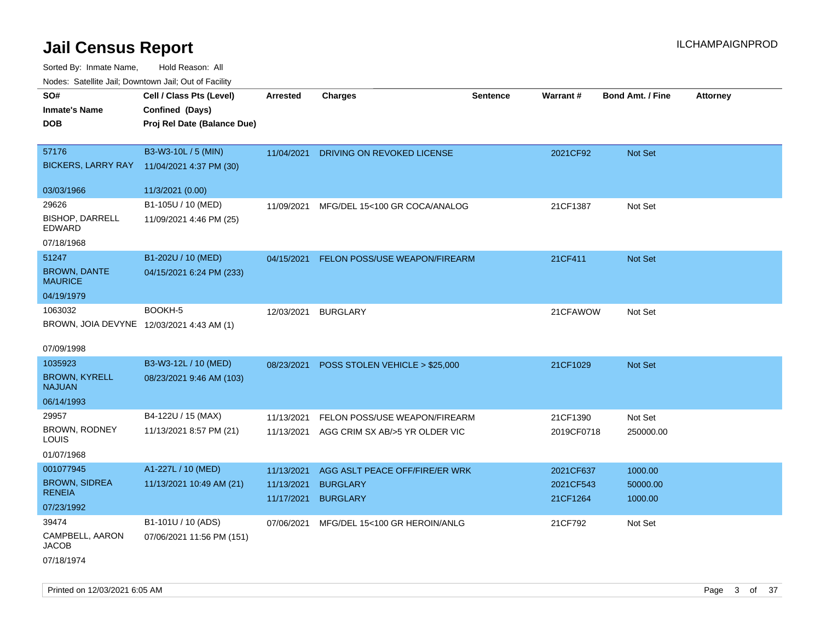| ivouss. Saleling Jali, Downtown Jali, Out of Facility |                             |                 |                                           |                 |            |                         |                 |
|-------------------------------------------------------|-----------------------------|-----------------|-------------------------------------------|-----------------|------------|-------------------------|-----------------|
| SO#                                                   | Cell / Class Pts (Level)    | <b>Arrested</b> | <b>Charges</b>                            | <b>Sentence</b> | Warrant#   | <b>Bond Amt. / Fine</b> | <b>Attorney</b> |
| <b>Inmate's Name</b>                                  | Confined (Days)             |                 |                                           |                 |            |                         |                 |
| <b>DOB</b>                                            | Proj Rel Date (Balance Due) |                 |                                           |                 |            |                         |                 |
|                                                       |                             |                 |                                           |                 |            |                         |                 |
| 57176                                                 | B3-W3-10L / 5 (MIN)         | 11/04/2021      | DRIVING ON REVOKED LICENSE                |                 | 2021CF92   | Not Set                 |                 |
| <b>BICKERS, LARRY RAY</b>                             | 11/04/2021 4:37 PM (30)     |                 |                                           |                 |            |                         |                 |
| 03/03/1966                                            | 11/3/2021 (0.00)            |                 |                                           |                 |            |                         |                 |
| 29626                                                 | B1-105U / 10 (MED)          | 11/09/2021      | MFG/DEL 15<100 GR COCA/ANALOG             |                 | 21CF1387   | Not Set                 |                 |
| <b>BISHOP, DARRELL</b><br>EDWARD                      | 11/09/2021 4:46 PM (25)     |                 |                                           |                 |            |                         |                 |
| 07/18/1968                                            |                             |                 |                                           |                 |            |                         |                 |
| 51247                                                 | B1-202U / 10 (MED)          | 04/15/2021      | FELON POSS/USE WEAPON/FIREARM             |                 | 21CF411    | Not Set                 |                 |
| <b>BROWN, DANTE</b><br><b>MAURICE</b>                 | 04/15/2021 6:24 PM (233)    |                 |                                           |                 |            |                         |                 |
| 04/19/1979                                            |                             |                 |                                           |                 |            |                         |                 |
| 1063032                                               | BOOKH-5                     | 12/03/2021      | <b>BURGLARY</b>                           |                 | 21CFAWOW   | Not Set                 |                 |
| BROWN, JOIA DEVYNE 12/03/2021 4:43 AM (1)             |                             |                 |                                           |                 |            |                         |                 |
|                                                       |                             |                 |                                           |                 |            |                         |                 |
| 07/09/1998                                            |                             |                 |                                           |                 |            |                         |                 |
| 1035923                                               | B3-W3-12L / 10 (MED)        |                 | 08/23/2021 POSS STOLEN VEHICLE > \$25,000 |                 | 21CF1029   | Not Set                 |                 |
| <b>BROWN, KYRELL</b><br><b>NAJUAN</b>                 | 08/23/2021 9:46 AM (103)    |                 |                                           |                 |            |                         |                 |
| 06/14/1993                                            |                             |                 |                                           |                 |            |                         |                 |
| 29957                                                 | B4-122U / 15 (MAX)          | 11/13/2021      | FELON POSS/USE WEAPON/FIREARM             |                 | 21CF1390   | Not Set                 |                 |
| BROWN, RODNEY<br>LOUIS                                | 11/13/2021 8:57 PM (21)     | 11/13/2021      | AGG CRIM SX AB/>5 YR OLDER VIC            |                 | 2019CF0718 | 250000.00               |                 |
| 01/07/1968                                            |                             |                 |                                           |                 |            |                         |                 |
| 001077945                                             | A1-227L / 10 (MED)          | 11/13/2021      | AGG ASLT PEACE OFF/FIRE/ER WRK            |                 | 2021CF637  | 1000.00                 |                 |
| <b>BROWN, SIDREA</b><br><b>RENEIA</b>                 | 11/13/2021 10:49 AM (21)    | 11/13/2021      | <b>BURGLARY</b>                           |                 | 2021CF543  | 50000.00                |                 |
| 07/23/1992                                            |                             | 11/17/2021      | <b>BURGLARY</b>                           |                 | 21CF1264   | 1000.00                 |                 |
| 39474                                                 | B1-101U / 10 (ADS)          | 07/06/2021      | MFG/DEL 15<100 GR HEROIN/ANLG             |                 | 21CF792    | Not Set                 |                 |
| CAMPBELL, AARON<br><b>JACOB</b>                       | 07/06/2021 11:56 PM (151)   |                 |                                           |                 |            |                         |                 |
| 07/18/1974                                            |                             |                 |                                           |                 |            |                         |                 |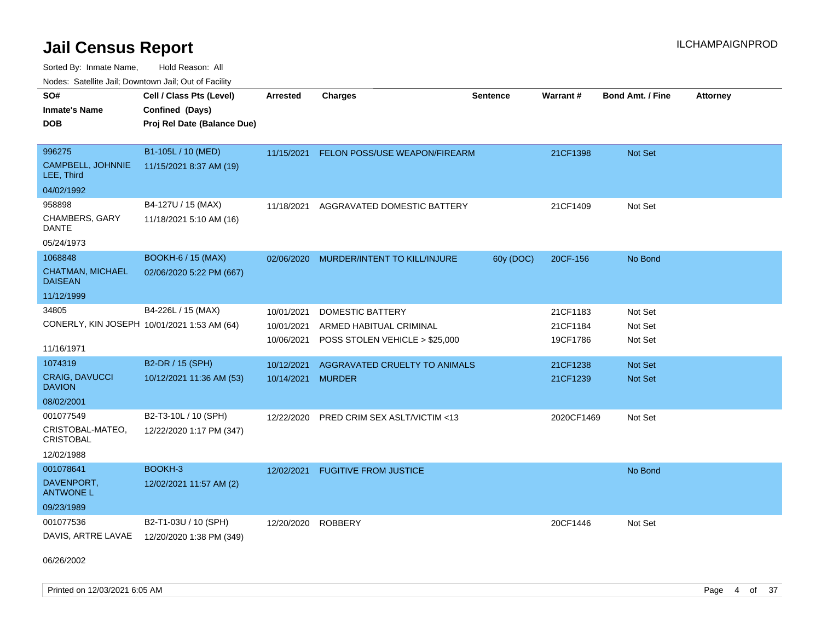Sorted By: Inmate Name, Hold Reason: All

Nodes: Satellite Jail; Downtown Jail; Out of Facility

| SO#                                         |                             |                 |                                |                 |            |                         |                 |
|---------------------------------------------|-----------------------------|-----------------|--------------------------------|-----------------|------------|-------------------------|-----------------|
|                                             | Cell / Class Pts (Level)    | <b>Arrested</b> | <b>Charges</b>                 | <b>Sentence</b> | Warrant#   | <b>Bond Amt. / Fine</b> | <b>Attorney</b> |
| <b>Inmate's Name</b>                        | Confined (Days)             |                 |                                |                 |            |                         |                 |
| <b>DOB</b>                                  | Proj Rel Date (Balance Due) |                 |                                |                 |            |                         |                 |
|                                             |                             |                 |                                |                 |            |                         |                 |
| 996275                                      | B1-105L / 10 (MED)          | 11/15/2021      | FELON POSS/USE WEAPON/FIREARM  |                 | 21CF1398   | Not Set                 |                 |
| CAMPBELL, JOHNNIE<br>LEE, Third             | 11/15/2021 8:37 AM (19)     |                 |                                |                 |            |                         |                 |
| 04/02/1992                                  |                             |                 |                                |                 |            |                         |                 |
| 958898                                      | B4-127U / 15 (MAX)          | 11/18/2021      | AGGRAVATED DOMESTIC BATTERY    |                 | 21CF1409   | Not Set                 |                 |
| CHAMBERS, GARY<br>DANTE                     | 11/18/2021 5:10 AM (16)     |                 |                                |                 |            |                         |                 |
| 05/24/1973                                  |                             |                 |                                |                 |            |                         |                 |
| 1068848                                     | <b>BOOKH-6 / 15 (MAX)</b>   | 02/06/2020      | MURDER/INTENT TO KILL/INJURE   | 60y (DOC)       | 20CF-156   | No Bond                 |                 |
| <b>CHATMAN, MICHAEL</b><br><b>DAISEAN</b>   | 02/06/2020 5:22 PM (667)    |                 |                                |                 |            |                         |                 |
| 11/12/1999                                  |                             |                 |                                |                 |            |                         |                 |
| 34805                                       | B4-226L / 15 (MAX)          | 10/01/2021      | <b>DOMESTIC BATTERY</b>        |                 | 21CF1183   | Not Set                 |                 |
| CONERLY, KIN JOSEPH 10/01/2021 1:53 AM (64) |                             | 10/01/2021      | ARMED HABITUAL CRIMINAL        |                 | 21CF1184   | Not Set                 |                 |
|                                             |                             | 10/06/2021      | POSS STOLEN VEHICLE > \$25,000 |                 | 19CF1786   | Not Set                 |                 |
| 11/16/1971                                  |                             |                 |                                |                 |            |                         |                 |
| 1074319                                     | B2-DR / 15 (SPH)            | 10/12/2021      | AGGRAVATED CRUELTY TO ANIMALS  |                 | 21CF1238   | <b>Not Set</b>          |                 |
| CRAIG, DAVUCCI<br><b>DAVION</b>             | 10/12/2021 11:36 AM (53)    | 10/14/2021      | <b>MURDER</b>                  |                 | 21CF1239   | <b>Not Set</b>          |                 |
| 08/02/2001                                  |                             |                 |                                |                 |            |                         |                 |
| 001077549                                   | B2-T3-10L / 10 (SPH)        | 12/22/2020      | PRED CRIM SEX ASLT/VICTIM <13  |                 | 2020CF1469 | Not Set                 |                 |
| CRISTOBAL-MATEO,<br><b>CRISTOBAL</b>        | 12/22/2020 1:17 PM (347)    |                 |                                |                 |            |                         |                 |
| 12/02/1988                                  |                             |                 |                                |                 |            |                         |                 |
| 001078641                                   | BOOKH-3                     | 12/02/2021      | <b>FUGITIVE FROM JUSTICE</b>   |                 |            | No Bond                 |                 |
| DAVENPORT.<br><b>ANTWONE L</b>              | 12/02/2021 11:57 AM (2)     |                 |                                |                 |            |                         |                 |
| 09/23/1989                                  |                             |                 |                                |                 |            |                         |                 |
| 001077536                                   | B2-T1-03U / 10 (SPH)        | 12/20/2020      | <b>ROBBERY</b>                 |                 | 20CF1446   | Not Set                 |                 |
| DAVIS, ARTRE LAVAE                          | 12/20/2020 1:38 PM (349)    |                 |                                |                 |            |                         |                 |

06/26/2002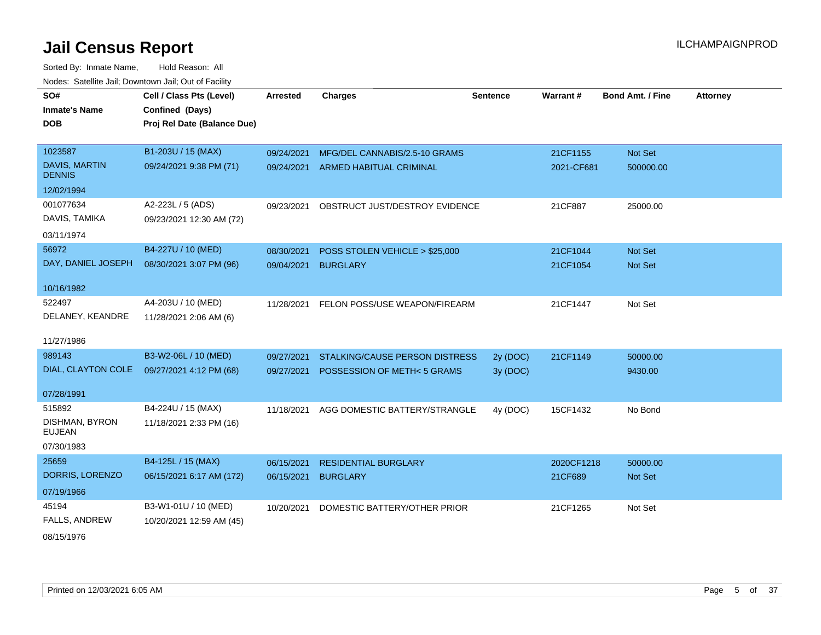Sorted By: Inmate Name, Hold Reason: All Nodes: Satellite Jail; Downtown Jail; Out of Facility

| SO#<br><b>Inmate's Name</b><br><b>DOB</b> | Cell / Class Pts (Level)<br>Confined (Days)<br>Proj Rel Date (Balance Due) | <b>Arrested</b> | <b>Charges</b>                        | <b>Sentence</b> | <b>Warrant#</b> | <b>Bond Amt. / Fine</b> | <b>Attorney</b> |
|-------------------------------------------|----------------------------------------------------------------------------|-----------------|---------------------------------------|-----------------|-----------------|-------------------------|-----------------|
| 1023587                                   | B1-203U / 15 (MAX)                                                         | 09/24/2021      | MFG/DEL CANNABIS/2.5-10 GRAMS         |                 | 21CF1155        | Not Set                 |                 |
| <b>DAVIS, MARTIN</b><br><b>DENNIS</b>     | 09/24/2021 9:38 PM (71)                                                    | 09/24/2021      | <b>ARMED HABITUAL CRIMINAL</b>        |                 | 2021-CF681      | 500000.00               |                 |
| 12/02/1994                                |                                                                            |                 |                                       |                 |                 |                         |                 |
| 001077634                                 | A2-223L / 5 (ADS)                                                          | 09/23/2021      | OBSTRUCT JUST/DESTROY EVIDENCE        |                 | 21CF887         | 25000.00                |                 |
| DAVIS, TAMIKA                             | 09/23/2021 12:30 AM (72)                                                   |                 |                                       |                 |                 |                         |                 |
| 03/11/1974                                |                                                                            |                 |                                       |                 |                 |                         |                 |
| 56972                                     | B4-227U / 10 (MED)                                                         | 08/30/2021      | POSS STOLEN VEHICLE > \$25,000        |                 | 21CF1044        | <b>Not Set</b>          |                 |
| DAY, DANIEL JOSEPH                        | 08/30/2021 3:07 PM (96)                                                    | 09/04/2021      | <b>BURGLARY</b>                       |                 | 21CF1054        | Not Set                 |                 |
| 10/16/1982                                |                                                                            |                 |                                       |                 |                 |                         |                 |
| 522497                                    | A4-203U / 10 (MED)                                                         | 11/28/2021      | FELON POSS/USE WEAPON/FIREARM         |                 | 21CF1447        | Not Set                 |                 |
| DELANEY, KEANDRE                          | 11/28/2021 2:06 AM (6)                                                     |                 |                                       |                 |                 |                         |                 |
| 11/27/1986                                |                                                                            |                 |                                       |                 |                 |                         |                 |
| 989143                                    | B3-W2-06L / 10 (MED)                                                       | 09/27/2021      | <b>STALKING/CAUSE PERSON DISTRESS</b> | 2y (DOC)        | 21CF1149        | 50000.00                |                 |
| DIAL, CLAYTON COLE                        | 09/27/2021 4:12 PM (68)                                                    | 09/27/2021      | POSSESSION OF METH<5 GRAMS            | 3y (DOC)        |                 | 9430.00                 |                 |
| 07/28/1991                                |                                                                            |                 |                                       |                 |                 |                         |                 |
| 515892                                    | B4-224U / 15 (MAX)                                                         | 11/18/2021      | AGG DOMESTIC BATTERY/STRANGLE         | 4y (DOC)        | 15CF1432        | No Bond                 |                 |
| DISHMAN, BYRON<br><b>EUJEAN</b>           | 11/18/2021 2:33 PM (16)                                                    |                 |                                       |                 |                 |                         |                 |
| 07/30/1983                                |                                                                            |                 |                                       |                 |                 |                         |                 |
| 25659                                     | B4-125L / 15 (MAX)                                                         | 06/15/2021      | <b>RESIDENTIAL BURGLARY</b>           |                 | 2020CF1218      | 50000.00                |                 |
| DORRIS, LORENZO                           | 06/15/2021 6:17 AM (172)                                                   | 06/15/2021      | <b>BURGLARY</b>                       |                 | 21CF689         | <b>Not Set</b>          |                 |
| 07/19/1966                                |                                                                            |                 |                                       |                 |                 |                         |                 |
| 45194                                     | B3-W1-01U / 10 (MED)                                                       | 10/20/2021      | DOMESTIC BATTERY/OTHER PRIOR          |                 | 21CF1265        | Not Set                 |                 |
| FALLS, ANDREW                             | 10/20/2021 12:59 AM (45)                                                   |                 |                                       |                 |                 |                         |                 |

08/15/1976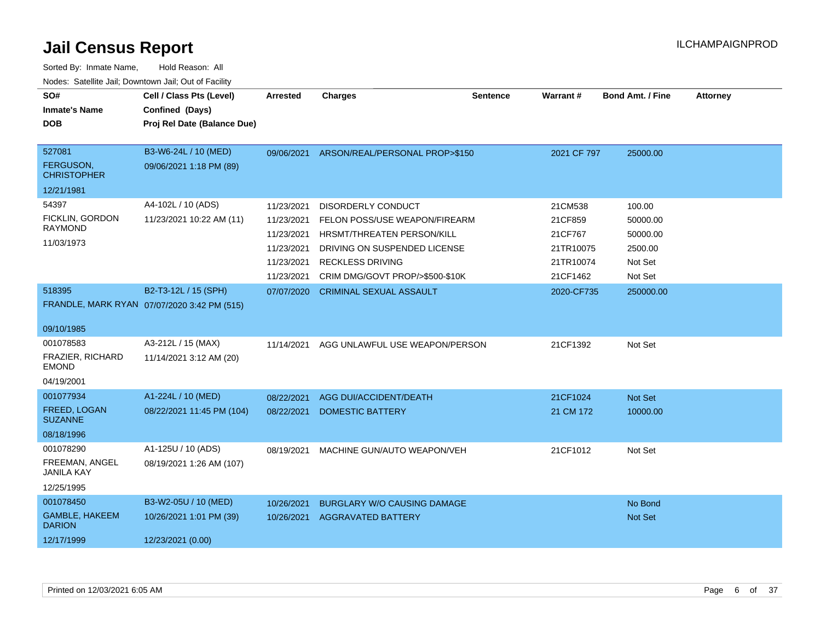| SO#<br><b>Inmate's Name</b><br><b>DOB</b>                      | Cell / Class Pts (Level)<br>Confined (Days)<br>Proj Rel Date (Balance Due) | <b>Arrested</b>                                                                  | <b>Charges</b>                                                                                                                                                                         | <b>Sentence</b> | Warrant#                                                            | <b>Bond Amt. / Fine</b>                                         | <b>Attorney</b> |
|----------------------------------------------------------------|----------------------------------------------------------------------------|----------------------------------------------------------------------------------|----------------------------------------------------------------------------------------------------------------------------------------------------------------------------------------|-----------------|---------------------------------------------------------------------|-----------------------------------------------------------------|-----------------|
| 527081<br>FERGUSON,<br><b>CHRISTOPHER</b>                      | B3-W6-24L / 10 (MED)<br>09/06/2021 1:18 PM (89)                            |                                                                                  | 09/06/2021 ARSON/REAL/PERSONAL PROP>\$150                                                                                                                                              |                 | 2021 CF 797                                                         | 25000.00                                                        |                 |
| 12/21/1981                                                     |                                                                            |                                                                                  |                                                                                                                                                                                        |                 |                                                                     |                                                                 |                 |
| 54397<br>FICKLIN, GORDON<br><b>RAYMOND</b><br>11/03/1973       | A4-102L / 10 (ADS)<br>11/23/2021 10:22 AM (11)                             | 11/23/2021<br>11/23/2021<br>11/23/2021<br>11/23/2021<br>11/23/2021<br>11/23/2021 | <b>DISORDERLY CONDUCT</b><br>FELON POSS/USE WEAPON/FIREARM<br>HRSMT/THREATEN PERSON/KILL<br>DRIVING ON SUSPENDED LICENSE<br><b>RECKLESS DRIVING</b><br>CRIM DMG/GOVT PROP/>\$500-\$10K |                 | 21CM538<br>21CF859<br>21CF767<br>21TR10075<br>21TR10074<br>21CF1462 | 100.00<br>50000.00<br>50000.00<br>2500.00<br>Not Set<br>Not Set |                 |
| 518395<br>09/10/1985                                           | B2-T3-12L / 15 (SPH)<br>FRANDLE, MARK RYAN 07/07/2020 3:42 PM (515)        | 07/07/2020                                                                       | <b>CRIMINAL SEXUAL ASSAULT</b>                                                                                                                                                         |                 | 2020-CF735                                                          | 250000.00                                                       |                 |
| 001078583<br>FRAZIER, RICHARD<br><b>EMOND</b><br>04/19/2001    | A3-212L / 15 (MAX)<br>11/14/2021 3:12 AM (20)                              | 11/14/2021                                                                       | AGG UNLAWFUL USE WEAPON/PERSON                                                                                                                                                         |                 | 21CF1392                                                            | Not Set                                                         |                 |
| 001077934<br>FREED, LOGAN<br><b>SUZANNE</b><br>08/18/1996      | A1-224L / 10 (MED)<br>08/22/2021 11:45 PM (104)                            | 08/22/2021<br>08/22/2021                                                         | AGG DUI/ACCIDENT/DEATH<br><b>DOMESTIC BATTERY</b>                                                                                                                                      |                 | 21CF1024<br>21 CM 172                                               | Not Set<br>10000.00                                             |                 |
| 001078290<br>FREEMAN, ANGEL<br><b>JANILA KAY</b><br>12/25/1995 | A1-125U / 10 (ADS)<br>08/19/2021 1:26 AM (107)                             | 08/19/2021                                                                       | MACHINE GUN/AUTO WEAPON/VEH                                                                                                                                                            |                 | 21CF1012                                                            | Not Set                                                         |                 |
| 001078450<br>GAMBLE, HAKEEM<br><b>DARION</b><br>12/17/1999     | B3-W2-05U / 10 (MED)<br>10/26/2021 1:01 PM (39)<br>12/23/2021 (0.00)       | 10/26/2021<br>10/26/2021                                                         | <b>BURGLARY W/O CAUSING DAMAGE</b><br><b>AGGRAVATED BATTERY</b>                                                                                                                        |                 |                                                                     | No Bond<br>Not Set                                              |                 |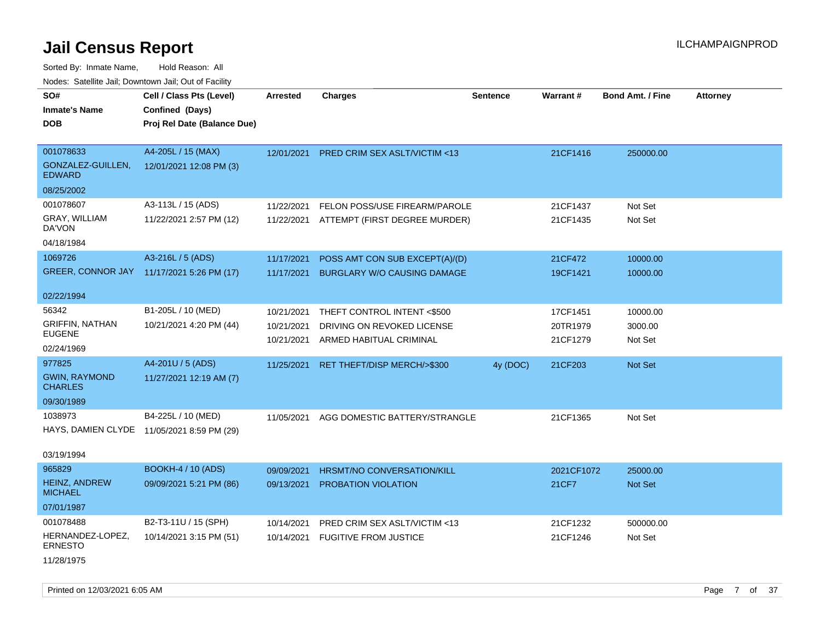| SO#                                    | Cell / Class Pts (Level)                   | <b>Arrested</b> | <b>Charges</b>                          | <b>Sentence</b> | Warrant#   | <b>Bond Amt. / Fine</b> | <b>Attorney</b> |
|----------------------------------------|--------------------------------------------|-----------------|-----------------------------------------|-----------------|------------|-------------------------|-----------------|
| <b>Inmate's Name</b>                   | Confined (Days)                            |                 |                                         |                 |            |                         |                 |
| <b>DOB</b>                             | Proj Rel Date (Balance Due)                |                 |                                         |                 |            |                         |                 |
|                                        |                                            |                 |                                         |                 |            |                         |                 |
| 001078633                              | A4-205L / 15 (MAX)                         | 12/01/2021      | <b>PRED CRIM SEX ASLT/VICTIM &lt;13</b> |                 | 21CF1416   | 250000.00               |                 |
| GONZALEZ-GUILLEN.<br><b>EDWARD</b>     | 12/01/2021 12:08 PM (3)                    |                 |                                         |                 |            |                         |                 |
| 08/25/2002                             |                                            |                 |                                         |                 |            |                         |                 |
| 001078607                              | A3-113L / 15 (ADS)                         | 11/22/2021      | FELON POSS/USE FIREARM/PAROLE           |                 | 21CF1437   | Not Set                 |                 |
| GRAY, WILLIAM<br>DA'VON                | 11/22/2021 2:57 PM (12)                    | 11/22/2021      | ATTEMPT (FIRST DEGREE MURDER)           |                 | 21CF1435   | Not Set                 |                 |
| 04/18/1984                             |                                            |                 |                                         |                 |            |                         |                 |
| 1069726                                | A3-216L / 5 (ADS)                          | 11/17/2021      | POSS AMT CON SUB EXCEPT(A)/(D)          |                 | 21CF472    | 10000.00                |                 |
|                                        | GREER, CONNOR JAY 11/17/2021 5:26 PM (17)  | 11/17/2021      | <b>BURGLARY W/O CAUSING DAMAGE</b>      |                 | 19CF1421   | 10000.00                |                 |
|                                        |                                            |                 |                                         |                 |            |                         |                 |
| 02/22/1994                             |                                            |                 |                                         |                 |            |                         |                 |
| 56342                                  | B1-205L / 10 (MED)                         | 10/21/2021      | THEFT CONTROL INTENT <\$500             |                 | 17CF1451   | 10000.00                |                 |
| <b>GRIFFIN, NATHAN</b>                 | 10/21/2021 4:20 PM (44)                    | 10/21/2021      | DRIVING ON REVOKED LICENSE              |                 | 20TR1979   | 3000.00                 |                 |
| <b>EUGENE</b>                          |                                            | 10/21/2021      | ARMED HABITUAL CRIMINAL                 |                 | 21CF1279   | Not Set                 |                 |
| 02/24/1969                             |                                            |                 |                                         |                 |            |                         |                 |
| 977825                                 | A4-201U / 5 (ADS)                          | 11/25/2021      | RET THEFT/DISP MERCH/>\$300             | 4y (DOC)        | 21CF203    | Not Set                 |                 |
| <b>GWIN, RAYMOND</b><br><b>CHARLES</b> | 11/27/2021 12:19 AM (7)                    |                 |                                         |                 |            |                         |                 |
| 09/30/1989                             |                                            |                 |                                         |                 |            |                         |                 |
| 1038973                                | B4-225L / 10 (MED)                         | 11/05/2021      | AGG DOMESTIC BATTERY/STRANGLE           |                 | 21CF1365   | Not Set                 |                 |
|                                        | HAYS, DAMIEN CLYDE 11/05/2021 8:59 PM (29) |                 |                                         |                 |            |                         |                 |
| 03/19/1994                             |                                            |                 |                                         |                 |            |                         |                 |
| 965829                                 | <b>BOOKH-4 / 10 (ADS)</b>                  | 09/09/2021      | HRSMT/NO CONVERSATION/KILL              |                 | 2021CF1072 | 25000.00                |                 |
| <b>HEINZ, ANDREW</b><br><b>MICHAEL</b> | 09/09/2021 5:21 PM (86)                    | 09/13/2021      | PROBATION VIOLATION                     |                 | 21CF7      | Not Set                 |                 |
| 07/01/1987                             |                                            |                 |                                         |                 |            |                         |                 |
| 001078488                              | B2-T3-11U / 15 (SPH)                       | 10/14/2021      | <b>PRED CRIM SEX ASLT/VICTIM &lt;13</b> |                 | 21CF1232   | 500000.00               |                 |
| HERNANDEZ-LOPEZ,<br>ERNESTO            | 10/14/2021 3:15 PM (51)                    | 10/14/2021      | <b>FUGITIVE FROM JUSTICE</b>            |                 | 21CF1246   | Not Set                 |                 |
| 11/28/1975                             |                                            |                 |                                         |                 |            |                         |                 |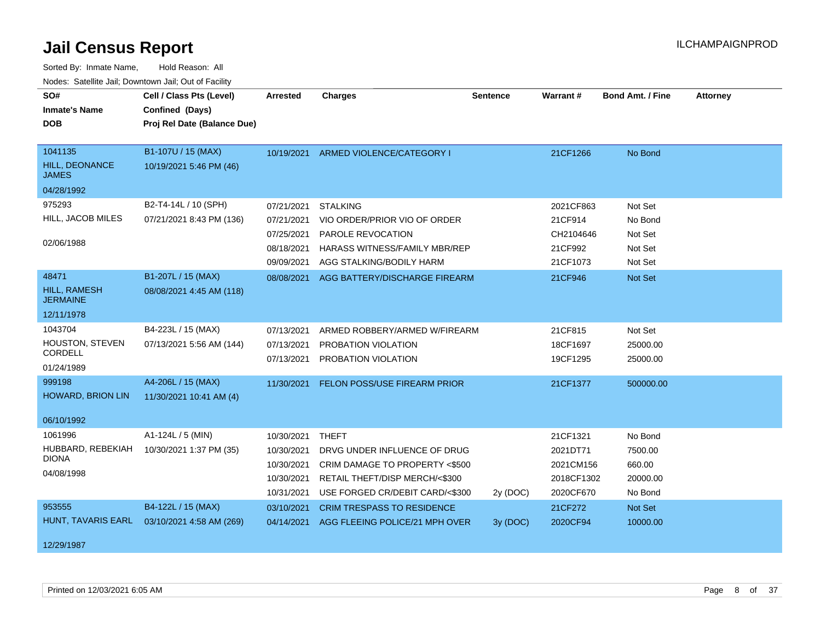| SO#                                   | Cell / Class Pts (Level)    | <b>Arrested</b> | <b>Charges</b>                           | <b>Sentence</b> | Warrant#   | Bond Amt. / Fine | <b>Attorney</b> |
|---------------------------------------|-----------------------------|-----------------|------------------------------------------|-----------------|------------|------------------|-----------------|
| <b>Inmate's Name</b>                  | Confined (Days)             |                 |                                          |                 |            |                  |                 |
| <b>DOB</b>                            | Proj Rel Date (Balance Due) |                 |                                          |                 |            |                  |                 |
|                                       |                             |                 |                                          |                 |            |                  |                 |
| 1041135                               | B1-107U / 15 (MAX)          |                 | 10/19/2021 ARMED VIOLENCE/CATEGORY I     |                 | 21CF1266   | No Bond          |                 |
| <b>HILL, DEONANCE</b><br><b>JAMES</b> | 10/19/2021 5:46 PM (46)     |                 |                                          |                 |            |                  |                 |
| 04/28/1992                            |                             |                 |                                          |                 |            |                  |                 |
| 975293                                | B2-T4-14L / 10 (SPH)        | 07/21/2021      | <b>STALKING</b>                          |                 | 2021CF863  | Not Set          |                 |
| HILL, JACOB MILES                     | 07/21/2021 8:43 PM (136)    | 07/21/2021      | VIO ORDER/PRIOR VIO OF ORDER             |                 | 21CF914    | No Bond          |                 |
|                                       |                             | 07/25/2021      | PAROLE REVOCATION                        |                 | CH2104646  | Not Set          |                 |
| 02/06/1988                            |                             | 08/18/2021      | HARASS WITNESS/FAMILY MBR/REP            |                 | 21CF992    | Not Set          |                 |
|                                       |                             | 09/09/2021      | AGG STALKING/BODILY HARM                 |                 | 21CF1073   | Not Set          |                 |
| 48471                                 | B1-207L / 15 (MAX)          |                 | 08/08/2021 AGG BATTERY/DISCHARGE FIREARM |                 | 21CF946    | Not Set          |                 |
| HILL, RAMESH<br><b>JERMAINE</b>       | 08/08/2021 4:45 AM (118)    |                 |                                          |                 |            |                  |                 |
| 12/11/1978                            |                             |                 |                                          |                 |            |                  |                 |
| 1043704                               | B4-223L / 15 (MAX)          | 07/13/2021      | ARMED ROBBERY/ARMED W/FIREARM            |                 | 21CF815    | Not Set          |                 |
| HOUSTON, STEVEN                       | 07/13/2021 5:56 AM (144)    | 07/13/2021      | PROBATION VIOLATION                      |                 | 18CF1697   | 25000.00         |                 |
| CORDELL                               |                             | 07/13/2021      | PROBATION VIOLATION                      |                 | 19CF1295   | 25000.00         |                 |
| 01/24/1989                            |                             |                 |                                          |                 |            |                  |                 |
| 999198                                | A4-206L / 15 (MAX)          | 11/30/2021      | FELON POSS/USE FIREARM PRIOR             |                 | 21CF1377   | 500000.00        |                 |
| <b>HOWARD, BRION LIN</b>              | 11/30/2021 10:41 AM (4)     |                 |                                          |                 |            |                  |                 |
|                                       |                             |                 |                                          |                 |            |                  |                 |
| 06/10/1992                            |                             |                 |                                          |                 |            |                  |                 |
| 1061996                               | A1-124L / 5 (MIN)           | 10/30/2021      | <b>THEFT</b>                             |                 | 21CF1321   | No Bond          |                 |
| HUBBARD, REBEKIAH<br><b>DIONA</b>     | 10/30/2021 1:37 PM (35)     | 10/30/2021      | DRVG UNDER INFLUENCE OF DRUG             |                 | 2021DT71   | 7500.00          |                 |
| 04/08/1998                            |                             | 10/30/2021      | CRIM DAMAGE TO PROPERTY <\$500           |                 | 2021CM156  | 660.00           |                 |
|                                       |                             | 10/30/2021      | RETAIL THEFT/DISP MERCH/<\$300           |                 | 2018CF1302 | 20000.00         |                 |
|                                       |                             | 10/31/2021      | USE FORGED CR/DEBIT CARD/<\$300          | 2y (DOC)        | 2020CF670  | No Bond          |                 |
| 953555                                | B4-122L / 15 (MAX)          | 03/10/2021      | <b>CRIM TRESPASS TO RESIDENCE</b>        |                 | 21CF272    | Not Set          |                 |
| HUNT, TAVARIS EARL                    | 03/10/2021 4:58 AM (269)    | 04/14/2021      | AGG FLEEING POLICE/21 MPH OVER           | 3y (DOC)        | 2020CF94   | 10000.00         |                 |
|                                       |                             |                 |                                          |                 |            |                  |                 |
| 12/29/1987                            |                             |                 |                                          |                 |            |                  |                 |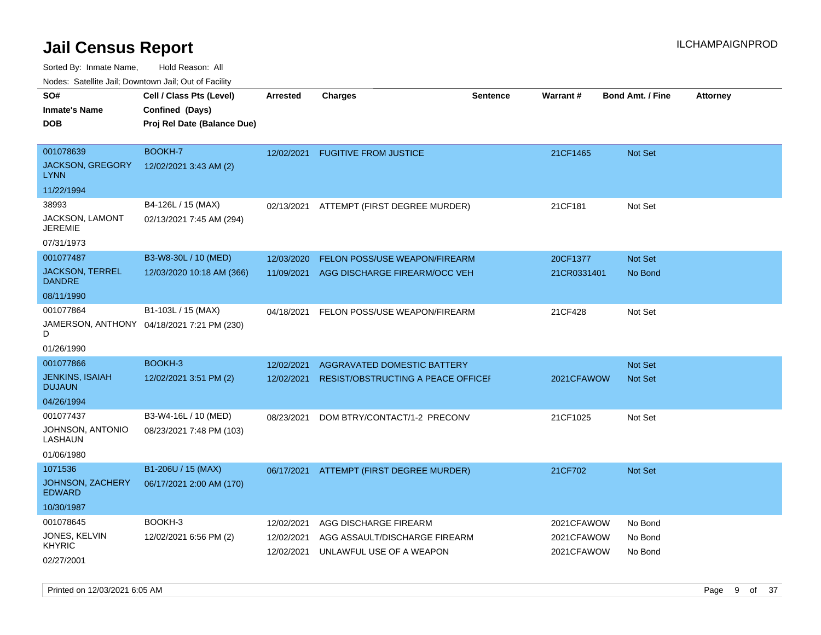Sorted By: Inmate Name, Hold Reason: All

| Nodes: Satellite Jail; Downtown Jail; Out of Facility |                                            |                 |                                    |                 |                 |                         |                 |
|-------------------------------------------------------|--------------------------------------------|-----------------|------------------------------------|-----------------|-----------------|-------------------------|-----------------|
| SO#                                                   | Cell / Class Pts (Level)                   | <b>Arrested</b> | <b>Charges</b>                     | <b>Sentence</b> | <b>Warrant#</b> | <b>Bond Amt. / Fine</b> | <b>Attorney</b> |
| <b>Inmate's Name</b>                                  | Confined (Days)                            |                 |                                    |                 |                 |                         |                 |
| <b>DOB</b>                                            | Proj Rel Date (Balance Due)                |                 |                                    |                 |                 |                         |                 |
|                                                       |                                            |                 |                                    |                 |                 |                         |                 |
| 001078639                                             | <b>BOOKH-7</b>                             | 12/02/2021      | <b>FUGITIVE FROM JUSTICE</b>       |                 | 21CF1465        | Not Set                 |                 |
| <b>JACKSON, GREGORY</b><br><b>LYNN</b>                | 12/02/2021 3:43 AM (2)                     |                 |                                    |                 |                 |                         |                 |
| 11/22/1994                                            |                                            |                 |                                    |                 |                 |                         |                 |
| 38993                                                 | B4-126L / 15 (MAX)                         | 02/13/2021      | ATTEMPT (FIRST DEGREE MURDER)      |                 | 21CF181         | Not Set                 |                 |
| JACKSON, LAMONT<br><b>JEREMIE</b>                     | 02/13/2021 7:45 AM (294)                   |                 |                                    |                 |                 |                         |                 |
| 07/31/1973                                            |                                            |                 |                                    |                 |                 |                         |                 |
| 001077487                                             | B3-W8-30L / 10 (MED)                       | 12/03/2020      | FELON POSS/USE WEAPON/FIREARM      |                 | 20CF1377        | <b>Not Set</b>          |                 |
| <b>JACKSON, TERREL</b><br><b>DANDRE</b>               | 12/03/2020 10:18 AM (366)                  | 11/09/2021      | AGG DISCHARGE FIREARM/OCC VEH      |                 | 21CR0331401     | No Bond                 |                 |
| 08/11/1990                                            |                                            |                 |                                    |                 |                 |                         |                 |
| 001077864                                             | B1-103L / 15 (MAX)                         | 04/18/2021      | FELON POSS/USE WEAPON/FIREARM      |                 | 21CF428         | Not Set                 |                 |
| D                                                     | JAMERSON, ANTHONY 04/18/2021 7:21 PM (230) |                 |                                    |                 |                 |                         |                 |
| 01/26/1990                                            |                                            |                 |                                    |                 |                 |                         |                 |
| 001077866                                             | BOOKH-3                                    | 12/02/2021      | AGGRAVATED DOMESTIC BATTERY        |                 |                 | Not Set                 |                 |
| <b>JENKINS, ISAIAH</b><br><b>DUJAUN</b>               | 12/02/2021 3:51 PM (2)                     | 12/02/2021      | RESIST/OBSTRUCTING A PEACE OFFICEF |                 | 2021CFAWOW      | <b>Not Set</b>          |                 |
| 04/26/1994                                            |                                            |                 |                                    |                 |                 |                         |                 |
| 001077437                                             | B3-W4-16L / 10 (MED)                       | 08/23/2021      | DOM BTRY/CONTACT/1-2 PRECONV       |                 | 21CF1025        | Not Set                 |                 |
| JOHNSON, ANTONIO<br>LASHAUN                           | 08/23/2021 7:48 PM (103)                   |                 |                                    |                 |                 |                         |                 |
| 01/06/1980                                            |                                            |                 |                                    |                 |                 |                         |                 |
| 1071536                                               | B1-206U / 15 (MAX)                         | 06/17/2021      | ATTEMPT (FIRST DEGREE MURDER)      |                 | 21CF702         | <b>Not Set</b>          |                 |
| JOHNSON, ZACHERY<br><b>EDWARD</b>                     | 06/17/2021 2:00 AM (170)                   |                 |                                    |                 |                 |                         |                 |
| 10/30/1987                                            |                                            |                 |                                    |                 |                 |                         |                 |
| 001078645                                             | BOOKH-3                                    | 12/02/2021      | AGG DISCHARGE FIREARM              |                 | 2021CFAWOW      | No Bond                 |                 |
| JONES, KELVIN<br><b>KHYRIC</b>                        | 12/02/2021 6:56 PM (2)                     | 12/02/2021      | AGG ASSAULT/DISCHARGE FIREARM      |                 | 2021CFAWOW      | No Bond                 |                 |
| 02/27/2001                                            |                                            | 12/02/2021      | UNLAWFUL USE OF A WEAPON           |                 | 2021CFAWOW      | No Bond                 |                 |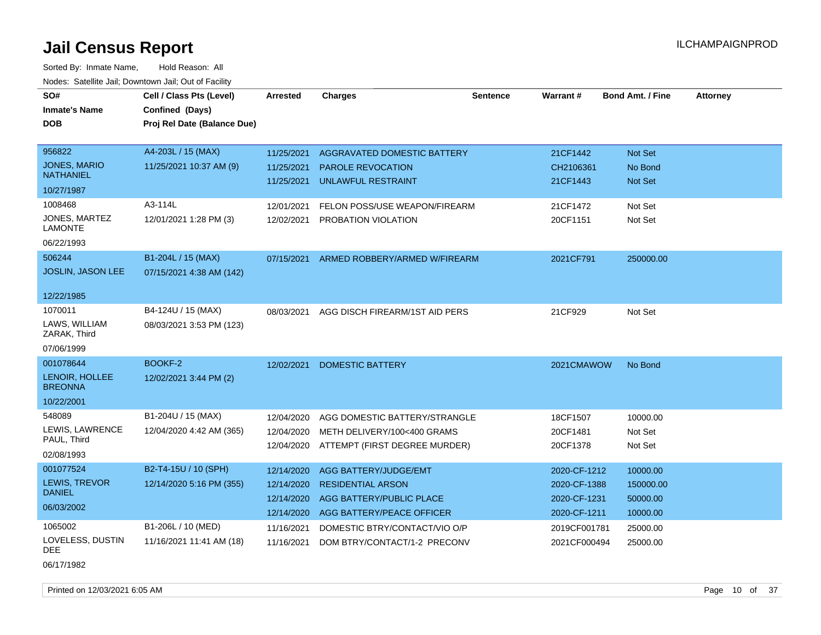Sorted By: Inmate Name, Hold Reason: All Nodes: Satellite Jail; Downtown Jail; Out of Facility

| SO#                              | Cell / Class Pts (Level)    | Arrested   | <b>Charges</b>                 | <b>Sentence</b> | <b>Warrant#</b> | <b>Bond Amt. / Fine</b> | <b>Attorney</b> |
|----------------------------------|-----------------------------|------------|--------------------------------|-----------------|-----------------|-------------------------|-----------------|
| <b>Inmate's Name</b>             | Confined (Days)             |            |                                |                 |                 |                         |                 |
| <b>DOB</b>                       | Proj Rel Date (Balance Due) |            |                                |                 |                 |                         |                 |
|                                  |                             |            |                                |                 |                 |                         |                 |
| 956822                           | A4-203L / 15 (MAX)          | 11/25/2021 | AGGRAVATED DOMESTIC BATTERY    |                 | 21CF1442        | Not Set                 |                 |
| <b>JONES, MARIO</b>              | 11/25/2021 10:37 AM (9)     | 11/25/2021 | PAROLE REVOCATION              |                 | CH2106361       | No Bond                 |                 |
| <b>NATHANIEL</b>                 |                             | 11/25/2021 | UNLAWFUL RESTRAINT             |                 | 21CF1443        | <b>Not Set</b>          |                 |
| 10/27/1987                       |                             |            |                                |                 |                 |                         |                 |
| 1008468                          | A3-114L                     | 12/01/2021 | FELON POSS/USE WEAPON/FIREARM  |                 | 21CF1472        | Not Set                 |                 |
| JONES, MARTEZ<br>LAMONTE         | 12/01/2021 1:28 PM (3)      | 12/02/2021 | PROBATION VIOLATION            |                 | 20CF1151        | Not Set                 |                 |
| 06/22/1993                       |                             |            |                                |                 |                 |                         |                 |
| 506244                           | B1-204L / 15 (MAX)          | 07/15/2021 | ARMED ROBBERY/ARMED W/FIREARM  |                 | 2021CF791       | 250000.00               |                 |
| JOSLIN, JASON LEE                | 07/15/2021 4:38 AM (142)    |            |                                |                 |                 |                         |                 |
|                                  |                             |            |                                |                 |                 |                         |                 |
| 12/22/1985                       |                             |            |                                |                 |                 |                         |                 |
| 1070011                          | B4-124U / 15 (MAX)          | 08/03/2021 | AGG DISCH FIREARM/1ST AID PERS |                 | 21CF929         | Not Set                 |                 |
| LAWS, WILLIAM<br>ZARAK, Third    | 08/03/2021 3:53 PM (123)    |            |                                |                 |                 |                         |                 |
| 07/06/1999                       |                             |            |                                |                 |                 |                         |                 |
| 001078644                        | BOOKF-2                     | 12/02/2021 | <b>DOMESTIC BATTERY</b>        |                 | 2021CMAWOW      | No Bond                 |                 |
| LENOIR, HOLLEE<br><b>BREONNA</b> | 12/02/2021 3:44 PM (2)      |            |                                |                 |                 |                         |                 |
| 10/22/2001                       |                             |            |                                |                 |                 |                         |                 |
| 548089                           | B1-204U / 15 (MAX)          | 12/04/2020 | AGG DOMESTIC BATTERY/STRANGLE  |                 | 18CF1507        | 10000.00                |                 |
| LEWIS, LAWRENCE                  | 12/04/2020 4:42 AM (365)    | 12/04/2020 | METH DELIVERY/100<400 GRAMS    |                 | 20CF1481        | Not Set                 |                 |
| PAUL, Third                      |                             | 12/04/2020 | ATTEMPT (FIRST DEGREE MURDER)  |                 | 20CF1378        | Not Set                 |                 |
| 02/08/1993                       |                             |            |                                |                 |                 |                         |                 |
| 001077524                        | B2-T4-15U / 10 (SPH)        | 12/14/2020 | AGG BATTERY/JUDGE/EMT          |                 | 2020-CF-1212    | 10000.00                |                 |
| LEWIS, TREVOR                    | 12/14/2020 5:16 PM (355)    | 12/14/2020 | <b>RESIDENTIAL ARSON</b>       |                 | 2020-CF-1388    | 150000.00               |                 |
| <b>DANIEL</b>                    |                             | 12/14/2020 | AGG BATTERY/PUBLIC PLACE       |                 | 2020-CF-1231    | 50000.00                |                 |
| 06/03/2002                       |                             | 12/14/2020 | AGG BATTERY/PEACE OFFICER      |                 | 2020-CF-1211    | 10000.00                |                 |
| 1065002                          | B1-206L / 10 (MED)          | 11/16/2021 | DOMESTIC BTRY/CONTACT/VIO O/P  |                 | 2019CF001781    | 25000.00                |                 |
| LOVELESS, DUSTIN                 | 11/16/2021 11:41 AM (18)    | 11/16/2021 | DOM BTRY/CONTACT/1-2 PRECONV   |                 | 2021CF000494    | 25000.00                |                 |
| DEE                              |                             |            |                                |                 |                 |                         |                 |

06/17/1982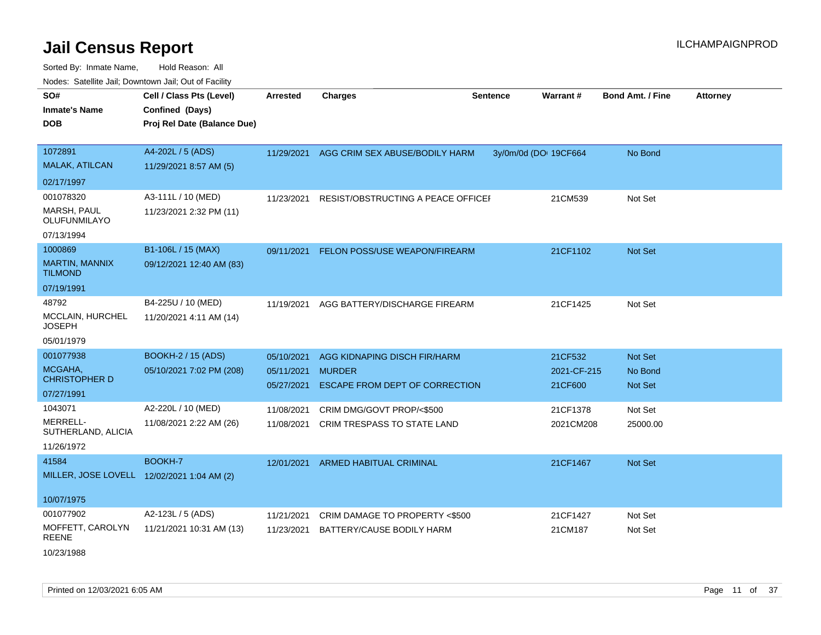| SO#<br><b>Inmate's Name</b><br><b>DOB</b>  | Cell / Class Pts (Level)<br>Confined (Days)<br>Proj Rel Date (Balance Due) | <b>Arrested</b> | <b>Charges</b>                        | <b>Sentence</b>       | Warrant#    | <b>Bond Amt. / Fine</b> | <b>Attorney</b> |
|--------------------------------------------|----------------------------------------------------------------------------|-----------------|---------------------------------------|-----------------------|-------------|-------------------------|-----------------|
| 1072891<br><b>MALAK, ATILCAN</b>           | A4-202L / 5 (ADS)<br>11/29/2021 8:57 AM (5)                                | 11/29/2021      | AGG CRIM SEX ABUSE/BODILY HARM        | 3y/0m/0d (DOI 19CF664 |             | No Bond                 |                 |
| 02/17/1997                                 |                                                                            |                 |                                       |                       |             |                         |                 |
| 001078320                                  | A3-111L / 10 (MED)                                                         | 11/23/2021      | RESIST/OBSTRUCTING A PEACE OFFICEF    |                       | 21CM539     | Not Set                 |                 |
| MARSH, PAUL<br>OLUFUNMILAYO                | 11/23/2021 2:32 PM (11)                                                    |                 |                                       |                       |             |                         |                 |
| 07/13/1994                                 |                                                                            |                 |                                       |                       |             |                         |                 |
| 1000869                                    | B1-106L / 15 (MAX)                                                         | 09/11/2021      | FELON POSS/USE WEAPON/FIREARM         |                       | 21CF1102    | Not Set                 |                 |
| <b>MARTIN, MANNIX</b><br><b>TILMOND</b>    | 09/12/2021 12:40 AM (83)                                                   |                 |                                       |                       |             |                         |                 |
| 07/19/1991                                 |                                                                            |                 |                                       |                       |             |                         |                 |
| 48792                                      | B4-225U / 10 (MED)                                                         | 11/19/2021      | AGG BATTERY/DISCHARGE FIREARM         |                       | 21CF1425    | Not Set                 |                 |
| MCCLAIN, HURCHEL<br><b>JOSEPH</b>          | 11/20/2021 4:11 AM (14)                                                    |                 |                                       |                       |             |                         |                 |
| 05/01/1979                                 |                                                                            |                 |                                       |                       |             |                         |                 |
| 001077938                                  | <b>BOOKH-2 / 15 (ADS)</b>                                                  | 05/10/2021      | AGG KIDNAPING DISCH FIR/HARM          |                       | 21CF532     | <b>Not Set</b>          |                 |
| MCGAHA,                                    | 05/10/2021 7:02 PM (208)                                                   | 05/11/2021      | <b>MURDER</b>                         |                       | 2021-CF-215 | No Bond                 |                 |
| <b>CHRISTOPHER D</b><br>07/27/1991         |                                                                            | 05/27/2021      | <b>ESCAPE FROM DEPT OF CORRECTION</b> |                       | 21CF600     | <b>Not Set</b>          |                 |
| 1043071                                    | A2-220L / 10 (MED)                                                         | 11/08/2021      | CRIM DMG/GOVT PROP/<\$500             |                       | 21CF1378    | Not Set                 |                 |
| MERRELL-                                   | 11/08/2021 2:22 AM (26)                                                    | 11/08/2021      | CRIM TRESPASS TO STATE LAND           |                       | 2021CM208   | 25000.00                |                 |
| SUTHERLAND, ALICIA                         |                                                                            |                 |                                       |                       |             |                         |                 |
| 11/26/1972                                 |                                                                            |                 |                                       |                       |             |                         |                 |
| 41584                                      | BOOKH-7                                                                    | 12/01/2021      | ARMED HABITUAL CRIMINAL               |                       | 21CF1467    | <b>Not Set</b>          |                 |
| MILLER, JOSE LOVELL 12/02/2021 1:04 AM (2) |                                                                            |                 |                                       |                       |             |                         |                 |
| 10/07/1975                                 |                                                                            |                 |                                       |                       |             |                         |                 |
| 001077902                                  | A2-123L / 5 (ADS)                                                          | 11/21/2021      | CRIM DAMAGE TO PROPERTY <\$500        |                       | 21CF1427    | Not Set                 |                 |
| MOFFETT, CAROLYN<br><b>REENE</b>           | 11/21/2021 10:31 AM (13)                                                   | 11/23/2021      | BATTERY/CAUSE BODILY HARM             |                       | 21CM187     | Not Set                 |                 |
| 10/23/1988                                 |                                                                            |                 |                                       |                       |             |                         |                 |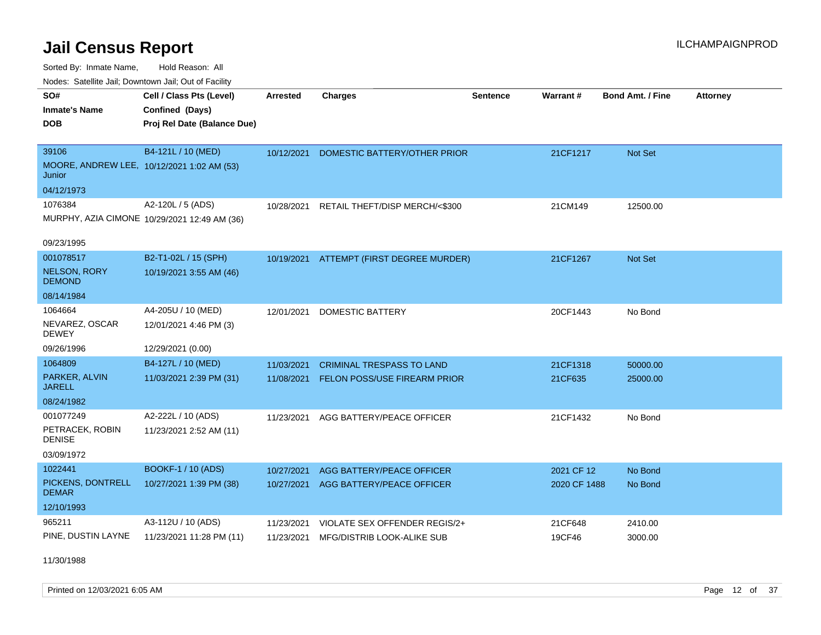Sorted By: Inmate Name, Hold Reason: All Nodes: Satellite Jail; Downtown Jail; Out of Facility

| <b>NOULD:</b> Catoline bail, Downtown bail, Out of I dollty |                                              |                 |                                          |                 |              |                         |                 |
|-------------------------------------------------------------|----------------------------------------------|-----------------|------------------------------------------|-----------------|--------------|-------------------------|-----------------|
| SO#                                                         | Cell / Class Pts (Level)                     | <b>Arrested</b> | <b>Charges</b>                           | <b>Sentence</b> | Warrant#     | <b>Bond Amt. / Fine</b> | <b>Attorney</b> |
| <b>Inmate's Name</b>                                        | Confined (Days)                              |                 |                                          |                 |              |                         |                 |
| <b>DOB</b>                                                  | Proj Rel Date (Balance Due)                  |                 |                                          |                 |              |                         |                 |
|                                                             |                                              |                 |                                          |                 |              |                         |                 |
| 39106                                                       | B4-121L / 10 (MED)                           | 10/12/2021      | DOMESTIC BATTERY/OTHER PRIOR             |                 | 21CF1217     | Not Set                 |                 |
| MOORE, ANDREW LEE, 10/12/2021 1:02 AM (53)<br>Junior        |                                              |                 |                                          |                 |              |                         |                 |
| 04/12/1973                                                  |                                              |                 |                                          |                 |              |                         |                 |
| 1076384                                                     | A2-120L / 5 (ADS)                            | 10/28/2021      | RETAIL THEFT/DISP MERCH/<\$300           |                 | 21CM149      | 12500.00                |                 |
|                                                             | MURPHY, AZIA CIMONE 10/29/2021 12:49 AM (36) |                 |                                          |                 |              |                         |                 |
|                                                             |                                              |                 |                                          |                 |              |                         |                 |
| 09/23/1995                                                  |                                              |                 |                                          |                 |              |                         |                 |
| 001078517                                                   | B2-T1-02L / 15 (SPH)                         |                 | 10/19/2021 ATTEMPT (FIRST DEGREE MURDER) |                 | 21CF1267     | <b>Not Set</b>          |                 |
| <b>NELSON, RORY</b><br><b>DEMOND</b>                        | 10/19/2021 3:55 AM (46)                      |                 |                                          |                 |              |                         |                 |
| 08/14/1984                                                  |                                              |                 |                                          |                 |              |                         |                 |
| 1064664                                                     | A4-205U / 10 (MED)                           | 12/01/2021      | <b>DOMESTIC BATTERY</b>                  |                 | 20CF1443     | No Bond                 |                 |
| NEVAREZ, OSCAR<br><b>DEWEY</b>                              | 12/01/2021 4:46 PM (3)                       |                 |                                          |                 |              |                         |                 |
| 09/26/1996                                                  | 12/29/2021 (0.00)                            |                 |                                          |                 |              |                         |                 |
| 1064809                                                     | B4-127L / 10 (MED)                           | 11/03/2021      | <b>CRIMINAL TRESPASS TO LAND</b>         |                 | 21CF1318     | 50000.00                |                 |
| PARKER, ALVIN<br><b>JARELL</b>                              | 11/03/2021 2:39 PM (31)                      | 11/08/2021      | FELON POSS/USE FIREARM PRIOR             |                 | 21CF635      | 25000.00                |                 |
| 08/24/1982                                                  |                                              |                 |                                          |                 |              |                         |                 |
| 001077249                                                   | A2-222L / 10 (ADS)                           | 11/23/2021      | AGG BATTERY/PEACE OFFICER                |                 | 21CF1432     | No Bond                 |                 |
| PETRACEK, ROBIN<br><b>DENISE</b>                            | 11/23/2021 2:52 AM (11)                      |                 |                                          |                 |              |                         |                 |
| 03/09/1972                                                  |                                              |                 |                                          |                 |              |                         |                 |
| 1022441                                                     | <b>BOOKF-1 / 10 (ADS)</b>                    | 10/27/2021      | AGG BATTERY/PEACE OFFICER                |                 | 2021 CF 12   | No Bond                 |                 |
| PICKENS, DONTRELL<br><b>DEMAR</b>                           | 10/27/2021 1:39 PM (38)                      | 10/27/2021      | AGG BATTERY/PEACE OFFICER                |                 | 2020 CF 1488 | No Bond                 |                 |
| 12/10/1993                                                  |                                              |                 |                                          |                 |              |                         |                 |
| 965211                                                      | A3-112U / 10 (ADS)                           | 11/23/2021      | VIOLATE SEX OFFENDER REGIS/2+            |                 | 21CF648      | 2410.00                 |                 |
| PINE, DUSTIN LAYNE                                          | 11/23/2021 11:28 PM (11)                     | 11/23/2021      | MFG/DISTRIB LOOK-ALIKE SUB               |                 | 19CF46       | 3000.00                 |                 |

11/30/1988

Printed on 12/03/2021 6:05 AM Page 12 of 37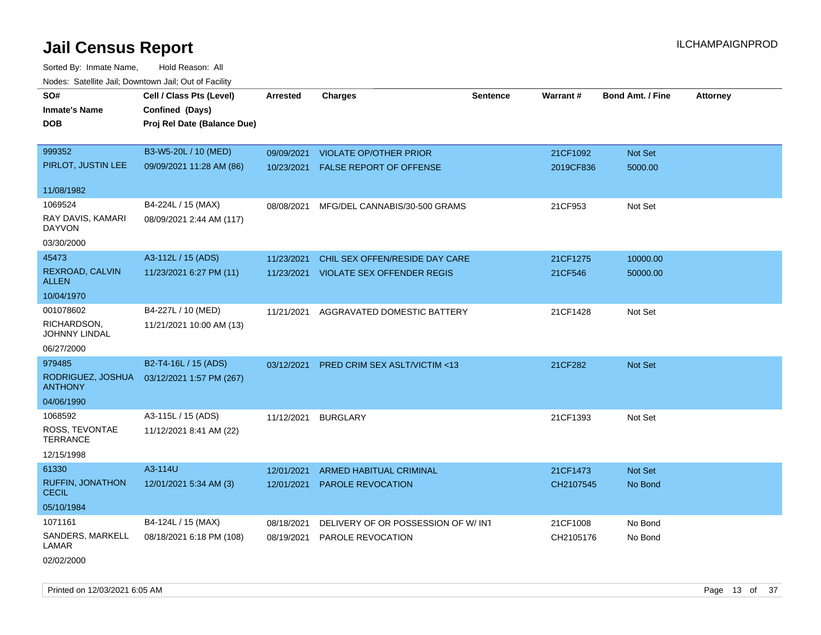| roaco. Catolino cali, Domntonn cali, Out of Facility |                             |            |                                         |                 |           |                         |                 |
|------------------------------------------------------|-----------------------------|------------|-----------------------------------------|-----------------|-----------|-------------------------|-----------------|
| SO#                                                  | Cell / Class Pts (Level)    | Arrested   | <b>Charges</b>                          | <b>Sentence</b> | Warrant#  | <b>Bond Amt. / Fine</b> | <b>Attorney</b> |
| <b>Inmate's Name</b>                                 | Confined (Days)             |            |                                         |                 |           |                         |                 |
| <b>DOB</b>                                           | Proj Rel Date (Balance Due) |            |                                         |                 |           |                         |                 |
|                                                      |                             |            |                                         |                 |           |                         |                 |
| 999352                                               | B3-W5-20L / 10 (MED)        | 09/09/2021 | <b>VIOLATE OP/OTHER PRIOR</b>           |                 | 21CF1092  | Not Set                 |                 |
| PIRLOT, JUSTIN LEE                                   | 09/09/2021 11:28 AM (86)    | 10/23/2021 | FALSE REPORT OF OFFENSE                 |                 | 2019CF836 | 5000.00                 |                 |
|                                                      |                             |            |                                         |                 |           |                         |                 |
| 11/08/1982                                           |                             |            |                                         |                 |           |                         |                 |
| 1069524                                              | B4-224L / 15 (MAX)          | 08/08/2021 | MFG/DEL CANNABIS/30-500 GRAMS           |                 | 21CF953   | Not Set                 |                 |
| RAY DAVIS, KAMARI<br><b>DAYVON</b>                   | 08/09/2021 2:44 AM (117)    |            |                                         |                 |           |                         |                 |
| 03/30/2000                                           |                             |            |                                         |                 |           |                         |                 |
| 45473                                                | A3-112L / 15 (ADS)          | 11/23/2021 | CHIL SEX OFFEN/RESIDE DAY CARE          |                 | 21CF1275  | 10000.00                |                 |
| REXROAD, CALVIN<br><b>ALLEN</b>                      | 11/23/2021 6:27 PM (11)     | 11/23/2021 | <b>VIOLATE SEX OFFENDER REGIS</b>       |                 | 21CF546   | 50000.00                |                 |
| 10/04/1970                                           |                             |            |                                         |                 |           |                         |                 |
| 001078602                                            | B4-227L / 10 (MED)          | 11/21/2021 | AGGRAVATED DOMESTIC BATTERY             |                 | 21CF1428  | Not Set                 |                 |
| RICHARDSON,<br><b>JOHNNY LINDAL</b>                  | 11/21/2021 10:00 AM (13)    |            |                                         |                 |           |                         |                 |
| 06/27/2000                                           |                             |            |                                         |                 |           |                         |                 |
| 979485                                               | B2-T4-16L / 15 (ADS)        | 03/12/2021 | <b>PRED CRIM SEX ASLT/VICTIM &lt;13</b> |                 | 21CF282   | Not Set                 |                 |
| RODRIGUEZ, JOSHUA<br><b>ANTHONY</b>                  | 03/12/2021 1:57 PM (267)    |            |                                         |                 |           |                         |                 |
| 04/06/1990                                           |                             |            |                                         |                 |           |                         |                 |
| 1068592                                              | A3-115L / 15 (ADS)          | 11/12/2021 | <b>BURGLARY</b>                         |                 | 21CF1393  | Not Set                 |                 |
| ROSS, TEVONTAE<br><b>TERRANCE</b>                    | 11/12/2021 8:41 AM (22)     |            |                                         |                 |           |                         |                 |
| 12/15/1998                                           |                             |            |                                         |                 |           |                         |                 |
| 61330                                                | A3-114U                     | 12/01/2021 | <b>ARMED HABITUAL CRIMINAL</b>          |                 | 21CF1473  | Not Set                 |                 |
| <b>RUFFIN, JONATHON</b><br><b>CECIL</b>              | 12/01/2021 5:34 AM (3)      | 12/01/2021 | PAROLE REVOCATION                       |                 | CH2107545 | No Bond                 |                 |
| 05/10/1984                                           |                             |            |                                         |                 |           |                         |                 |
| 1071161                                              | B4-124L / 15 (MAX)          | 08/18/2021 | DELIVERY OF OR POSSESSION OF W/INT      |                 | 21CF1008  | No Bond                 |                 |
| SANDERS, MARKELL<br>LAMAR                            | 08/18/2021 6:18 PM (108)    | 08/19/2021 | PAROLE REVOCATION                       |                 | CH2105176 | No Bond                 |                 |
| 02/02/2000                                           |                             |            |                                         |                 |           |                         |                 |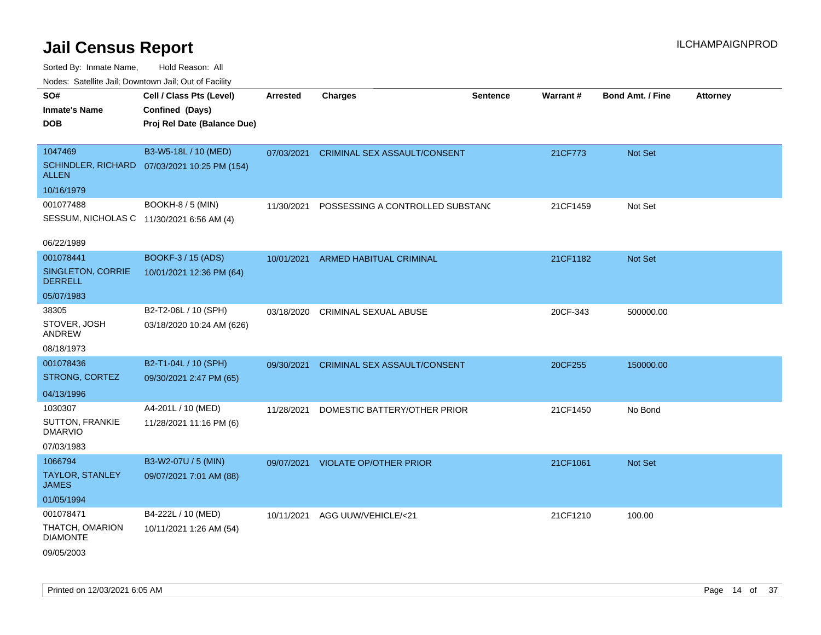| ivuutta. Saltiilitti valli, Duwilluwii Jalli, Out ol Facility |                                              |                 |                                     |                 |                 |                         |                 |
|---------------------------------------------------------------|----------------------------------------------|-----------------|-------------------------------------|-----------------|-----------------|-------------------------|-----------------|
| SO#                                                           | Cell / Class Pts (Level)                     | <b>Arrested</b> | <b>Charges</b>                      | <b>Sentence</b> | <b>Warrant#</b> | <b>Bond Amt. / Fine</b> | <b>Attorney</b> |
| <b>Inmate's Name</b>                                          | Confined (Days)                              |                 |                                     |                 |                 |                         |                 |
| <b>DOB</b>                                                    | Proj Rel Date (Balance Due)                  |                 |                                     |                 |                 |                         |                 |
|                                                               |                                              |                 |                                     |                 |                 |                         |                 |
| 1047469                                                       | B3-W5-18L / 10 (MED)                         | 07/03/2021      | CRIMINAL SEX ASSAULT/CONSENT        |                 | 21CF773         | Not Set                 |                 |
| <b>ALLEN</b>                                                  | SCHINDLER, RICHARD 07/03/2021 10:25 PM (154) |                 |                                     |                 |                 |                         |                 |
| 10/16/1979                                                    |                                              |                 |                                     |                 |                 |                         |                 |
| 001077488                                                     | BOOKH-8 / 5 (MIN)                            | 11/30/2021      | POSSESSING A CONTROLLED SUBSTANC    |                 | 21CF1459        | Not Set                 |                 |
| SESSUM, NICHOLAS C 11/30/2021 6:56 AM (4)                     |                                              |                 |                                     |                 |                 |                         |                 |
| 06/22/1989                                                    |                                              |                 |                                     |                 |                 |                         |                 |
| 001078441                                                     | BOOKF-3 / 15 (ADS)                           | 10/01/2021      | <b>ARMED HABITUAL CRIMINAL</b>      |                 | 21CF1182        | <b>Not Set</b>          |                 |
| <b>SINGLETON, CORRIE</b><br><b>DERRELL</b>                    | 10/01/2021 12:36 PM (64)                     |                 |                                     |                 |                 |                         |                 |
| 05/07/1983                                                    |                                              |                 |                                     |                 |                 |                         |                 |
| 38305                                                         | B2-T2-06L / 10 (SPH)                         | 03/18/2020      | <b>CRIMINAL SEXUAL ABUSE</b>        |                 | 20CF-343        | 500000.00               |                 |
| STOVER, JOSH<br><b>ANDREW</b>                                 | 03/18/2020 10:24 AM (626)                    |                 |                                     |                 |                 |                         |                 |
| 08/18/1973                                                    |                                              |                 |                                     |                 |                 |                         |                 |
| 001078436                                                     | B2-T1-04L / 10 (SPH)                         | 09/30/2021      | <b>CRIMINAL SEX ASSAULT/CONSENT</b> |                 | 20CF255         | 150000.00               |                 |
| STRONG, CORTEZ                                                | 09/30/2021 2:47 PM (65)                      |                 |                                     |                 |                 |                         |                 |
| 04/13/1996                                                    |                                              |                 |                                     |                 |                 |                         |                 |
| 1030307                                                       | A4-201L / 10 (MED)                           | 11/28/2021      | DOMESTIC BATTERY/OTHER PRIOR        |                 | 21CF1450        | No Bond                 |                 |
| SUTTON, FRANKIE<br><b>DMARVIO</b>                             | 11/28/2021 11:16 PM (6)                      |                 |                                     |                 |                 |                         |                 |
| 07/03/1983                                                    |                                              |                 |                                     |                 |                 |                         |                 |
| 1066794                                                       | B3-W2-07U / 5 (MIN)                          | 09/07/2021      | <b>VIOLATE OP/OTHER PRIOR</b>       |                 | 21CF1061        | Not Set                 |                 |
| <b>TAYLOR, STANLEY</b><br><b>JAMES</b>                        | 09/07/2021 7:01 AM (88)                      |                 |                                     |                 |                 |                         |                 |
| 01/05/1994                                                    |                                              |                 |                                     |                 |                 |                         |                 |
| 001078471                                                     | B4-222L / 10 (MED)                           | 10/11/2021      | AGG UUW/VEHICLE/<21                 |                 | 21CF1210        | 100.00                  |                 |
| THATCH, OMARION<br><b>DIAMONTE</b>                            | 10/11/2021 1:26 AM (54)                      |                 |                                     |                 |                 |                         |                 |
| 09/05/2003                                                    |                                              |                 |                                     |                 |                 |                         |                 |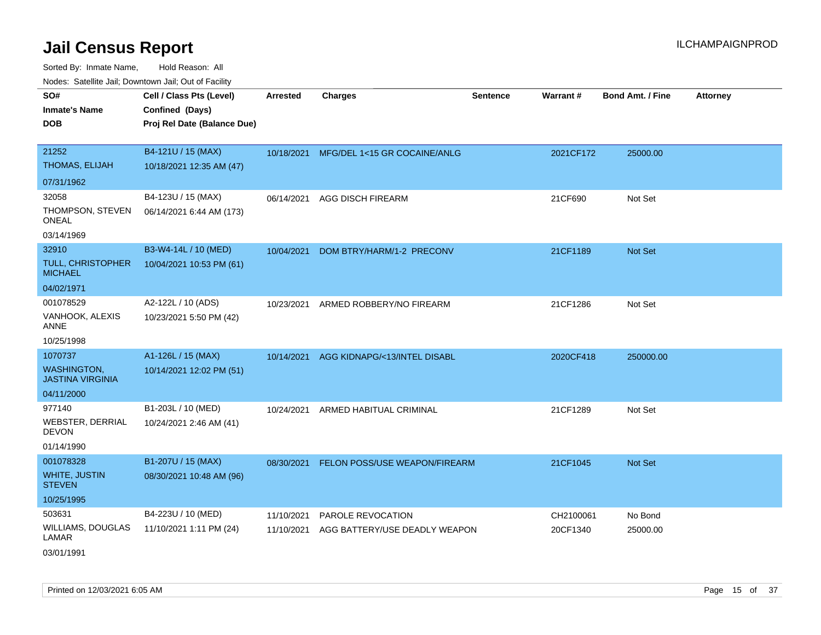| roaco. Calcinio dan, Downtown dan, Cal or Fability |                                                                            |                 |                               |                 |           |                         |                 |
|----------------------------------------------------|----------------------------------------------------------------------------|-----------------|-------------------------------|-----------------|-----------|-------------------------|-----------------|
| SO#<br>Inmate's Name<br><b>DOB</b>                 | Cell / Class Pts (Level)<br>Confined (Days)<br>Proj Rel Date (Balance Due) | <b>Arrested</b> | <b>Charges</b>                | <b>Sentence</b> | Warrant#  | <b>Bond Amt. / Fine</b> | <b>Attorney</b> |
| 21252<br>THOMAS, ELIJAH                            | B4-121U / 15 (MAX)                                                         | 10/18/2021      | MFG/DEL 1<15 GR COCAINE/ANLG  |                 | 2021CF172 | 25000.00                |                 |
|                                                    | 10/18/2021 12:35 AM (47)                                                   |                 |                               |                 |           |                         |                 |
| 07/31/1962                                         |                                                                            |                 |                               |                 |           |                         |                 |
| 32058                                              | B4-123U / 15 (MAX)                                                         | 06/14/2021      | AGG DISCH FIREARM             |                 | 21CF690   | Not Set                 |                 |
| THOMPSON, STEVEN<br>ONEAL                          | 06/14/2021 6:44 AM (173)                                                   |                 |                               |                 |           |                         |                 |
| 03/14/1969                                         |                                                                            |                 |                               |                 |           |                         |                 |
| 32910                                              | B3-W4-14L / 10 (MED)                                                       | 10/04/2021      | DOM BTRY/HARM/1-2 PRECONV     |                 | 21CF1189  | <b>Not Set</b>          |                 |
| TULL, CHRISTOPHER<br>MICHAEL                       | 10/04/2021 10:53 PM (61)                                                   |                 |                               |                 |           |                         |                 |
| 04/02/1971                                         |                                                                            |                 |                               |                 |           |                         |                 |
| 001078529                                          | A2-122L / 10 (ADS)                                                         | 10/23/2021      | ARMED ROBBERY/NO FIREARM      |                 | 21CF1286  | Not Set                 |                 |
| VANHOOK, ALEXIS<br>ANNE                            | 10/23/2021 5:50 PM (42)                                                    |                 |                               |                 |           |                         |                 |
| 10/25/1998                                         |                                                                            |                 |                               |                 |           |                         |                 |
| 1070737                                            | A1-126L / 15 (MAX)                                                         | 10/14/2021      | AGG KIDNAPG/<13/INTEL DISABL  |                 | 2020CF418 | 250000.00               |                 |
| <b>WASHINGTON,</b><br>JASTINA VIRGINIA             | 10/14/2021 12:02 PM (51)                                                   |                 |                               |                 |           |                         |                 |
| 04/11/2000                                         |                                                                            |                 |                               |                 |           |                         |                 |
| 977140                                             | B1-203L / 10 (MED)                                                         | 10/24/2021      | ARMED HABITUAL CRIMINAL       |                 | 21CF1289  | Not Set                 |                 |
| WEBSTER, DERRIAL<br>DEVON                          | 10/24/2021 2:46 AM (41)                                                    |                 |                               |                 |           |                         |                 |
| 01/14/1990                                         |                                                                            |                 |                               |                 |           |                         |                 |
| 001078328                                          | B1-207U / 15 (MAX)                                                         | 08/30/2021      | FELON POSS/USE WEAPON/FIREARM |                 | 21CF1045  | <b>Not Set</b>          |                 |
| WHITE, JUSTIN<br><b>STEVEN</b>                     | 08/30/2021 10:48 AM (96)                                                   |                 |                               |                 |           |                         |                 |
| 10/25/1995                                         |                                                                            |                 |                               |                 |           |                         |                 |
| 503631                                             | B4-223U / 10 (MED)                                                         | 11/10/2021      | PAROLE REVOCATION             |                 | CH2100061 | No Bond                 |                 |
| WILLIAMS, DOUGLAS<br>LAMAR                         | 11/10/2021 1:11 PM (24)                                                    | 11/10/2021      | AGG BATTERY/USE DEADLY WEAPON |                 | 20CF1340  | 25000.00                |                 |
| 03/01/1991                                         |                                                                            |                 |                               |                 |           |                         |                 |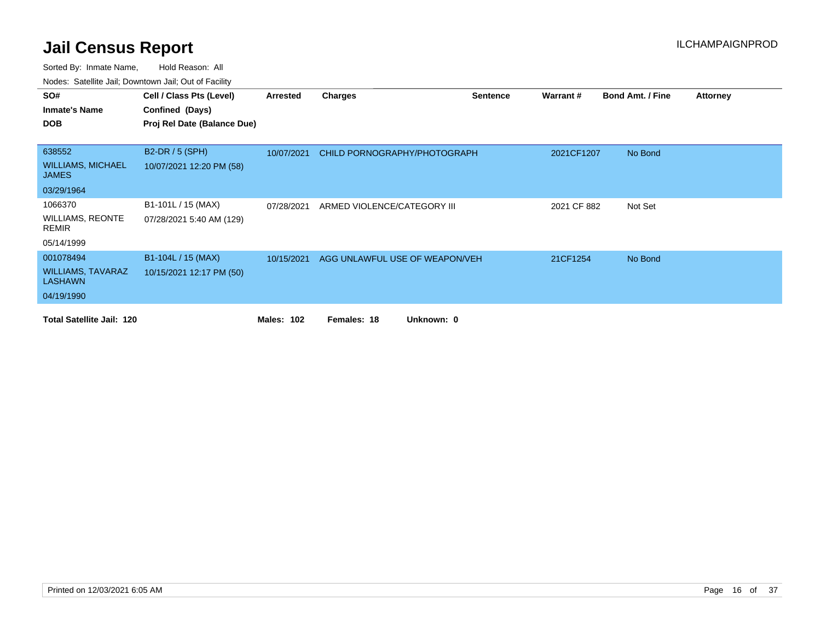| SO#                                      | Cell / Class Pts (Level)    | Arrested          | <b>Charges</b>                 | <b>Sentence</b> | Warrant#    | <b>Bond Amt. / Fine</b> | <b>Attorney</b> |
|------------------------------------------|-----------------------------|-------------------|--------------------------------|-----------------|-------------|-------------------------|-----------------|
| <b>Inmate's Name</b>                     | Confined (Days)             |                   |                                |                 |             |                         |                 |
| <b>DOB</b>                               | Proj Rel Date (Balance Due) |                   |                                |                 |             |                         |                 |
|                                          |                             |                   |                                |                 |             |                         |                 |
| 638552                                   | <b>B2-DR / 5 (SPH)</b>      | 10/07/2021        | CHILD PORNOGRAPHY/PHOTOGRAPH   |                 | 2021CF1207  | No Bond                 |                 |
| <b>WILLIAMS, MICHAEL</b><br><b>JAMES</b> | 10/07/2021 12:20 PM (58)    |                   |                                |                 |             |                         |                 |
| 03/29/1964                               |                             |                   |                                |                 |             |                         |                 |
| 1066370                                  | B1-101L / 15 (MAX)          | 07/28/2021        | ARMED VIOLENCE/CATEGORY III    |                 | 2021 CF 882 | Not Set                 |                 |
| <b>WILLIAMS, REONTE</b><br><b>REMIR</b>  | 07/28/2021 5:40 AM (129)    |                   |                                |                 |             |                         |                 |
| 05/14/1999                               |                             |                   |                                |                 |             |                         |                 |
| 001078494                                | B1-104L / 15 (MAX)          | 10/15/2021        | AGG UNLAWFUL USE OF WEAPON/VEH |                 | 21CF1254    | No Bond                 |                 |
| <b>WILLIAMS, TAVARAZ</b><br>LASHAWN      | 10/15/2021 12:17 PM (50)    |                   |                                |                 |             |                         |                 |
| 04/19/1990                               |                             |                   |                                |                 |             |                         |                 |
| <b>Total Satellite Jail: 120</b>         |                             | <b>Males: 102</b> | Females: 18<br>Unknown: 0      |                 |             |                         |                 |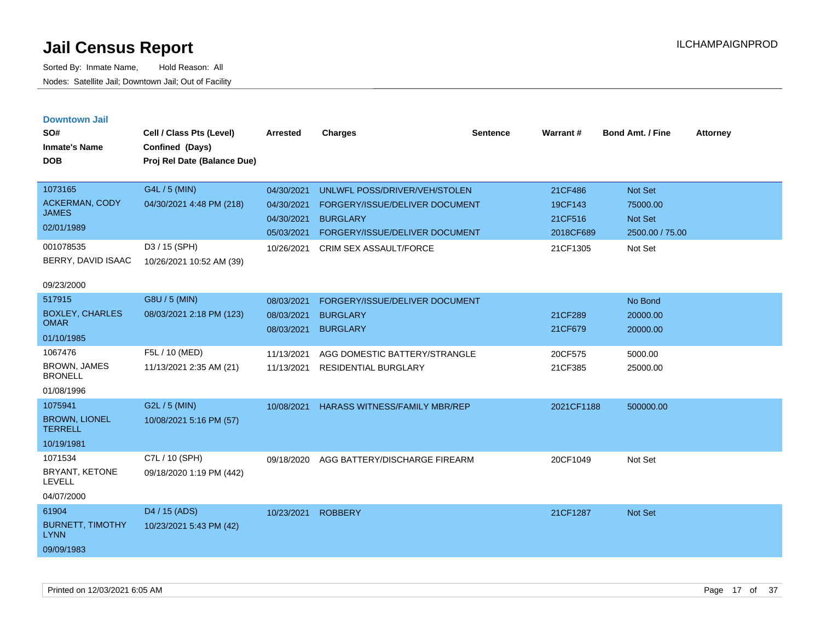|  |  | <b>Downtown Jail</b> |  |
|--|--|----------------------|--|
|  |  |                      |  |

| SO#<br><b>Inmate's Name</b><br><b>DOB</b> | Cell / Class Pts (Level)<br>Confined (Days)<br>Proj Rel Date (Balance Due) | <b>Arrested</b> | <b>Charges</b>                       | <b>Sentence</b> | Warrant#   | <b>Bond Amt. / Fine</b> | <b>Attorney</b> |
|-------------------------------------------|----------------------------------------------------------------------------|-----------------|--------------------------------------|-----------------|------------|-------------------------|-----------------|
| 1073165                                   | G4L / 5 (MIN)                                                              | 04/30/2021      | UNLWFL POSS/DRIVER/VEH/STOLEN        |                 | 21CF486    | Not Set                 |                 |
| <b>ACKERMAN, CODY</b><br><b>JAMES</b>     | 04/30/2021 4:48 PM (218)                                                   | 04/30/2021      | FORGERY/ISSUE/DELIVER DOCUMENT       |                 | 19CF143    | 75000.00                |                 |
| 02/01/1989                                |                                                                            | 04/30/2021      | <b>BURGLARY</b>                      |                 | 21CF516    | Not Set                 |                 |
|                                           |                                                                            | 05/03/2021      | FORGERY/ISSUE/DELIVER DOCUMENT       |                 | 2018CF689  | 2500.00 / 75.00         |                 |
| 001078535                                 | D3 / 15 (SPH)                                                              | 10/26/2021      | CRIM SEX ASSAULT/FORCE               |                 | 21CF1305   | Not Set                 |                 |
| BERRY, DAVID ISAAC                        | 10/26/2021 10:52 AM (39)                                                   |                 |                                      |                 |            |                         |                 |
| 09/23/2000                                |                                                                            |                 |                                      |                 |            |                         |                 |
| 517915                                    | G8U / 5 (MIN)                                                              | 08/03/2021      | FORGERY/ISSUE/DELIVER DOCUMENT       |                 |            | No Bond                 |                 |
| <b>BOXLEY, CHARLES</b><br><b>OMAR</b>     | 08/03/2021 2:18 PM (123)                                                   | 08/03/2021      | <b>BURGLARY</b>                      |                 | 21CF289    | 20000.00                |                 |
|                                           |                                                                            | 08/03/2021      | <b>BURGLARY</b>                      |                 | 21CF679    | 20000.00                |                 |
| 01/10/1985                                |                                                                            |                 |                                      |                 |            |                         |                 |
| 1067476                                   | F5L / 10 (MED)                                                             | 11/13/2021      | AGG DOMESTIC BATTERY/STRANGLE        |                 | 20CF575    | 5000.00                 |                 |
| <b>BROWN, JAMES</b><br><b>BRONELL</b>     | 11/13/2021 2:35 AM (21)                                                    | 11/13/2021      | <b>RESIDENTIAL BURGLARY</b>          |                 | 21CF385    | 25000.00                |                 |
| 01/08/1996                                |                                                                            |                 |                                      |                 |            |                         |                 |
| 1075941                                   | G2L / 5 (MIN)                                                              | 10/08/2021      | <b>HARASS WITNESS/FAMILY MBR/REP</b> |                 | 2021CF1188 | 500000.00               |                 |
| <b>BROWN, LIONEL</b><br><b>TERRELL</b>    | 10/08/2021 5:16 PM (57)                                                    |                 |                                      |                 |            |                         |                 |
| 10/19/1981                                |                                                                            |                 |                                      |                 |            |                         |                 |
| 1071534                                   | C7L / 10 (SPH)                                                             | 09/18/2020      | AGG BATTERY/DISCHARGE FIREARM        |                 | 20CF1049   | Not Set                 |                 |
| BRYANT, KETONE<br><b>LEVELL</b>           | 09/18/2020 1:19 PM (442)                                                   |                 |                                      |                 |            |                         |                 |
| 04/07/2000                                |                                                                            |                 |                                      |                 |            |                         |                 |
| 61904                                     | D4 / 15 (ADS)                                                              | 10/23/2021      | <b>ROBBERY</b>                       |                 | 21CF1287   | Not Set                 |                 |
| <b>BURNETT, TIMOTHY</b><br><b>LYNN</b>    | 10/23/2021 5:43 PM (42)                                                    |                 |                                      |                 |            |                         |                 |
| 09/09/1983                                |                                                                            |                 |                                      |                 |            |                         |                 |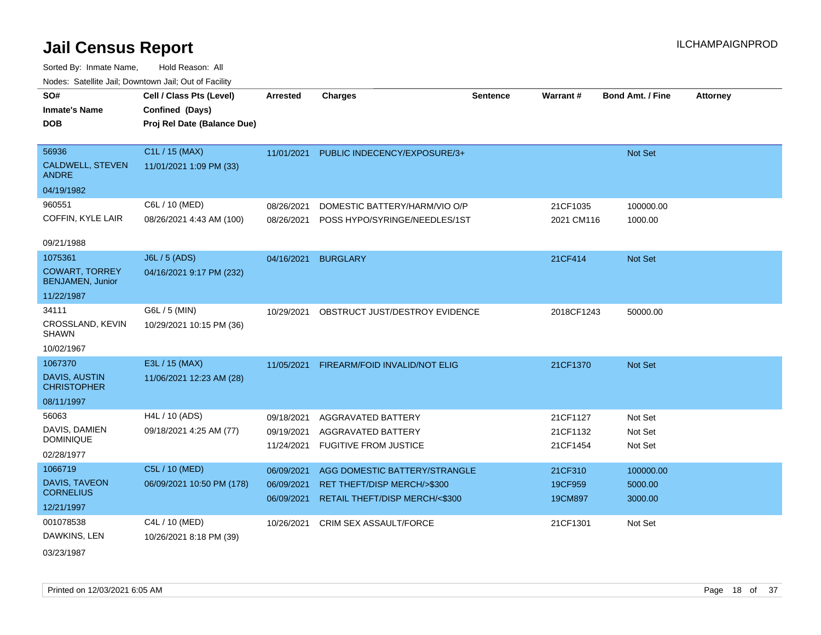| SO#<br><b>Inmate's Name</b><br><b>DOB</b>        | Cell / Class Pts (Level)<br>Confined (Days)<br>Proj Rel Date (Balance Due) | <b>Arrested</b> | <b>Charges</b>                 | <b>Sentence</b> | Warrant#   | <b>Bond Amt. / Fine</b> | <b>Attorney</b> |
|--------------------------------------------------|----------------------------------------------------------------------------|-----------------|--------------------------------|-----------------|------------|-------------------------|-----------------|
|                                                  |                                                                            |                 |                                |                 |            |                         |                 |
| 56936                                            | C1L / 15 (MAX)                                                             | 11/01/2021      | PUBLIC INDECENCY/EXPOSURE/3+   |                 |            | Not Set                 |                 |
| CALDWELL, STEVEN<br><b>ANDRE</b>                 | 11/01/2021 1:09 PM (33)                                                    |                 |                                |                 |            |                         |                 |
| 04/19/1982                                       |                                                                            |                 |                                |                 |            |                         |                 |
| 960551                                           | C6L / 10 (MED)                                                             | 08/26/2021      | DOMESTIC BATTERY/HARM/VIO O/P  |                 | 21CF1035   | 100000.00               |                 |
| COFFIN, KYLE LAIR                                | 08/26/2021 4:43 AM (100)                                                   | 08/26/2021      | POSS HYPO/SYRINGE/NEEDLES/1ST  |                 | 2021 CM116 | 1000.00                 |                 |
| 09/21/1988                                       |                                                                            |                 |                                |                 |            |                         |                 |
| 1075361                                          | J6L / 5 (ADS)                                                              | 04/16/2021      | <b>BURGLARY</b>                |                 | 21CF414    | Not Set                 |                 |
| <b>COWART, TORREY</b><br><b>BENJAMEN, Junior</b> | 04/16/2021 9:17 PM (232)                                                   |                 |                                |                 |            |                         |                 |
| 11/22/1987                                       |                                                                            |                 |                                |                 |            |                         |                 |
| 34111                                            | G6L / 5 (MIN)                                                              | 10/29/2021      | OBSTRUCT JUST/DESTROY EVIDENCE |                 | 2018CF1243 | 50000.00                |                 |
| CROSSLAND, KEVIN<br><b>SHAWN</b>                 | 10/29/2021 10:15 PM (36)                                                   |                 |                                |                 |            |                         |                 |
| 10/02/1967                                       |                                                                            |                 |                                |                 |            |                         |                 |
| 1067370                                          | E3L / 15 (MAX)                                                             | 11/05/2021      | FIREARM/FOID INVALID/NOT ELIG  |                 | 21CF1370   | <b>Not Set</b>          |                 |
| DAVIS, AUSTIN<br><b>CHRISTOPHER</b>              | 11/06/2021 12:23 AM (28)                                                   |                 |                                |                 |            |                         |                 |
| 08/11/1997                                       |                                                                            |                 |                                |                 |            |                         |                 |
| 56063                                            | H4L / 10 (ADS)                                                             | 09/18/2021      | AGGRAVATED BATTERY             |                 | 21CF1127   | Not Set                 |                 |
| DAVIS, DAMIEN                                    | 09/18/2021 4:25 AM (77)                                                    | 09/19/2021      | AGGRAVATED BATTERY             |                 | 21CF1132   | Not Set                 |                 |
| <b>DOMINIQUE</b>                                 |                                                                            | 11/24/2021      | <b>FUGITIVE FROM JUSTICE</b>   |                 | 21CF1454   | Not Set                 |                 |
| 02/28/1977                                       |                                                                            |                 |                                |                 |            |                         |                 |
| 1066719                                          | C5L / 10 (MED)                                                             | 06/09/2021      | AGG DOMESTIC BATTERY/STRANGLE  |                 | 21CF310    | 100000.00               |                 |
| DAVIS, TAVEON<br><b>CORNELIUS</b>                | 06/09/2021 10:50 PM (178)                                                  | 06/09/2021      | RET THEFT/DISP MERCH/>\$300    |                 | 19CF959    | 5000.00                 |                 |
| 12/21/1997                                       |                                                                            | 06/09/2021      | RETAIL THEFT/DISP MERCH/<\$300 |                 | 19CM897    | 3000.00                 |                 |
| 001078538                                        | C4L / 10 (MED)                                                             | 10/26/2021      | <b>CRIM SEX ASSAULT/FORCE</b>  |                 | 21CF1301   |                         |                 |
| DAWKINS, LEN                                     | 10/26/2021 8:18 PM (39)                                                    |                 |                                |                 |            | Not Set                 |                 |
| 03/23/1987                                       |                                                                            |                 |                                |                 |            |                         |                 |
|                                                  |                                                                            |                 |                                |                 |            |                         |                 |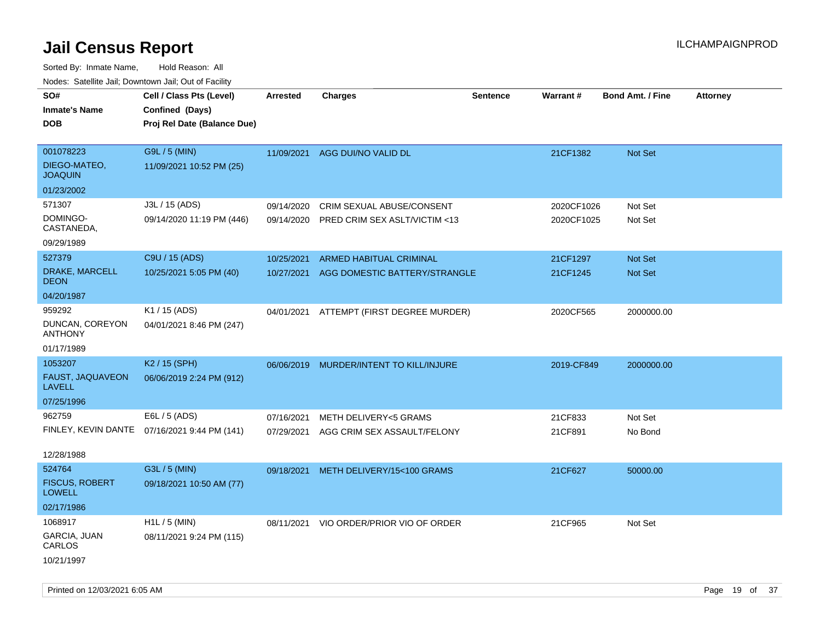Sorted By: Inmate Name, Hold Reason: All Nodes: Satellite Jail; Downtown Jail; Out of Facility

| roacs. Catellite Jall, Downtown Jall, Out of Facility |                                              |                 |                                          |                 |            |                         |                 |
|-------------------------------------------------------|----------------------------------------------|-----------------|------------------------------------------|-----------------|------------|-------------------------|-----------------|
| SO#                                                   | Cell / Class Pts (Level)                     | <b>Arrested</b> | <b>Charges</b>                           | <b>Sentence</b> | Warrant#   | <b>Bond Amt. / Fine</b> | <b>Attorney</b> |
| <b>Inmate's Name</b>                                  | Confined (Days)                              |                 |                                          |                 |            |                         |                 |
| <b>DOB</b>                                            | Proj Rel Date (Balance Due)                  |                 |                                          |                 |            |                         |                 |
|                                                       |                                              |                 |                                          |                 |            |                         |                 |
| 001078223                                             | G9L / 5 (MIN)                                |                 | 11/09/2021 AGG DUI/NO VALID DL           |                 | 21CF1382   | <b>Not Set</b>          |                 |
| DIEGO-MATEO,<br><b>JOAQUIN</b>                        | 11/09/2021 10:52 PM (25)                     |                 |                                          |                 |            |                         |                 |
| 01/23/2002                                            |                                              |                 |                                          |                 |            |                         |                 |
| 571307                                                | J3L / 15 (ADS)                               | 09/14/2020      | CRIM SEXUAL ABUSE/CONSENT                |                 | 2020CF1026 | Not Set                 |                 |
| DOMINGO-<br>CASTANEDA,                                | 09/14/2020 11:19 PM (446)                    | 09/14/2020      | PRED CRIM SEX ASLT/VICTIM <13            |                 | 2020CF1025 | Not Set                 |                 |
| 09/29/1989                                            |                                              |                 |                                          |                 |            |                         |                 |
| 527379                                                | C9U / 15 (ADS)                               | 10/25/2021      | <b>ARMED HABITUAL CRIMINAL</b>           |                 | 21CF1297   | <b>Not Set</b>          |                 |
| DRAKE, MARCELL<br><b>DEON</b>                         | 10/25/2021 5:05 PM (40)                      | 10/27/2021      | AGG DOMESTIC BATTERY/STRANGLE            |                 | 21CF1245   | <b>Not Set</b>          |                 |
| 04/20/1987                                            |                                              |                 |                                          |                 |            |                         |                 |
| 959292                                                | K1 / 15 (ADS)                                |                 | 04/01/2021 ATTEMPT (FIRST DEGREE MURDER) |                 | 2020CF565  | 2000000.00              |                 |
| DUNCAN, COREYON<br><b>ANTHONY</b>                     | 04/01/2021 8:46 PM (247)                     |                 |                                          |                 |            |                         |                 |
| 01/17/1989                                            |                                              |                 |                                          |                 |            |                         |                 |
| 1053207                                               | K <sub>2</sub> / 15 (SPH)                    | 06/06/2019      | MURDER/INTENT TO KILL/INJURE             |                 | 2019-CF849 | 2000000.00              |                 |
| FAUST, JAQUAVEON<br><b>LAVELL</b>                     | 06/06/2019 2:24 PM (912)                     |                 |                                          |                 |            |                         |                 |
| 07/25/1996                                            |                                              |                 |                                          |                 |            |                         |                 |
| 962759                                                | E6L / 5 (ADS)                                | 07/16/2021      | <b>METH DELIVERY&lt;5 GRAMS</b>          |                 | 21CF833    | Not Set                 |                 |
|                                                       | FINLEY, KEVIN DANTE 07/16/2021 9:44 PM (141) |                 | 07/29/2021 AGG CRIM SEX ASSAULT/FELONY   |                 | 21CF891    | No Bond                 |                 |
|                                                       |                                              |                 |                                          |                 |            |                         |                 |
| 12/28/1988                                            |                                              |                 |                                          |                 |            |                         |                 |
| 524764                                                | G3L / 5 (MIN)                                | 09/18/2021      | METH DELIVERY/15<100 GRAMS               |                 | 21CF627    | 50000.00                |                 |
| <b>FISCUS, ROBERT</b><br><b>LOWELL</b>                | 09/18/2021 10:50 AM (77)                     |                 |                                          |                 |            |                         |                 |
| 02/17/1986                                            |                                              |                 |                                          |                 |            |                         |                 |
| 1068917                                               | $H1L / 5$ (MIN)                              |                 | 08/11/2021 VIO ORDER/PRIOR VIO OF ORDER  |                 | 21CF965    | Not Set                 |                 |
| GARCIA, JUAN<br>CARLOS                                | 08/11/2021 9:24 PM (115)                     |                 |                                          |                 |            |                         |                 |
| 10/21/1997                                            |                                              |                 |                                          |                 |            |                         |                 |

Printed on 12/03/2021 6:05 AM **Page 19 of 37**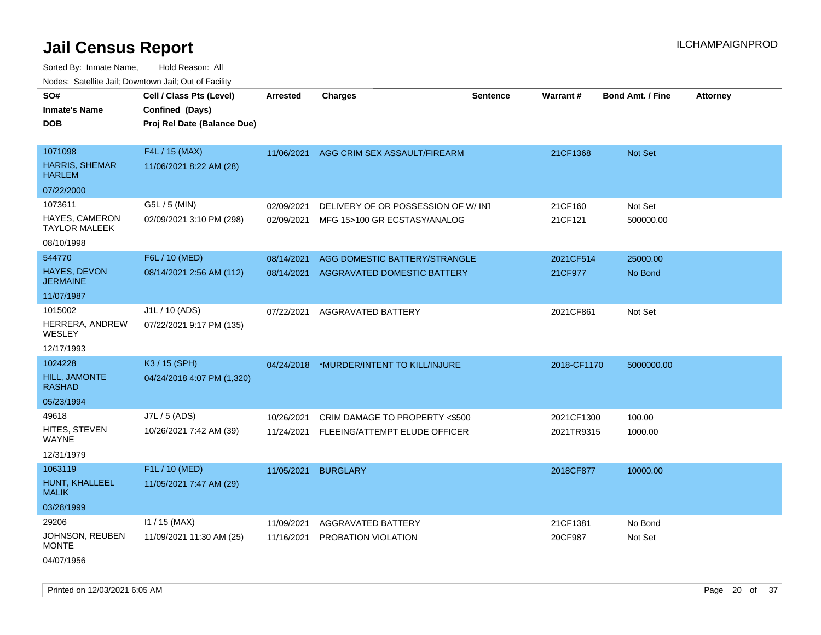| SO#<br><b>Inmate's Name</b>                   | Cell / Class Pts (Level)<br>Confined (Days) | Arrested   | <b>Charges</b>                           | <b>Sentence</b> | Warrant#    | <b>Bond Amt. / Fine</b> | <b>Attorney</b> |
|-----------------------------------------------|---------------------------------------------|------------|------------------------------------------|-----------------|-------------|-------------------------|-----------------|
| <b>DOB</b>                                    | Proj Rel Date (Balance Due)                 |            |                                          |                 |             |                         |                 |
|                                               |                                             |            |                                          |                 |             |                         |                 |
| 1071098                                       | F4L / 15 (MAX)                              |            | 11/06/2021 AGG CRIM SEX ASSAULT/FIREARM  |                 | 21CF1368    | Not Set                 |                 |
| <b>HARRIS, SHEMAR</b><br><b>HARLEM</b>        | 11/06/2021 8:22 AM (28)                     |            |                                          |                 |             |                         |                 |
| 07/22/2000                                    |                                             |            |                                          |                 |             |                         |                 |
| 1073611                                       | G5L / 5 (MIN)                               | 02/09/2021 | DELIVERY OF OR POSSESSION OF W/INT       |                 | 21CF160     | Not Set                 |                 |
| <b>HAYES, CAMERON</b><br><b>TAYLOR MALEEK</b> | 02/09/2021 3:10 PM (298)                    | 02/09/2021 | MFG 15>100 GR ECSTASY/ANALOG             |                 | 21CF121     | 500000.00               |                 |
| 08/10/1998                                    |                                             |            |                                          |                 |             |                         |                 |
| 544770                                        | F6L / 10 (MED)                              | 08/14/2021 | AGG DOMESTIC BATTERY/STRANGLE            |                 | 2021CF514   | 25000.00                |                 |
| HAYES, DEVON<br><b>JERMAINE</b>               | 08/14/2021 2:56 AM (112)                    | 08/14/2021 | AGGRAVATED DOMESTIC BATTERY              |                 | 21CF977     | No Bond                 |                 |
| 11/07/1987                                    |                                             |            |                                          |                 |             |                         |                 |
| 1015002                                       | J1L / 10 (ADS)                              | 07/22/2021 | AGGRAVATED BATTERY                       |                 | 2021CF861   | Not Set                 |                 |
| HERRERA, ANDREW<br>WESLEY                     | 07/22/2021 9:17 PM (135)                    |            |                                          |                 |             |                         |                 |
| 12/17/1993                                    |                                             |            |                                          |                 |             |                         |                 |
| 1024228                                       | K3 / 15 (SPH)                               |            | 04/24/2018 *MURDER/INTENT TO KILL/INJURE |                 | 2018-CF1170 | 5000000.00              |                 |
| <b>HILL, JAMONTE</b><br><b>RASHAD</b>         | 04/24/2018 4:07 PM (1,320)                  |            |                                          |                 |             |                         |                 |
| 05/23/1994                                    |                                             |            |                                          |                 |             |                         |                 |
| 49618                                         | J7L / 5 (ADS)                               | 10/26/2021 | CRIM DAMAGE TO PROPERTY <\$500           |                 | 2021CF1300  | 100.00                  |                 |
| HITES, STEVEN<br><b>WAYNE</b>                 | 10/26/2021 7:42 AM (39)                     | 11/24/2021 | FLEEING/ATTEMPT ELUDE OFFICER            |                 | 2021TR9315  | 1000.00                 |                 |
| 12/31/1979                                    |                                             |            |                                          |                 |             |                         |                 |
| 1063119                                       | F1L / 10 (MED)                              | 11/05/2021 | <b>BURGLARY</b>                          |                 | 2018CF877   | 10000.00                |                 |
| HUNT, KHALLEEL<br><b>MALIK</b>                | 11/05/2021 7:47 AM (29)                     |            |                                          |                 |             |                         |                 |
| 03/28/1999                                    |                                             |            |                                          |                 |             |                         |                 |
| 29206                                         | $11 / 15$ (MAX)                             | 11/09/2021 | AGGRAVATED BATTERY                       |                 | 21CF1381    | No Bond                 |                 |
| JOHNSON, REUBEN<br><b>MONTE</b>               | 11/09/2021 11:30 AM (25)                    | 11/16/2021 | PROBATION VIOLATION                      |                 | 20CF987     | Not Set                 |                 |
| 04/07/1956                                    |                                             |            |                                          |                 |             |                         |                 |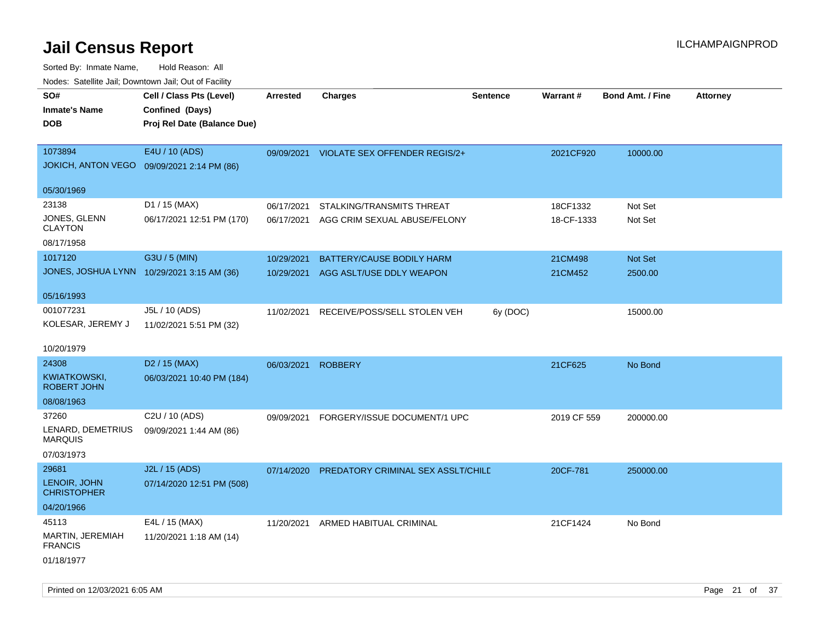| Nodes. Satellite Jali, Downtown Jali, Out of Facility |                                            |                 |                                          |                 |                 |                         |                 |
|-------------------------------------------------------|--------------------------------------------|-----------------|------------------------------------------|-----------------|-----------------|-------------------------|-----------------|
| SO#                                                   | Cell / Class Pts (Level)                   | <b>Arrested</b> | <b>Charges</b>                           | <b>Sentence</b> | <b>Warrant#</b> | <b>Bond Amt. / Fine</b> | <b>Attorney</b> |
| <b>Inmate's Name</b>                                  | Confined (Days)                            |                 |                                          |                 |                 |                         |                 |
| <b>DOB</b>                                            | Proj Rel Date (Balance Due)                |                 |                                          |                 |                 |                         |                 |
|                                                       |                                            |                 |                                          |                 |                 |                         |                 |
| 1073894                                               | E4U / 10 (ADS)                             |                 | 09/09/2021 VIOLATE SEX OFFENDER REGIS/2+ |                 | 2021CF920       | 10000.00                |                 |
|                                                       | JOKICH, ANTON VEGO 09/09/2021 2:14 PM (86) |                 |                                          |                 |                 |                         |                 |
|                                                       |                                            |                 |                                          |                 |                 |                         |                 |
| 05/30/1969                                            |                                            |                 |                                          |                 |                 |                         |                 |
| 23138                                                 | D1 / 15 (MAX)                              | 06/17/2021      | STALKING/TRANSMITS THREAT                |                 | 18CF1332        | Not Set                 |                 |
| JONES, GLENN<br>CLAYTON                               | 06/17/2021 12:51 PM (170)                  | 06/17/2021      | AGG CRIM SEXUAL ABUSE/FELONY             |                 | 18-CF-1333      | Not Set                 |                 |
|                                                       |                                            |                 |                                          |                 |                 |                         |                 |
| 08/17/1958                                            |                                            |                 |                                          |                 |                 |                         |                 |
| 1017120                                               | G3U / 5 (MIN)                              | 10/29/2021      | <b>BATTERY/CAUSE BODILY HARM</b>         |                 | 21CM498         | Not Set                 |                 |
|                                                       | JONES, JOSHUA LYNN 10/29/2021 3:15 AM (36) | 10/29/2021      | AGG ASLT/USE DDLY WEAPON                 |                 | 21CM452         | 2500.00                 |                 |
| 05/16/1993                                            |                                            |                 |                                          |                 |                 |                         |                 |
| 001077231                                             | J5L / 10 (ADS)                             | 11/02/2021      | RECEIVE/POSS/SELL STOLEN VEH             | 6y (DOC)        |                 | 15000.00                |                 |
| KOLESAR, JEREMY J                                     | 11/02/2021 5:51 PM (32)                    |                 |                                          |                 |                 |                         |                 |
|                                                       |                                            |                 |                                          |                 |                 |                         |                 |
| 10/20/1979                                            |                                            |                 |                                          |                 |                 |                         |                 |
| 24308                                                 | D <sub>2</sub> / 15 (MAX)                  | 06/03/2021      | <b>ROBBERY</b>                           |                 | 21CF625         | No Bond                 |                 |
| KWIATKOWSKI.                                          | 06/03/2021 10:40 PM (184)                  |                 |                                          |                 |                 |                         |                 |
| <b>ROBERT JOHN</b>                                    |                                            |                 |                                          |                 |                 |                         |                 |
| 08/08/1963                                            |                                            |                 |                                          |                 |                 |                         |                 |
| 37260                                                 | C2U / 10 (ADS)                             | 09/09/2021      | FORGERY/ISSUE DOCUMENT/1 UPC             |                 | 2019 CF 559     | 200000.00               |                 |
| LENARD, DEMETRIUS<br>MARQUIS                          | 09/09/2021 1:44 AM (86)                    |                 |                                          |                 |                 |                         |                 |
| 07/03/1973                                            |                                            |                 |                                          |                 |                 |                         |                 |
| 29681                                                 | J2L / 15 (ADS)                             | 07/14/2020      | PREDATORY CRIMINAL SEX ASSLT/CHILD       |                 | 20CF-781        | 250000.00               |                 |
| LENOIR, JOHN                                          | 07/14/2020 12:51 PM (508)                  |                 |                                          |                 |                 |                         |                 |
| CHRISTOPHER                                           |                                            |                 |                                          |                 |                 |                         |                 |
| 04/20/1966                                            |                                            |                 |                                          |                 |                 |                         |                 |
| 45113                                                 | E4L / 15 (MAX)                             | 11/20/2021      | ARMED HABITUAL CRIMINAL                  |                 | 21CF1424        | No Bond                 |                 |
| MARTIN, JEREMIAH<br><b>FRANCIS</b>                    | 11/20/2021 1:18 AM (14)                    |                 |                                          |                 |                 |                         |                 |
| 01/18/1977                                            |                                            |                 |                                          |                 |                 |                         |                 |
|                                                       |                                            |                 |                                          |                 |                 |                         |                 |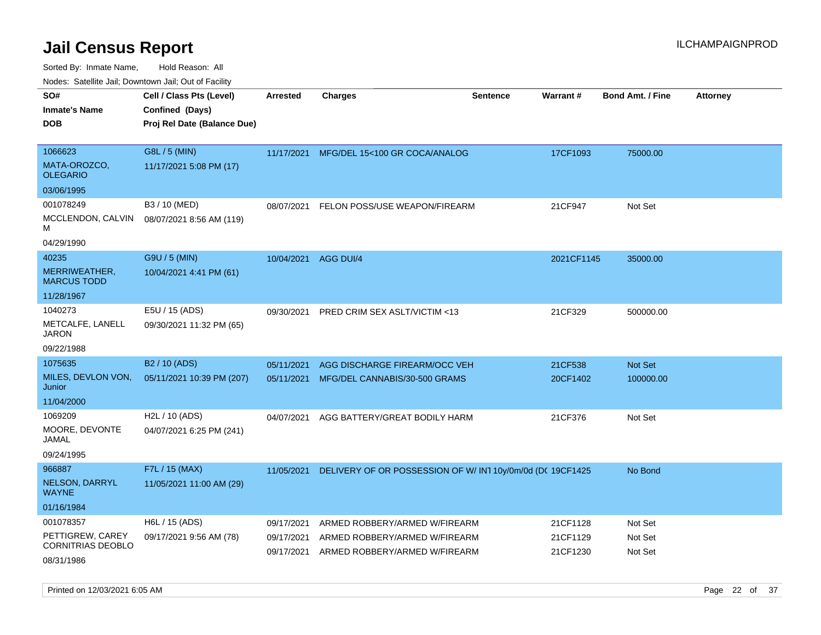Sorted By: Inmate Name, Hold Reason: All Nodes: Satellite Jail; Downtown Jail; Out of Facility

| roacs. Catellite Jall, Downtown Jall, Out of Facility                   |                                                                            |                                        |                                                                                                 |                 |                                  |                                 |                 |
|-------------------------------------------------------------------------|----------------------------------------------------------------------------|----------------------------------------|-------------------------------------------------------------------------------------------------|-----------------|----------------------------------|---------------------------------|-----------------|
| SO#<br><b>Inmate's Name</b><br><b>DOB</b>                               | Cell / Class Pts (Level)<br>Confined (Days)<br>Proj Rel Date (Balance Due) | <b>Arrested</b>                        | <b>Charges</b>                                                                                  | <b>Sentence</b> | Warrant#                         | <b>Bond Amt. / Fine</b>         | <b>Attorney</b> |
| 1066623<br>MATA-OROZCO,<br><b>OLEGARIO</b>                              | G8L / 5 (MIN)<br>11/17/2021 5:08 PM (17)                                   |                                        | 11/17/2021 MFG/DEL 15<100 GR COCA/ANALOG                                                        |                 | 17CF1093                         | 75000.00                        |                 |
| 03/06/1995<br>001078249<br>MCCLENDON, CALVIN<br>м<br>04/29/1990         | B3 / 10 (MED)<br>08/07/2021 8:56 AM (119)                                  | 08/07/2021                             | FELON POSS/USE WEAPON/FIREARM                                                                   |                 | 21CF947                          | Not Set                         |                 |
| 40235<br>MERRIWEATHER,<br><b>MARCUS TODD</b><br>11/28/1967              | G9U / 5 (MIN)<br>10/04/2021 4:41 PM (61)                                   | 10/04/2021                             | AGG DUI/4                                                                                       |                 | 2021CF1145                       | 35000.00                        |                 |
| 1040273<br>METCALFE, LANELL<br><b>JARON</b><br>09/22/1988               | E5U / 15 (ADS)<br>09/30/2021 11:32 PM (65)                                 | 09/30/2021                             | PRED CRIM SEX ASLT/VICTIM <13                                                                   |                 | 21CF329                          | 500000.00                       |                 |
| 1075635<br>MILES, DEVLON VON,<br>Junior<br>11/04/2000<br>1069209        | B <sub>2</sub> / 10 (ADS)<br>05/11/2021 10:39 PM (207)<br>H2L / 10 (ADS)   | 05/11/2021<br>05/11/2021<br>04/07/2021 | AGG DISCHARGE FIREARM/OCC VEH<br>MFG/DEL CANNABIS/30-500 GRAMS<br>AGG BATTERY/GREAT BODILY HARM |                 | 21CF538<br>20CF1402<br>21CF376   | Not Set<br>100000.00<br>Not Set |                 |
| MOORE, DEVONTE<br>JAMAL<br>09/24/1995                                   | 04/07/2021 6:25 PM (241)                                                   |                                        |                                                                                                 |                 |                                  |                                 |                 |
| 966887<br>NELSON, DARRYL<br><b>WAYNE</b><br>01/16/1984                  | F7L / 15 (MAX)<br>11/05/2021 11:00 AM (29)                                 | 11/05/2021                             | DELIVERY OF OR POSSESSION OF W/ IN1 10y/0m/0d (DC 19CF1425                                      |                 |                                  | No Bond                         |                 |
| 001078357<br>PETTIGREW, CAREY<br><b>CORNITRIAS DEOBLO</b><br>08/31/1986 | H6L / 15 (ADS)<br>09/17/2021 9:56 AM (78)                                  | 09/17/2021<br>09/17/2021<br>09/17/2021 | ARMED ROBBERY/ARMED W/FIREARM<br>ARMED ROBBERY/ARMED W/FIREARM<br>ARMED ROBBERY/ARMED W/FIREARM |                 | 21CF1128<br>21CF1129<br>21CF1230 | Not Set<br>Not Set<br>Not Set   |                 |

Printed on 12/03/2021 6:05 AM Page 22 of 37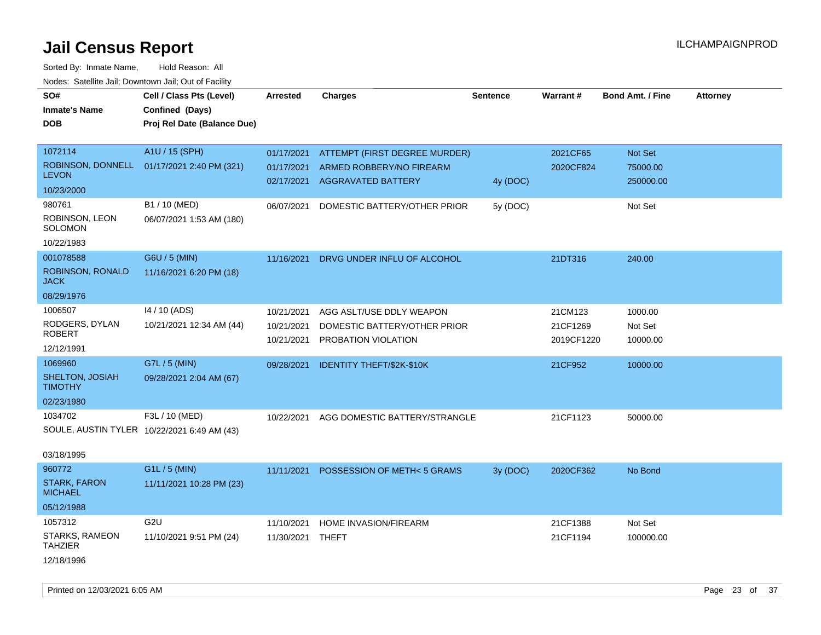| roaco. Odichile Jan, Downtown Jan, Out of Facility |                                                                            |            |                               |                 |            |                         |                 |
|----------------------------------------------------|----------------------------------------------------------------------------|------------|-------------------------------|-----------------|------------|-------------------------|-----------------|
| SO#<br><b>Inmate's Name</b><br><b>DOB</b>          | Cell / Class Pts (Level)<br>Confined (Days)<br>Proj Rel Date (Balance Due) | Arrested   | <b>Charges</b>                | <b>Sentence</b> | Warrant#   | <b>Bond Amt. / Fine</b> | <b>Attorney</b> |
|                                                    |                                                                            |            |                               |                 |            |                         |                 |
| 1072114                                            | A1U / 15 (SPH)                                                             | 01/17/2021 | ATTEMPT (FIRST DEGREE MURDER) |                 | 2021CF65   | Not Set                 |                 |
| ROBINSON, DONNELL                                  | 01/17/2021 2:40 PM (321)                                                   | 01/17/2021 | ARMED ROBBERY/NO FIREARM      |                 | 2020CF824  | 75000.00                |                 |
| <b>LEVON</b>                                       |                                                                            | 02/17/2021 | <b>AGGRAVATED BATTERY</b>     | 4y (DOC)        |            | 250000.00               |                 |
| 10/23/2000                                         |                                                                            |            |                               |                 |            |                         |                 |
| 980761                                             | B1 / 10 (MED)                                                              | 06/07/2021 | DOMESTIC BATTERY/OTHER PRIOR  | 5y(DOC)         |            | Not Set                 |                 |
| ROBINSON, LEON<br>SOLOMON                          | 06/07/2021 1:53 AM (180)                                                   |            |                               |                 |            |                         |                 |
| 10/22/1983                                         |                                                                            |            |                               |                 |            |                         |                 |
| 001078588                                          | G6U / 5 (MIN)                                                              | 11/16/2021 | DRVG UNDER INFLU OF ALCOHOL   |                 | 21DT316    | 240.00                  |                 |
| ROBINSON, RONALD<br><b>JACK</b>                    | 11/16/2021 6:20 PM (18)                                                    |            |                               |                 |            |                         |                 |
| 08/29/1976                                         |                                                                            |            |                               |                 |            |                         |                 |
| 1006507                                            | 14 / 10 (ADS)                                                              | 10/21/2021 | AGG ASLT/USE DDLY WEAPON      |                 | 21CM123    | 1000.00                 |                 |
| RODGERS, DYLAN                                     | 10/21/2021 12:34 AM (44)                                                   | 10/21/2021 | DOMESTIC BATTERY/OTHER PRIOR  |                 | 21CF1269   | Not Set                 |                 |
| <b>ROBERT</b>                                      |                                                                            | 10/21/2021 | PROBATION VIOLATION           |                 | 2019CF1220 | 10000.00                |                 |
| 12/12/1991                                         |                                                                            |            |                               |                 |            |                         |                 |
| 1069960                                            | G7L / 5 (MIN)                                                              | 09/28/2021 | IDENTITY THEFT/\$2K-\$10K     |                 | 21CF952    | 10000.00                |                 |
| SHELTON, JOSIAH<br><b>TIMOTHY</b>                  | 09/28/2021 2:04 AM (67)                                                    |            |                               |                 |            |                         |                 |
| 02/23/1980                                         |                                                                            |            |                               |                 |            |                         |                 |
| 1034702                                            | F3L / 10 (MED)                                                             | 10/22/2021 | AGG DOMESTIC BATTERY/STRANGLE |                 | 21CF1123   | 50000.00                |                 |
| SOULE, AUSTIN TYLER 10/22/2021 6:49 AM (43)        |                                                                            |            |                               |                 |            |                         |                 |
| 03/18/1995                                         |                                                                            |            |                               |                 |            |                         |                 |
| 960772                                             | G1L / 5 (MIN)                                                              | 11/11/2021 | POSSESSION OF METH<5 GRAMS    | 3y (DOC)        | 2020CF362  | No Bond                 |                 |
| <b>STARK, FARON</b><br><b>MICHAEL</b>              | 11/11/2021 10:28 PM (23)                                                   |            |                               |                 |            |                         |                 |
| 05/12/1988                                         |                                                                            |            |                               |                 |            |                         |                 |
| 1057312                                            | G <sub>2U</sub>                                                            | 11/10/2021 | HOME INVASION/FIREARM         |                 | 21CF1388   | Not Set                 |                 |
| STARKS, RAMEON<br><b>TAHZIER</b>                   | 11/10/2021 9:51 PM (24)                                                    | 11/30/2021 | THEFT                         |                 | 21CF1194   | 100000.00               |                 |
| 12/18/1996                                         |                                                                            |            |                               |                 |            |                         |                 |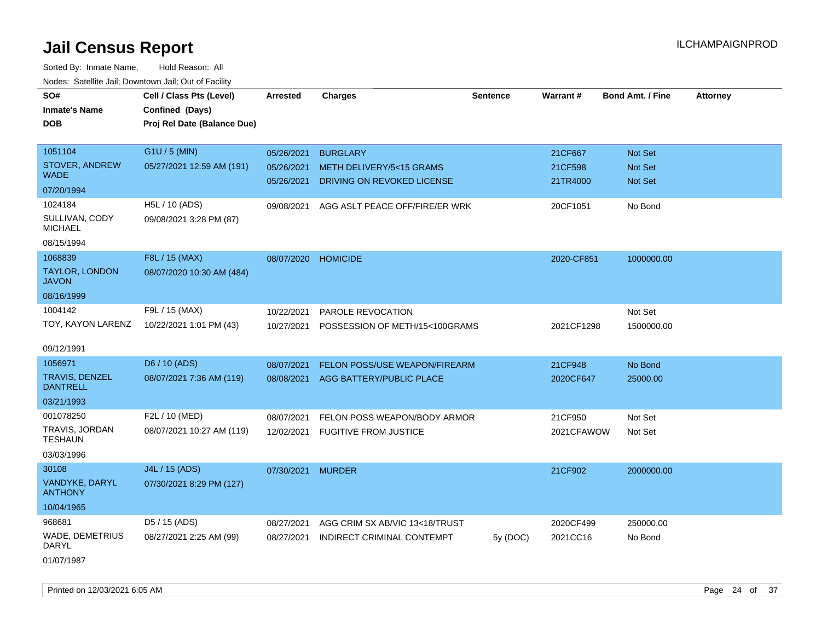Sorted By: Inmate Name, Hold Reason: All Nodes: Satellite Jail; Downtown Jail; Out of Facility

| wacs. Calcillic Jali, Downtown Jali, Out of Facility |                             |            |                                      |                 |            |                         |                 |
|------------------------------------------------------|-----------------------------|------------|--------------------------------------|-----------------|------------|-------------------------|-----------------|
| SO#                                                  | Cell / Class Pts (Level)    | Arrested   | <b>Charges</b>                       | <b>Sentence</b> | Warrant#   | <b>Bond Amt. / Fine</b> | <b>Attorney</b> |
| <b>Inmate's Name</b>                                 | Confined (Days)             |            |                                      |                 |            |                         |                 |
| DOB                                                  | Proj Rel Date (Balance Due) |            |                                      |                 |            |                         |                 |
|                                                      |                             |            |                                      |                 |            |                         |                 |
| 1051104                                              | G1U / 5 (MIN)               | 05/26/2021 | <b>BURGLARY</b>                      |                 | 21CF667    | <b>Not Set</b>          |                 |
| <b>STOVER, ANDREW</b>                                | 05/27/2021 12:59 AM (191)   | 05/26/2021 | <b>METH DELIVERY/5&lt;15 GRAMS</b>   |                 | 21CF598    | <b>Not Set</b>          |                 |
| <b>WADE</b>                                          |                             | 05/26/2021 | DRIVING ON REVOKED LICENSE           |                 | 21TR4000   | <b>Not Set</b>          |                 |
| 07/20/1994                                           |                             |            |                                      |                 |            |                         |                 |
| 1024184                                              | H5L / 10 (ADS)              | 09/08/2021 | AGG ASLT PEACE OFF/FIRE/ER WRK       |                 | 20CF1051   | No Bond                 |                 |
| SULLIVAN, CODY<br><b>MICHAEL</b>                     | 09/08/2021 3:28 PM (87)     |            |                                      |                 |            |                         |                 |
| 08/15/1994                                           |                             |            |                                      |                 |            |                         |                 |
| 1068839                                              | F8L / 15 (MAX)              | 08/07/2020 | <b>HOMICIDE</b>                      |                 | 2020-CF851 | 1000000.00              |                 |
| <b>TAYLOR, LONDON</b><br><b>JAVON</b>                | 08/07/2020 10:30 AM (484)   |            |                                      |                 |            |                         |                 |
| 08/16/1999                                           |                             |            |                                      |                 |            |                         |                 |
| 1004142                                              | F9L / 15 (MAX)              | 10/22/2021 | <b>PAROLE REVOCATION</b>             |                 |            | Not Set                 |                 |
| TOY, KAYON LARENZ                                    | 10/22/2021 1:01 PM (43)     | 10/27/2021 | POSSESSION OF METH/15<100GRAMS       |                 | 2021CF1298 | 1500000.00              |                 |
|                                                      |                             |            |                                      |                 |            |                         |                 |
| 09/12/1991                                           |                             |            |                                      |                 |            |                         |                 |
| 1056971                                              | D6 / 10 (ADS)               | 08/07/2021 | <b>FELON POSS/USE WEAPON/FIREARM</b> |                 | 21CF948    | No Bond                 |                 |
| <b>TRAVIS, DENZEL</b><br><b>DANTRELL</b>             | 08/07/2021 7:36 AM (119)    | 08/08/2021 | AGG BATTERY/PUBLIC PLACE             |                 | 2020CF647  | 25000.00                |                 |
| 03/21/1993                                           |                             |            |                                      |                 |            |                         |                 |
| 001078250                                            | F2L / 10 (MED)              | 08/07/2021 | FELON POSS WEAPON/BODY ARMOR         |                 | 21CF950    | Not Set                 |                 |
| TRAVIS, JORDAN<br><b>TESHAUN</b>                     | 08/07/2021 10:27 AM (119)   |            | 12/02/2021 FUGITIVE FROM JUSTICE     |                 | 2021CFAWOW | Not Set                 |                 |
| 03/03/1996                                           |                             |            |                                      |                 |            |                         |                 |
| 30108                                                | J4L / 15 (ADS)              | 07/30/2021 | <b>MURDER</b>                        |                 | 21CF902    | 2000000.00              |                 |
| VANDYKE, DARYL<br><b>ANTHONY</b>                     | 07/30/2021 8:29 PM (127)    |            |                                      |                 |            |                         |                 |
| 10/04/1965                                           |                             |            |                                      |                 |            |                         |                 |
| 968681                                               | D5 / 15 (ADS)               | 08/27/2021 | AGG CRIM SX AB/VIC 13<18/TRUST       |                 | 2020CF499  | 250000.00               |                 |
| <b>WADE, DEMETRIUS</b><br>DARYL                      | 08/27/2021 2:25 AM (99)     | 08/27/2021 | INDIRECT CRIMINAL CONTEMPT           | 5y (DOC)        | 2021CC16   | No Bond                 |                 |
| 0.10710000                                           |                             |            |                                      |                 |            |                         |                 |

01/07/1987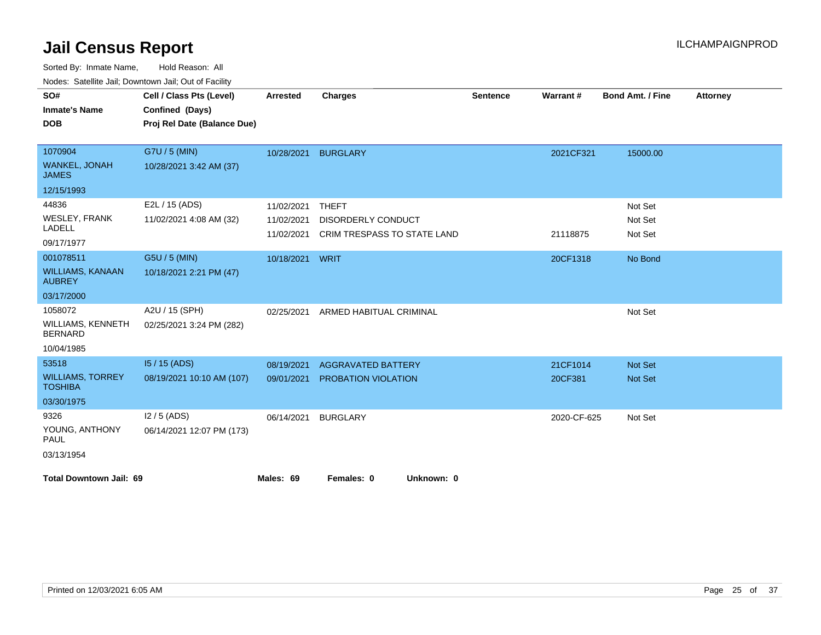| roaco. Catolino dall, Downtown dall, Out of Fability<br>SO# | Cell / Class Pts (Level)    | <b>Arrested</b> | <b>Charges</b>              | <b>Sentence</b> | Warrant#    | <b>Bond Amt. / Fine</b> | <b>Attorney</b> |
|-------------------------------------------------------------|-----------------------------|-----------------|-----------------------------|-----------------|-------------|-------------------------|-----------------|
| <b>Inmate's Name</b>                                        | Confined (Days)             |                 |                             |                 |             |                         |                 |
| <b>DOB</b>                                                  | Proj Rel Date (Balance Due) |                 |                             |                 |             |                         |                 |
|                                                             |                             |                 |                             |                 |             |                         |                 |
| 1070904                                                     | G7U / 5 (MIN)               | 10/28/2021      | <b>BURGLARY</b>             |                 | 2021CF321   | 15000.00                |                 |
| <b>WANKEL, JONAH</b><br><b>JAMES</b>                        | 10/28/2021 3:42 AM (37)     |                 |                             |                 |             |                         |                 |
| 12/15/1993                                                  |                             |                 |                             |                 |             |                         |                 |
| 44836                                                       | E2L / 15 (ADS)              | 11/02/2021      | <b>THEFT</b>                |                 |             | Not Set                 |                 |
| <b>WESLEY, FRANK</b>                                        | 11/02/2021 4:08 AM (32)     | 11/02/2021      | <b>DISORDERLY CONDUCT</b>   |                 |             | Not Set                 |                 |
| LADELL                                                      |                             | 11/02/2021      | CRIM TRESPASS TO STATE LAND |                 | 21118875    | Not Set                 |                 |
| 09/17/1977                                                  |                             |                 |                             |                 |             |                         |                 |
| 001078511                                                   | G5U / 5 (MIN)               | 10/18/2021      | WRIT                        |                 | 20CF1318    | No Bond                 |                 |
| <b>WILLIAMS, KANAAN</b><br><b>AUBREY</b>                    | 10/18/2021 2:21 PM (47)     |                 |                             |                 |             |                         |                 |
| 03/17/2000                                                  |                             |                 |                             |                 |             |                         |                 |
| 1058072                                                     | A2U / 15 (SPH)              | 02/25/2021      | ARMED HABITUAL CRIMINAL     |                 |             | Not Set                 |                 |
| <b>WILLIAMS, KENNETH</b><br><b>BERNARD</b>                  | 02/25/2021 3:24 PM (282)    |                 |                             |                 |             |                         |                 |
| 10/04/1985                                                  |                             |                 |                             |                 |             |                         |                 |
| 53518                                                       | 15 / 15 (ADS)               | 08/19/2021      | <b>AGGRAVATED BATTERY</b>   |                 | 21CF1014    | Not Set                 |                 |
| <b>WILLIAMS, TORREY</b><br><b>TOSHIBA</b>                   | 08/19/2021 10:10 AM (107)   | 09/01/2021      | <b>PROBATION VIOLATION</b>  |                 | 20CF381     | <b>Not Set</b>          |                 |
| 03/30/1975                                                  |                             |                 |                             |                 |             |                         |                 |
| 9326                                                        | $12/5$ (ADS)                | 06/14/2021      | <b>BURGLARY</b>             |                 | 2020-CF-625 | Not Set                 |                 |
| YOUNG, ANTHONY<br>PAUL                                      | 06/14/2021 12:07 PM (173)   |                 |                             |                 |             |                         |                 |
| 03/13/1954                                                  |                             |                 |                             |                 |             |                         |                 |
| <b>Total Downtown Jail: 69</b>                              |                             | Males: 69       | Females: 0<br>Unknown: 0    |                 |             |                         |                 |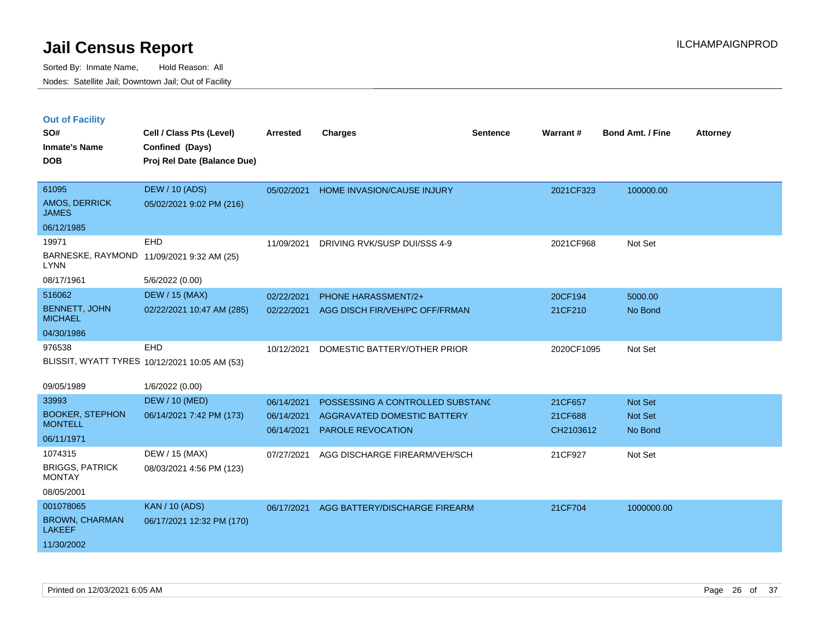|  | <b>Out of Facility</b> |  |
|--|------------------------|--|

| SO#<br><b>Inmate's Name</b><br><b>DOB</b>                                     | Cell / Class Pts (Level)<br>Confined (Days)<br>Proj Rel Date (Balance Due) | <b>Arrested</b>                        | <b>Charges</b>                                                                              | <b>Sentence</b> | Warrant#                        | <b>Bond Amt. / Fine</b>              | <b>Attorney</b> |
|-------------------------------------------------------------------------------|----------------------------------------------------------------------------|----------------------------------------|---------------------------------------------------------------------------------------------|-----------------|---------------------------------|--------------------------------------|-----------------|
| 61095<br>AMOS, DERRICK<br><b>JAMES</b>                                        | <b>DEW / 10 (ADS)</b><br>05/02/2021 9:02 PM (216)                          | 05/02/2021                             | HOME INVASION/CAUSE INJURY                                                                  |                 | 2021CF323                       | 100000.00                            |                 |
| 06/12/1985<br>19971<br><b>LYNN</b><br>08/17/1961                              | <b>EHD</b><br>BARNESKE, RAYMOND 11/09/2021 9:32 AM (25)<br>5/6/2022 (0.00) | 11/09/2021                             | DRIVING RVK/SUSP DUI/SSS 4-9                                                                |                 | 2021CF968                       | Not Set                              |                 |
| 516062<br><b>BENNETT, JOHN</b><br><b>MICHAEL</b><br>04/30/1986                | <b>DEW / 15 (MAX)</b><br>02/22/2021 10:47 AM (285)                         | 02/22/2021<br>02/22/2021               | <b>PHONE HARASSMENT/2+</b><br>AGG DISCH FIR/VEH/PC OFF/FRMAN                                |                 | 20CF194<br>21CF210              | 5000.00<br>No Bond                   |                 |
| 976538                                                                        | EHD<br>BLISSIT, WYATT TYRES 10/12/2021 10:05 AM (53)                       | 10/12/2021                             | DOMESTIC BATTERY/OTHER PRIOR                                                                |                 | 2020CF1095                      | Not Set                              |                 |
| 09/05/1989<br>33993<br><b>BOOKER, STEPHON</b><br><b>MONTELL</b><br>06/11/1971 | 1/6/2022 (0.00)<br><b>DEW / 10 (MED)</b><br>06/14/2021 7:42 PM (173)       | 06/14/2021<br>06/14/2021<br>06/14/2021 | POSSESSING A CONTROLLED SUBSTANC<br>AGGRAVATED DOMESTIC BATTERY<br><b>PAROLE REVOCATION</b> |                 | 21CF657<br>21CF688<br>CH2103612 | <b>Not Set</b><br>Not Set<br>No Bond |                 |
| 1074315<br><b>BRIGGS, PATRICK</b><br><b>MONTAY</b><br>08/05/2001              | DEW / 15 (MAX)<br>08/03/2021 4:56 PM (123)                                 | 07/27/2021                             | AGG DISCHARGE FIREARM/VEH/SCH                                                               |                 | 21CF927                         | Not Set                              |                 |
| 001078065<br><b>BROWN, CHARMAN</b><br><b>LAKEEF</b><br>11/30/2002             | <b>KAN / 10 (ADS)</b><br>06/17/2021 12:32 PM (170)                         | 06/17/2021                             | AGG BATTERY/DISCHARGE FIREARM                                                               |                 | 21CF704                         | 1000000.00                           |                 |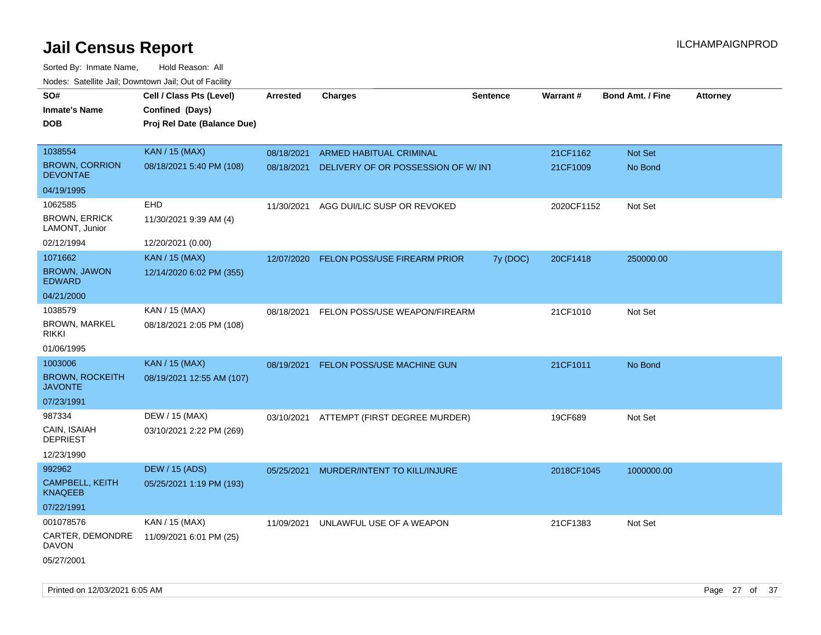| noaco. Catomto can, Domntonn can, Cat or I domt<br>SO# | Cell / Class Pts (Level)                       | Arrested   | <b>Charges</b>                           | <b>Sentence</b> | <b>Warrant#</b> | <b>Bond Amt. / Fine</b> | <b>Attorney</b> |
|--------------------------------------------------------|------------------------------------------------|------------|------------------------------------------|-----------------|-----------------|-------------------------|-----------------|
| <b>Inmate's Name</b><br><b>DOB</b>                     | Confined (Days)<br>Proj Rel Date (Balance Due) |            |                                          |                 |                 |                         |                 |
| 1038554                                                | <b>KAN / 15 (MAX)</b>                          | 08/18/2021 | ARMED HABITUAL CRIMINAL                  |                 | 21CF1162        | <b>Not Set</b>          |                 |
| <b>BROWN, CORRION</b><br><b>DEVONTAE</b>               | 08/18/2021 5:40 PM (108)                       | 08/18/2021 | DELIVERY OF OR POSSESSION OF W/INT       |                 | 21CF1009        | No Bond                 |                 |
| 04/19/1995                                             |                                                |            |                                          |                 |                 |                         |                 |
| 1062585                                                | <b>EHD</b>                                     | 11/30/2021 | AGG DUI/LIC SUSP OR REVOKED              |                 | 2020CF1152      | Not Set                 |                 |
| <b>BROWN, ERRICK</b><br>LAMONT, Junior                 | 11/30/2021 9:39 AM (4)                         |            |                                          |                 |                 |                         |                 |
| 02/12/1994                                             | 12/20/2021 (0.00)                              |            |                                          |                 |                 |                         |                 |
| 1071662                                                | <b>KAN / 15 (MAX)</b>                          | 12/07/2020 | FELON POSS/USE FIREARM PRIOR             | 7y (DOC)        | 20CF1418        | 250000.00               |                 |
| <b>BROWN, JAWON</b><br><b>EDWARD</b>                   | 12/14/2020 6:02 PM (355)                       |            |                                          |                 |                 |                         |                 |
| 04/21/2000                                             |                                                |            |                                          |                 |                 |                         |                 |
| 1038579                                                | KAN / 15 (MAX)                                 | 08/18/2021 | FELON POSS/USE WEAPON/FIREARM            |                 | 21CF1010        | Not Set                 |                 |
| <b>BROWN, MARKEL</b><br><b>RIKKI</b>                   | 08/18/2021 2:05 PM (108)                       |            |                                          |                 |                 |                         |                 |
| 01/06/1995                                             |                                                |            |                                          |                 |                 |                         |                 |
| 1003006                                                | <b>KAN / 15 (MAX)</b>                          | 08/19/2021 | FELON POSS/USE MACHINE GUN               |                 | 21CF1011        | No Bond                 |                 |
| <b>BROWN, ROCKEITH</b><br><b>JAVONTE</b>               | 08/19/2021 12:55 AM (107)                      |            |                                          |                 |                 |                         |                 |
| 07/23/1991                                             |                                                |            |                                          |                 |                 |                         |                 |
| 987334                                                 | DEW / 15 (MAX)                                 |            | 03/10/2021 ATTEMPT (FIRST DEGREE MURDER) |                 | 19CF689         | Not Set                 |                 |
| CAIN, ISAIAH<br><b>DEPRIEST</b>                        | 03/10/2021 2:22 PM (269)                       |            |                                          |                 |                 |                         |                 |
| 12/23/1990                                             |                                                |            |                                          |                 |                 |                         |                 |
| 992962                                                 | <b>DEW / 15 (ADS)</b>                          | 05/25/2021 | MURDER/INTENT TO KILL/INJURE             |                 | 2018CF1045      | 1000000.00              |                 |
| CAMPBELL, KEITH<br><b>KNAQEEB</b>                      | 05/25/2021 1:19 PM (193)                       |            |                                          |                 |                 |                         |                 |
| 07/22/1991                                             |                                                |            |                                          |                 |                 |                         |                 |
| 001078576                                              | KAN / 15 (MAX)                                 | 11/09/2021 | UNLAWFUL USE OF A WEAPON                 |                 | 21CF1383        | Not Set                 |                 |
| CARTER, DEMONDRE<br>DAVON                              | 11/09/2021 6:01 PM (25)                        |            |                                          |                 |                 |                         |                 |
| 05/27/2001                                             |                                                |            |                                          |                 |                 |                         |                 |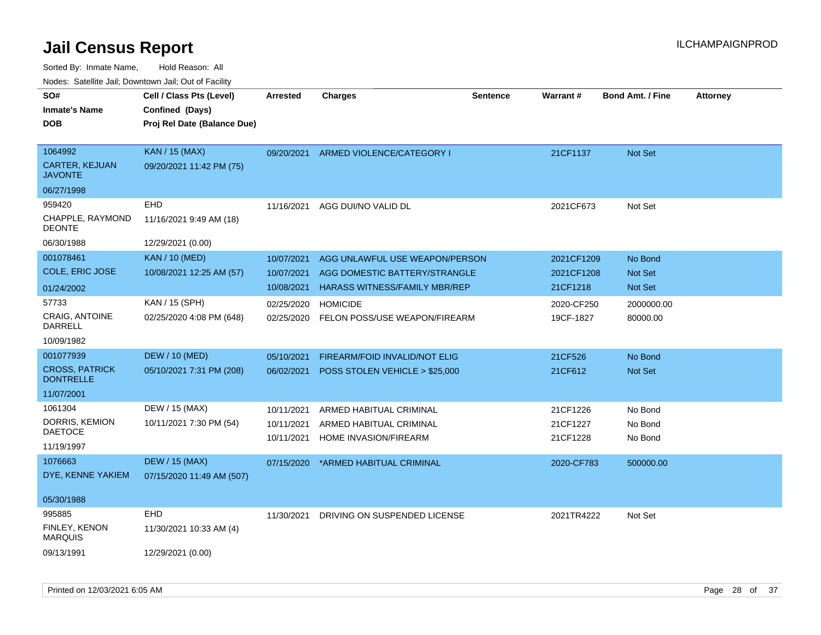| ivouss. Saleline Jali, Downtown Jali, Out of Facility<br>SO#<br><b>Inmate's Name</b> | Cell / Class Pts (Level)<br>Confined (Days) | <b>Arrested</b> | <b>Charges</b>                 | <b>Sentence</b> | <b>Warrant#</b> | <b>Bond Amt. / Fine</b> | <b>Attorney</b> |
|--------------------------------------------------------------------------------------|---------------------------------------------|-----------------|--------------------------------|-----------------|-----------------|-------------------------|-----------------|
| <b>DOB</b>                                                                           | Proj Rel Date (Balance Due)                 |                 |                                |                 |                 |                         |                 |
| 1064992                                                                              | <b>KAN / 15 (MAX)</b>                       | 09/20/2021      | ARMED VIOLENCE/CATEGORY I      |                 | 21CF1137        | Not Set                 |                 |
| <b>CARTER, KEJUAN</b><br><b>JAVONTE</b>                                              | 09/20/2021 11:42 PM (75)                    |                 |                                |                 |                 |                         |                 |
| 06/27/1998                                                                           |                                             |                 |                                |                 |                 |                         |                 |
| 959420                                                                               | <b>EHD</b>                                  | 11/16/2021      | AGG DUI/NO VALID DL            |                 | 2021CF673       | Not Set                 |                 |
| CHAPPLE, RAYMOND<br><b>DEONTE</b>                                                    | 11/16/2021 9:49 AM (18)                     |                 |                                |                 |                 |                         |                 |
| 06/30/1988                                                                           | 12/29/2021 (0.00)                           |                 |                                |                 |                 |                         |                 |
| 001078461                                                                            | <b>KAN / 10 (MED)</b>                       | 10/07/2021      | AGG UNLAWFUL USE WEAPON/PERSON |                 | 2021CF1209      | No Bond                 |                 |
| COLE, ERIC JOSE                                                                      | 10/08/2021 12:25 AM (57)                    | 10/07/2021      | AGG DOMESTIC BATTERY/STRANGLE  |                 | 2021CF1208      | Not Set                 |                 |
| 01/24/2002                                                                           |                                             | 10/08/2021      | HARASS WITNESS/FAMILY MBR/REP  |                 | 21CF1218        | Not Set                 |                 |
| 57733                                                                                | KAN / 15 (SPH)                              | 02/25/2020      | <b>HOMICIDE</b>                |                 | 2020-CF250      | 2000000.00              |                 |
| CRAIG, ANTOINE<br>DARRELL                                                            | 02/25/2020 4:08 PM (648)                    | 02/25/2020      | FELON POSS/USE WEAPON/FIREARM  |                 | 19CF-1827       | 80000.00                |                 |
| 10/09/1982                                                                           |                                             |                 |                                |                 |                 |                         |                 |
| 001077939                                                                            | <b>DEW / 10 (MED)</b>                       | 05/10/2021      | FIREARM/FOID INVALID/NOT ELIG  |                 | 21CF526         | No Bond                 |                 |
| <b>CROSS, PATRICK</b><br><b>DONTRELLE</b>                                            | 05/10/2021 7:31 PM (208)                    | 06/02/2021      | POSS STOLEN VEHICLE > \$25,000 |                 | 21CF612         | <b>Not Set</b>          |                 |
| 11/07/2001                                                                           |                                             |                 |                                |                 |                 |                         |                 |
| 1061304                                                                              | DEW / 15 (MAX)                              | 10/11/2021      | ARMED HABITUAL CRIMINAL        |                 | 21CF1226        | No Bond                 |                 |
| DORRIS, KEMION                                                                       | 10/11/2021 7:30 PM (54)                     | 10/11/2021      | ARMED HABITUAL CRIMINAL        |                 | 21CF1227        | No Bond                 |                 |
| DAETOCE                                                                              |                                             | 10/11/2021      | HOME INVASION/FIREARM          |                 | 21CF1228        | No Bond                 |                 |
| 11/19/1997                                                                           |                                             |                 |                                |                 |                 |                         |                 |
| 1076663<br>DYE, KENNE YAKIEM                                                         | <b>DEW / 15 (MAX)</b>                       | 07/15/2020      | *ARMED HABITUAL CRIMINAL       |                 | 2020-CF783      | 500000.00               |                 |
|                                                                                      | 07/15/2020 11:49 AM (507)                   |                 |                                |                 |                 |                         |                 |
| 05/30/1988                                                                           |                                             |                 |                                |                 |                 |                         |                 |
| 995885                                                                               | EHD                                         | 11/30/2021      | DRIVING ON SUSPENDED LICENSE   |                 | 2021TR4222      | Not Set                 |                 |
| <b>FINLEY, KENON</b><br>MARQUIS                                                      | 11/30/2021 10:33 AM (4)                     |                 |                                |                 |                 |                         |                 |
| 09/13/1991                                                                           | 12/29/2021 (0.00)                           |                 |                                |                 |                 |                         |                 |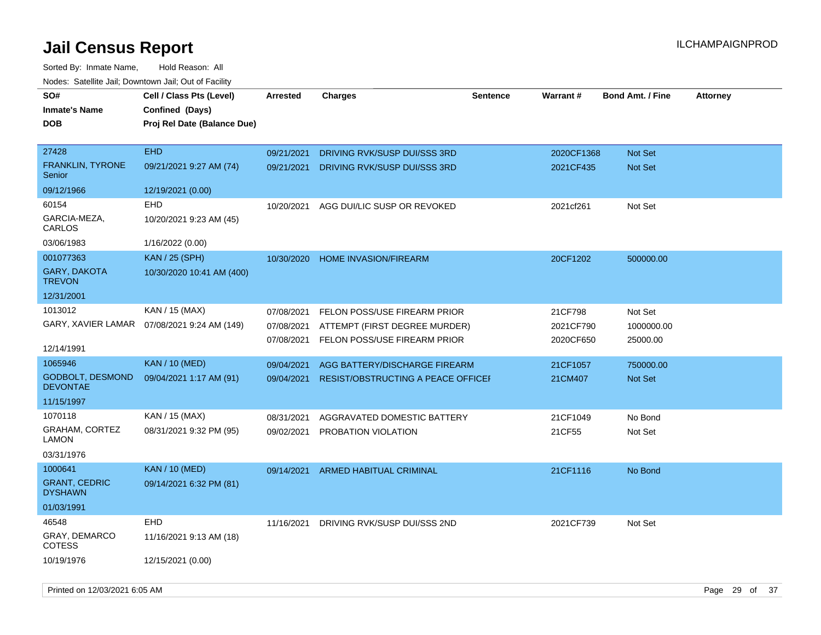| SO#<br>Inmate's Name<br><b>DOB</b>         | Cell / Class Pts (Level)<br>Confined (Days)<br>Proj Rel Date (Balance Due) | <b>Arrested</b> | <b>Charges</b>                            | <b>Sentence</b> | <b>Warrant#</b> | <b>Bond Amt. / Fine</b> | <b>Attorney</b> |
|--------------------------------------------|----------------------------------------------------------------------------|-----------------|-------------------------------------------|-----------------|-----------------|-------------------------|-----------------|
| 27428                                      | <b>EHD</b>                                                                 | 09/21/2021      | DRIVING RVK/SUSP DUI/SSS 3RD              |                 | 2020CF1368      | <b>Not Set</b>          |                 |
| <b>FRANKLIN, TYRONE</b><br>Senior          | 09/21/2021 9:27 AM (74)                                                    | 09/21/2021      | DRIVING RVK/SUSP DUI/SSS 3RD              |                 | 2021CF435       | Not Set                 |                 |
| 09/12/1966                                 | 12/19/2021 (0.00)                                                          |                 |                                           |                 |                 |                         |                 |
| 60154                                      | <b>EHD</b>                                                                 | 10/20/2021      | AGG DUI/LIC SUSP OR REVOKED               |                 | 2021cf261       | Not Set                 |                 |
| GARCIA-MEZA,<br>CARLOS                     | 10/20/2021 9:23 AM (45)                                                    |                 |                                           |                 |                 |                         |                 |
| 03/06/1983                                 | 1/16/2022 (0.00)                                                           |                 |                                           |                 |                 |                         |                 |
| 001077363                                  | <b>KAN / 25 (SPH)</b>                                                      | 10/30/2020      | <b>HOME INVASION/FIREARM</b>              |                 | 20CF1202        | 500000.00               |                 |
| <b>GARY, DAKOTA</b><br>TREVON              | 10/30/2020 10:41 AM (400)                                                  |                 |                                           |                 |                 |                         |                 |
| 12/31/2001                                 |                                                                            |                 |                                           |                 |                 |                         |                 |
| 1013012                                    | KAN / 15 (MAX)                                                             | 07/08/2021      | FELON POSS/USE FIREARM PRIOR              |                 | 21CF798         | Not Set                 |                 |
|                                            | GARY, XAVIER LAMAR 07/08/2021 9:24 AM (149)                                | 07/08/2021      | ATTEMPT (FIRST DEGREE MURDER)             |                 | 2021CF790       | 1000000.00              |                 |
| 12/14/1991                                 |                                                                            | 07/08/2021      | FELON POSS/USE FIREARM PRIOR              |                 | 2020CF650       | 25000.00                |                 |
| 1065946                                    | <b>KAN / 10 (MED)</b>                                                      | 09/04/2021      | AGG BATTERY/DISCHARGE FIREARM             |                 | 21CF1057        | 750000.00               |                 |
| <b>GODBOLT, DESMOND</b><br><b>DEVONTAE</b> | 09/04/2021 1:17 AM (91)                                                    | 09/04/2021      | <b>RESIST/OBSTRUCTING A PEACE OFFICER</b> |                 | 21CM407         | Not Set                 |                 |
| 11/15/1997                                 |                                                                            |                 |                                           |                 |                 |                         |                 |
| 1070118                                    | KAN / 15 (MAX)                                                             | 08/31/2021      | AGGRAVATED DOMESTIC BATTERY               |                 | 21CF1049        | No Bond                 |                 |
| GRAHAM, CORTEZ<br>LAMON                    | 08/31/2021 9:32 PM (95)                                                    | 09/02/2021      | PROBATION VIOLATION                       |                 | 21CF55          | Not Set                 |                 |
| 03/31/1976                                 |                                                                            |                 |                                           |                 |                 |                         |                 |
| 1000641                                    | <b>KAN / 10 (MED)</b>                                                      | 09/14/2021      | ARMED HABITUAL CRIMINAL                   |                 | 21CF1116        | No Bond                 |                 |
| <b>GRANT, CEDRIC</b><br><b>DYSHAWN</b>     | 09/14/2021 6:32 PM (81)                                                    |                 |                                           |                 |                 |                         |                 |
| 01/03/1991                                 |                                                                            |                 |                                           |                 |                 |                         |                 |
| 46548                                      | <b>EHD</b>                                                                 | 11/16/2021      | DRIVING RVK/SUSP DUI/SSS 2ND              |                 | 2021CF739       | Not Set                 |                 |
| GRAY, DEMARCO<br>COTESS                    | 11/16/2021 9:13 AM (18)                                                    |                 |                                           |                 |                 |                         |                 |
| 10/19/1976                                 | 12/15/2021 (0.00)                                                          |                 |                                           |                 |                 |                         |                 |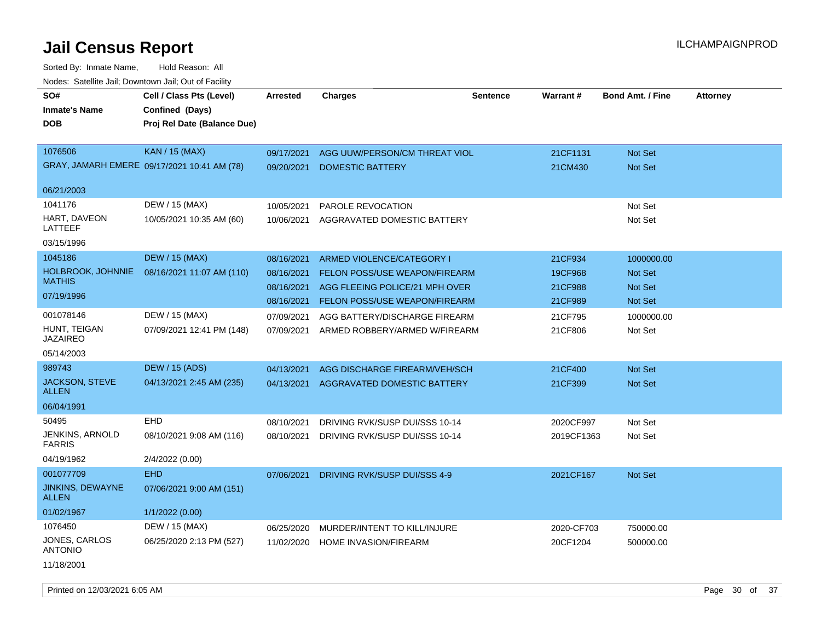| SO#<br><b>Inmate's Name</b><br><b>DOB</b> | Cell / Class Pts (Level)<br>Confined (Days)<br>Proj Rel Date (Balance Due) | Arrested                 | <b>Charges</b>                                           | <b>Sentence</b> | <b>Warrant#</b>     | <b>Bond Amt. / Fine</b>   | <b>Attorney</b> |
|-------------------------------------------|----------------------------------------------------------------------------|--------------------------|----------------------------------------------------------|-----------------|---------------------|---------------------------|-----------------|
| 1076506                                   | <b>KAN / 15 (MAX)</b><br>GRAY, JAMARH EMERE 09/17/2021 10:41 AM (78)       | 09/17/2021<br>09/20/2021 | AGG UUW/PERSON/CM THREAT VIOL<br><b>DOMESTIC BATTERY</b> |                 | 21CF1131<br>21CM430 | <b>Not Set</b><br>Not Set |                 |
| 06/21/2003                                |                                                                            |                          |                                                          |                 |                     |                           |                 |
| 1041176                                   | DEW / 15 (MAX)                                                             | 10/05/2021               | PAROLE REVOCATION                                        |                 |                     | Not Set                   |                 |
| HART, DAVEON<br>LATTEEF                   | 10/05/2021 10:35 AM (60)                                                   | 10/06/2021               | AGGRAVATED DOMESTIC BATTERY                              |                 |                     | Not Set                   |                 |
| 03/15/1996                                |                                                                            |                          |                                                          |                 |                     |                           |                 |
| 1045186                                   | <b>DEW / 15 (MAX)</b>                                                      | 08/16/2021               | ARMED VIOLENCE/CATEGORY I                                |                 | 21CF934             | 1000000.00                |                 |
| HOLBROOK, JOHNNIE                         | 08/16/2021 11:07 AM (110)                                                  | 08/16/2021               | <b>FELON POSS/USE WEAPON/FIREARM</b>                     |                 | 19CF968             | <b>Not Set</b>            |                 |
| <b>MATHIS</b>                             |                                                                            | 08/16/2021               | AGG FLEEING POLICE/21 MPH OVER                           |                 | 21CF988             | <b>Not Set</b>            |                 |
| 07/19/1996                                |                                                                            | 08/16/2021               | <b>FELON POSS/USE WEAPON/FIREARM</b>                     |                 | 21CF989             | Not Set                   |                 |
| 001078146                                 | DEW / 15 (MAX)                                                             | 07/09/2021               | AGG BATTERY/DISCHARGE FIREARM                            |                 | 21CF795             | 1000000.00                |                 |
| HUNT, TEIGAN<br><b>JAZAIREO</b>           | 07/09/2021 12:41 PM (148)                                                  | 07/09/2021               | ARMED ROBBERY/ARMED W/FIREARM                            |                 | 21CF806             | Not Set                   |                 |
| 05/14/2003                                |                                                                            |                          |                                                          |                 |                     |                           |                 |
| 989743                                    | <b>DEW / 15 (ADS)</b>                                                      | 04/13/2021               | AGG DISCHARGE FIREARM/VEH/SCH                            |                 | 21CF400             | <b>Not Set</b>            |                 |
| <b>JACKSON, STEVE</b><br><b>ALLEN</b>     | 04/13/2021 2:45 AM (235)                                                   | 04/13/2021               | AGGRAVATED DOMESTIC BATTERY                              |                 | 21CF399             | Not Set                   |                 |
| 06/04/1991                                |                                                                            |                          |                                                          |                 |                     |                           |                 |
| 50495                                     | <b>EHD</b>                                                                 | 08/10/2021               | DRIVING RVK/SUSP DUI/SSS 10-14                           |                 | 2020CF997           | Not Set                   |                 |
| JENKINS, ARNOLD<br><b>FARRIS</b>          | 08/10/2021 9:08 AM (116)                                                   | 08/10/2021               | DRIVING RVK/SUSP DUI/SSS 10-14                           |                 | 2019CF1363          | Not Set                   |                 |
| 04/19/1962                                | 2/4/2022 (0.00)                                                            |                          |                                                          |                 |                     |                           |                 |
| 001077709                                 | <b>EHD</b>                                                                 | 07/06/2021               | DRIVING RVK/SUSP DUI/SSS 4-9                             |                 | 2021CF167           | Not Set                   |                 |
| JINKINS, DEWAYNE<br><b>ALLEN</b>          | 07/06/2021 9:00 AM (151)                                                   |                          |                                                          |                 |                     |                           |                 |
| 01/02/1967                                | 1/1/2022 (0.00)                                                            |                          |                                                          |                 |                     |                           |                 |
| 1076450                                   | DEW / 15 (MAX)                                                             | 06/25/2020               | MURDER/INTENT TO KILL/INJURE                             |                 | 2020-CF703          | 750000.00                 |                 |
| JONES, CARLOS<br><b>ANTONIO</b>           | 06/25/2020 2:13 PM (527)                                                   | 11/02/2020               | HOME INVASION/FIREARM                                    |                 | 20CF1204            | 500000.00                 |                 |
| 11/18/2001                                |                                                                            |                          |                                                          |                 |                     |                           |                 |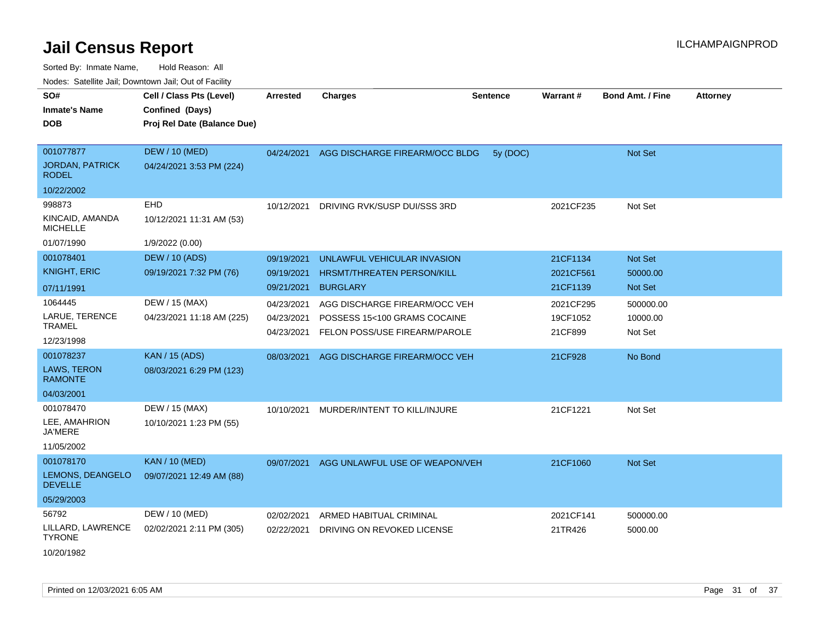| roaco. Odichile Jan, Downtown Jan, Out of Facility       |                                                                            |                                        |                                                                                                |                 |                                  |                                  |                 |
|----------------------------------------------------------|----------------------------------------------------------------------------|----------------------------------------|------------------------------------------------------------------------------------------------|-----------------|----------------------------------|----------------------------------|-----------------|
| SO#<br><b>Inmate's Name</b><br><b>DOB</b>                | Cell / Class Pts (Level)<br>Confined (Days)<br>Proj Rel Date (Balance Due) | Arrested                               | <b>Charges</b>                                                                                 | <b>Sentence</b> | Warrant#                         | <b>Bond Amt. / Fine</b>          | <b>Attorney</b> |
| 001077877<br><b>JORDAN, PATRICK</b><br><b>RODEL</b>      | <b>DEW / 10 (MED)</b><br>04/24/2021 3:53 PM (224)                          |                                        | 04/24/2021 AGG DISCHARGE FIREARM/OCC BLDG                                                      | 5y (DOC)        |                                  | <b>Not Set</b>                   |                 |
| 10/22/2002                                               |                                                                            |                                        |                                                                                                |                 |                                  |                                  |                 |
| 998873<br>KINCAID, AMANDA<br><b>MICHELLE</b>             | <b>EHD</b><br>10/12/2021 11:31 AM (53)                                     | 10/12/2021                             | DRIVING RVK/SUSP DUI/SSS 3RD                                                                   |                 | 2021CF235                        | Not Set                          |                 |
| 01/07/1990                                               | 1/9/2022 (0.00)                                                            |                                        |                                                                                                |                 |                                  |                                  |                 |
| 001078401<br><b>KNIGHT, ERIC</b>                         | <b>DEW / 10 (ADS)</b><br>09/19/2021 7:32 PM (76)                           | 09/19/2021<br>09/19/2021               | UNLAWFUL VEHICULAR INVASION<br><b>HRSMT/THREATEN PERSON/KILL</b>                               |                 | 21CF1134<br>2021CF561            | Not Set<br>50000.00              |                 |
| 07/11/1991                                               |                                                                            | 09/21/2021                             | <b>BURGLARY</b>                                                                                |                 | 21CF1139                         | Not Set                          |                 |
| 1064445<br>LARUE, TERENCE<br><b>TRAMEL</b>               | DEW / 15 (MAX)<br>04/23/2021 11:18 AM (225)                                | 04/23/2021<br>04/23/2021<br>04/23/2021 | AGG DISCHARGE FIREARM/OCC VEH<br>POSSESS 15<100 GRAMS COCAINE<br>FELON POSS/USE FIREARM/PAROLE |                 | 2021CF295<br>19CF1052<br>21CF899 | 500000.00<br>10000.00<br>Not Set |                 |
| 12/23/1998                                               |                                                                            |                                        |                                                                                                |                 |                                  |                                  |                 |
| 001078237<br>LAWS, TERON<br><b>RAMONTE</b><br>04/03/2001 | <b>KAN / 15 (ADS)</b><br>08/03/2021 6:29 PM (123)                          | 08/03/2021                             | AGG DISCHARGE FIREARM/OCC VEH                                                                  |                 | 21CF928                          | No Bond                          |                 |
| 001078470                                                | DEW / 15 (MAX)                                                             | 10/10/2021                             | MURDER/INTENT TO KILL/INJURE                                                                   |                 | 21CF1221                         | Not Set                          |                 |
| LEE, AMAHRION<br><b>JA'MERE</b>                          | 10/10/2021 1:23 PM (55)                                                    |                                        |                                                                                                |                 |                                  |                                  |                 |
| 11/05/2002                                               |                                                                            |                                        |                                                                                                |                 |                                  |                                  |                 |
| 001078170<br>LEMONS, DEANGELO<br><b>DEVELLE</b>          | <b>KAN / 10 (MED)</b><br>09/07/2021 12:49 AM (88)                          | 09/07/2021                             | AGG UNLAWFUL USE OF WEAPON/VEH                                                                 |                 | 21CF1060                         | <b>Not Set</b>                   |                 |
| 05/29/2003                                               |                                                                            |                                        |                                                                                                |                 |                                  |                                  |                 |
| 56792                                                    | DEW / 10 (MED)                                                             | 02/02/2021                             | ARMED HABITUAL CRIMINAL                                                                        |                 | 2021CF141                        | 500000.00                        |                 |
| LILLARD, LAWRENCE<br><b>TYRONE</b><br>10/20/1982         | 02/02/2021 2:11 PM (305)                                                   | 02/22/2021                             | DRIVING ON REVOKED LICENSE                                                                     |                 | 21TR426                          | 5000.00                          |                 |
|                                                          |                                                                            |                                        |                                                                                                |                 |                                  |                                  |                 |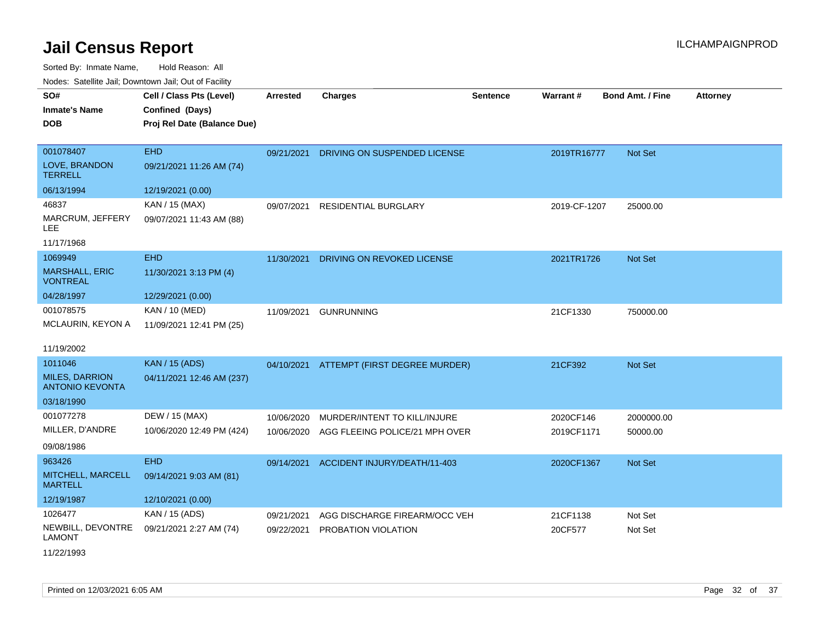Sorted By: Inmate Name, Hold Reason: All Nodes: Satellite Jail; Downtown Jail; Out of Facility

| roucs. Oatchite sail, Downtown sail, Out of Facility |                             |                 |                                          |                 |              |                         |                 |
|------------------------------------------------------|-----------------------------|-----------------|------------------------------------------|-----------------|--------------|-------------------------|-----------------|
| SO#                                                  | Cell / Class Pts (Level)    | <b>Arrested</b> | <b>Charges</b>                           | <b>Sentence</b> | Warrant#     | <b>Bond Amt. / Fine</b> | <b>Attorney</b> |
| <b>Inmate's Name</b>                                 | Confined (Days)             |                 |                                          |                 |              |                         |                 |
| <b>DOB</b>                                           | Proj Rel Date (Balance Due) |                 |                                          |                 |              |                         |                 |
|                                                      |                             |                 |                                          |                 |              |                         |                 |
| 001078407                                            | <b>EHD</b>                  | 09/21/2021      | DRIVING ON SUSPENDED LICENSE             |                 | 2019TR16777  | Not Set                 |                 |
| LOVE, BRANDON<br><b>TERRELL</b>                      | 09/21/2021 11:26 AM (74)    |                 |                                          |                 |              |                         |                 |
| 06/13/1994                                           | 12/19/2021 (0.00)           |                 |                                          |                 |              |                         |                 |
| 46837                                                | KAN / 15 (MAX)              | 09/07/2021      | <b>RESIDENTIAL BURGLARY</b>              |                 | 2019-CF-1207 | 25000.00                |                 |
| MARCRUM, JEFFERY<br>LEE.                             | 09/07/2021 11:43 AM (88)    |                 |                                          |                 |              |                         |                 |
| 11/17/1968                                           |                             |                 |                                          |                 |              |                         |                 |
| 1069949                                              | <b>EHD</b>                  | 11/30/2021      | DRIVING ON REVOKED LICENSE               |                 | 2021TR1726   | <b>Not Set</b>          |                 |
| <b>MARSHALL, ERIC</b><br><b>VONTREAL</b>             | 11/30/2021 3:13 PM (4)      |                 |                                          |                 |              |                         |                 |
| 04/28/1997                                           | 12/29/2021 (0.00)           |                 |                                          |                 |              |                         |                 |
| 001078575                                            | KAN / 10 (MED)              | 11/09/2021      | <b>GUNRUNNING</b>                        |                 | 21CF1330     | 750000.00               |                 |
| MCLAURIN, KEYON A                                    | 11/09/2021 12:41 PM (25)    |                 |                                          |                 |              |                         |                 |
|                                                      |                             |                 |                                          |                 |              |                         |                 |
| 11/19/2002                                           |                             |                 |                                          |                 |              |                         |                 |
| 1011046                                              | <b>KAN / 15 (ADS)</b>       |                 | 04/10/2021 ATTEMPT (FIRST DEGREE MURDER) |                 | 21CF392      | <b>Not Set</b>          |                 |
| <b>MILES, DARRION</b><br><b>ANTONIO KEVONTA</b>      | 04/11/2021 12:46 AM (237)   |                 |                                          |                 |              |                         |                 |
| 03/18/1990                                           |                             |                 |                                          |                 |              |                         |                 |
| 001077278                                            | DEW / 15 (MAX)              | 10/06/2020      | MURDER/INTENT TO KILL/INJURE             |                 | 2020CF146    | 2000000.00              |                 |
| MILLER, D'ANDRE                                      | 10/06/2020 12:49 PM (424)   | 10/06/2020      | AGG FLEEING POLICE/21 MPH OVER           |                 | 2019CF1171   | 50000.00                |                 |
| 09/08/1986                                           |                             |                 |                                          |                 |              |                         |                 |
| 963426                                               | <b>EHD</b>                  | 09/14/2021      | ACCIDENT INJURY/DEATH/11-403             |                 | 2020CF1367   | <b>Not Set</b>          |                 |
| MITCHELL, MARCELL<br><b>MARTELL</b>                  | 09/14/2021 9:03 AM (81)     |                 |                                          |                 |              |                         |                 |
| 12/19/1987                                           | 12/10/2021 (0.00)           |                 |                                          |                 |              |                         |                 |
| 1026477                                              | KAN / 15 (ADS)              | 09/21/2021      | AGG DISCHARGE FIREARM/OCC VEH            |                 | 21CF1138     | Not Set                 |                 |
| NEWBILL, DEVONTRE<br>LAMONT                          | 09/21/2021 2:27 AM (74)     | 09/22/2021      | PROBATION VIOLATION                      |                 | 20CF577      | Not Set                 |                 |

11/22/1993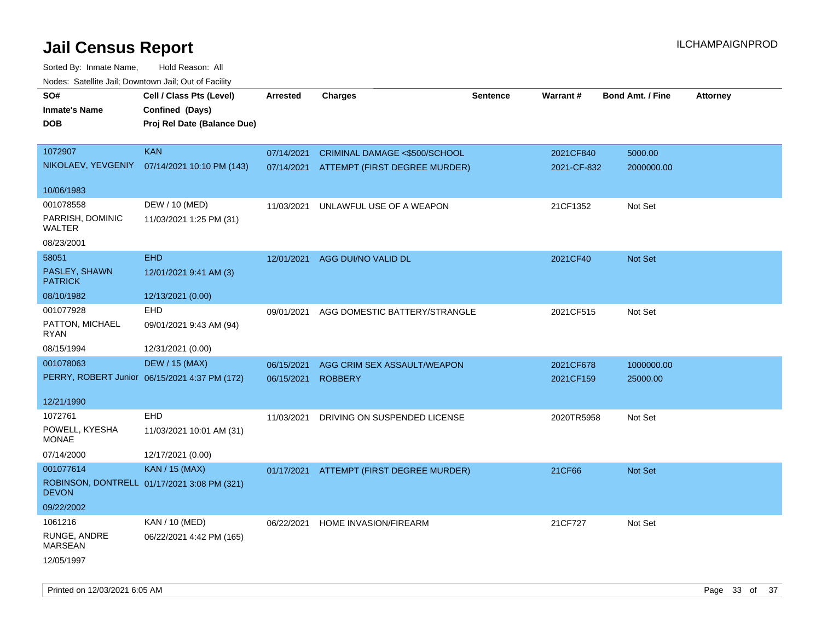| rouce. Calcinic Jan, Downtown Jan, Out or Facility    |                                                                            |                 |                                                                           |                 |                          |                         |                 |
|-------------------------------------------------------|----------------------------------------------------------------------------|-----------------|---------------------------------------------------------------------------|-----------------|--------------------------|-------------------------|-----------------|
| SO#<br><b>Inmate's Name</b><br>DOB                    | Cell / Class Pts (Level)<br>Confined (Days)<br>Proj Rel Date (Balance Due) | <b>Arrested</b> | <b>Charges</b>                                                            | <b>Sentence</b> | Warrant#                 | <b>Bond Amt. / Fine</b> | <b>Attorney</b> |
| 1072907<br>NIKOLAEV, YEVGENIY                         | <b>KAN</b><br>07/14/2021 10:10 PM (143)                                    | 07/14/2021      | CRIMINAL DAMAGE <\$500/SCHOOL<br>07/14/2021 ATTEMPT (FIRST DEGREE MURDER) |                 | 2021CF840<br>2021-CF-832 | 5000.00<br>2000000.00   |                 |
| 10/06/1983                                            |                                                                            |                 |                                                                           |                 |                          |                         |                 |
| 001078558<br>PARRISH, DOMINIC<br>WALTER<br>08/23/2001 | DEW / 10 (MED)<br>11/03/2021 1:25 PM (31)                                  | 11/03/2021      | UNLAWFUL USE OF A WEAPON                                                  |                 | 21CF1352                 | Not Set                 |                 |
| 58051<br>PASLEY, SHAWN<br><b>PATRICK</b>              | <b>EHD</b><br>12/01/2021 9:41 AM (3)                                       | 12/01/2021      | AGG DUI/NO VALID DL                                                       |                 | 2021CF40                 | Not Set                 |                 |
| 08/10/1982                                            | 12/13/2021 (0.00)                                                          |                 |                                                                           |                 |                          |                         |                 |
| 001077928<br>PATTON, MICHAEL<br>RYAN                  | EHD<br>09/01/2021 9:43 AM (94)                                             | 09/01/2021      | AGG DOMESTIC BATTERY/STRANGLE                                             |                 | 2021CF515                | Not Set                 |                 |
| 08/15/1994                                            | 12/31/2021 (0.00)                                                          |                 |                                                                           |                 |                          |                         |                 |
| 001078063                                             | <b>DEW / 15 (MAX)</b>                                                      | 06/15/2021      | AGG CRIM SEX ASSAULT/WEAPON                                               |                 | 2021CF678                | 1000000.00              |                 |
|                                                       | PERRY, ROBERT Junior 06/15/2021 4:37 PM (172)                              | 06/15/2021      | <b>ROBBERY</b>                                                            |                 | 2021CF159                | 25000.00                |                 |
| 12/21/1990                                            |                                                                            |                 |                                                                           |                 |                          |                         |                 |
| 1072761                                               | EHD                                                                        | 11/03/2021      | DRIVING ON SUSPENDED LICENSE                                              |                 | 2020TR5958               | Not Set                 |                 |
| POWELL, KYESHA<br><b>MONAE</b>                        | 11/03/2021 10:01 AM (31)                                                   |                 |                                                                           |                 |                          |                         |                 |
| 07/14/2000                                            | 12/17/2021 (0.00)                                                          |                 |                                                                           |                 |                          |                         |                 |
| 001077614<br><b>DEVON</b>                             | KAN / 15 (MAX)<br>ROBINSON, DONTRELL 01/17/2021 3:08 PM (321)              |                 | 01/17/2021 ATTEMPT (FIRST DEGREE MURDER)                                  |                 | 21CF66                   | Not Set                 |                 |
| 09/22/2002                                            |                                                                            |                 |                                                                           |                 |                          |                         |                 |
| 1061216                                               | KAN / 10 (MED)                                                             | 06/22/2021      | HOME INVASION/FIREARM                                                     |                 | 21CF727                  | Not Set                 |                 |
| RUNGE, ANDRE<br>MARSEAN                               | 06/22/2021 4:42 PM (165)                                                   |                 |                                                                           |                 |                          |                         |                 |
| 12/05/1997                                            |                                                                            |                 |                                                                           |                 |                          |                         |                 |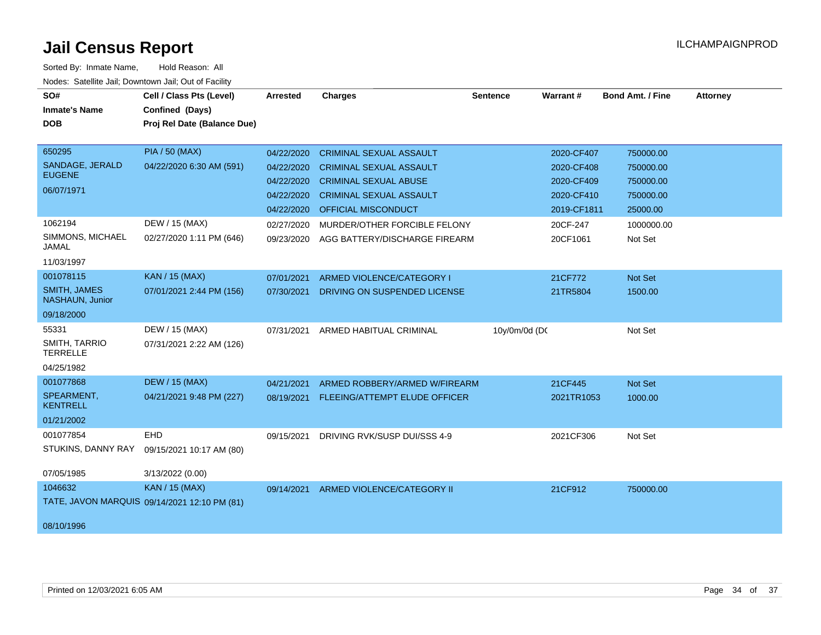| SO#<br><b>Inmate's Name</b><br><b>DOB</b>                                               | Cell / Class Pts (Level)<br>Confined (Days)<br>Proj Rel Date (Balance Due)                      | <b>Arrested</b>                                                                                | <b>Charges</b>                                                                                                                                                                                                                    | <b>Sentence</b> | Warrant#                                                                                    | <b>Bond Amt. / Fine</b>                                                               | <b>Attorney</b> |
|-----------------------------------------------------------------------------------------|-------------------------------------------------------------------------------------------------|------------------------------------------------------------------------------------------------|-----------------------------------------------------------------------------------------------------------------------------------------------------------------------------------------------------------------------------------|-----------------|---------------------------------------------------------------------------------------------|---------------------------------------------------------------------------------------|-----------------|
| 650295<br>SANDAGE, JERALD<br><b>EUGENE</b><br>06/07/1971<br>1062194<br>SIMMONS, MICHAEL | <b>PIA / 50 (MAX)</b><br>04/22/2020 6:30 AM (591)<br>DEW / 15 (MAX)<br>02/27/2020 1:11 PM (646) | 04/22/2020<br>04/22/2020<br>04/22/2020<br>04/22/2020<br>04/22/2020<br>02/27/2020<br>09/23/2020 | <b>CRIMINAL SEXUAL ASSAULT</b><br><b>CRIMINAL SEXUAL ASSAULT</b><br><b>CRIMINAL SEXUAL ABUSE</b><br><b>CRIMINAL SEXUAL ASSAULT</b><br><b>OFFICIAL MISCONDUCT</b><br>MURDER/OTHER FORCIBLE FELONY<br>AGG BATTERY/DISCHARGE FIREARM |                 | 2020-CF407<br>2020-CF408<br>2020-CF409<br>2020-CF410<br>2019-CF1811<br>20CF-247<br>20CF1061 | 750000.00<br>750000.00<br>750000.00<br>750000.00<br>25000.00<br>1000000.00<br>Not Set |                 |
| JAMAL<br>11/03/1997                                                                     |                                                                                                 |                                                                                                |                                                                                                                                                                                                                                   |                 |                                                                                             |                                                                                       |                 |
| 001078115<br><b>SMITH, JAMES</b><br>NASHAUN, Junior<br>09/18/2000                       | KAN / 15 (MAX)<br>07/01/2021 2:44 PM (156)                                                      | 07/01/2021<br>07/30/2021                                                                       | ARMED VIOLENCE/CATEGORY I<br>DRIVING ON SUSPENDED LICENSE                                                                                                                                                                         |                 | 21CF772<br>21TR5804                                                                         | Not Set<br>1500.00                                                                    |                 |
| 55331<br>SMITH, TARRIO<br><b>TERRELLE</b><br>04/25/1982                                 | DEW / 15 (MAX)<br>07/31/2021 2:22 AM (126)                                                      | 07/31/2021                                                                                     | ARMED HABITUAL CRIMINAL                                                                                                                                                                                                           | 10y/0m/0d (DC   |                                                                                             | Not Set                                                                               |                 |
| 001077868<br>SPEARMENT,<br><b>KENTRELL</b><br>01/21/2002                                | <b>DEW / 15 (MAX)</b><br>04/21/2021 9:48 PM (227)                                               | 04/21/2021                                                                                     | ARMED ROBBERY/ARMED W/FIREARM<br>08/19/2021 FLEEING/ATTEMPT ELUDE OFFICER                                                                                                                                                         |                 | 21CF445<br>2021TR1053                                                                       | <b>Not Set</b><br>1000.00                                                             |                 |
| 001077854<br>STUKINS, DANNY RAY<br>07/05/1985                                           | EHD<br>09/15/2021 10:17 AM (80)<br>3/13/2022 (0.00)                                             | 09/15/2021                                                                                     | DRIVING RVK/SUSP DUI/SSS 4-9                                                                                                                                                                                                      |                 | 2021CF306                                                                                   | Not Set                                                                               |                 |
| 1046632<br>08/10/1996                                                                   | <b>KAN / 15 (MAX)</b><br>TATE, JAVON MARQUIS 09/14/2021 12:10 PM (81)                           | 09/14/2021                                                                                     | ARMED VIOLENCE/CATEGORY II                                                                                                                                                                                                        |                 | 21CF912                                                                                     | 750000.00                                                                             |                 |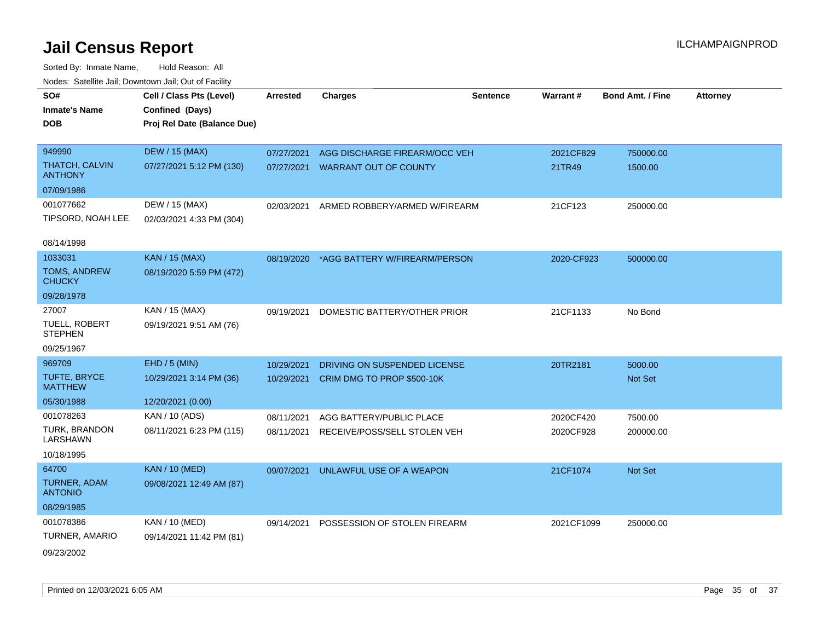| SO#                              | Cell / Class Pts (Level)    | <b>Arrested</b> | <b>Charges</b>                | <b>Sentence</b> | Warrant#   | <b>Bond Amt. / Fine</b> | <b>Attorney</b> |
|----------------------------------|-----------------------------|-----------------|-------------------------------|-----------------|------------|-------------------------|-----------------|
| <b>Inmate's Name</b>             | Confined (Days)             |                 |                               |                 |            |                         |                 |
| <b>DOB</b>                       | Proj Rel Date (Balance Due) |                 |                               |                 |            |                         |                 |
|                                  |                             |                 |                               |                 |            |                         |                 |
| 949990                           | <b>DEW / 15 (MAX)</b>       | 07/27/2021      | AGG DISCHARGE FIREARM/OCC VEH |                 | 2021CF829  | 750000.00               |                 |
| THATCH, CALVIN<br><b>ANTHONY</b> | 07/27/2021 5:12 PM (130)    | 07/27/2021      | <b>WARRANT OUT OF COUNTY</b>  |                 | 21TR49     | 1500.00                 |                 |
| 07/09/1986                       |                             |                 |                               |                 |            |                         |                 |
| 001077662                        | DEW / 15 (MAX)              | 02/03/2021      | ARMED ROBBERY/ARMED W/FIREARM |                 | 21CF123    | 250000.00               |                 |
| TIPSORD, NOAH LEE                | 02/03/2021 4:33 PM (304)    |                 |                               |                 |            |                         |                 |
| 08/14/1998                       |                             |                 |                               |                 |            |                         |                 |
| 1033031                          | KAN / 15 (MAX)              |                 |                               |                 |            |                         |                 |
| TOMS, ANDREW                     |                             | 08/19/2020      | *AGG BATTERY W/FIREARM/PERSON |                 | 2020-CF923 | 500000.00               |                 |
| <b>CHUCKY</b>                    | 08/19/2020 5:59 PM (472)    |                 |                               |                 |            |                         |                 |
| 09/28/1978                       |                             |                 |                               |                 |            |                         |                 |
| 27007                            | KAN / 15 (MAX)              | 09/19/2021      | DOMESTIC BATTERY/OTHER PRIOR  |                 | 21CF1133   | No Bond                 |                 |
| TUELL, ROBERT<br><b>STEPHEN</b>  | 09/19/2021 9:51 AM (76)     |                 |                               |                 |            |                         |                 |
| 09/25/1967                       |                             |                 |                               |                 |            |                         |                 |
| 969709                           | EHD / 5 (MIN)               | 10/29/2021      | DRIVING ON SUSPENDED LICENSE  |                 | 20TR2181   | 5000.00                 |                 |
| TUFTE, BRYCE<br><b>MATTHEW</b>   | 10/29/2021 3:14 PM (36)     | 10/29/2021      | CRIM DMG TO PROP \$500-10K    |                 |            | Not Set                 |                 |
| 05/30/1988                       | 12/20/2021 (0.00)           |                 |                               |                 |            |                         |                 |
| 001078263                        | KAN / 10 (ADS)              | 08/11/2021      | AGG BATTERY/PUBLIC PLACE      |                 | 2020CF420  | 7500.00                 |                 |
| TURK, BRANDON<br><b>LARSHAWN</b> | 08/11/2021 6:23 PM (115)    | 08/11/2021      | RECEIVE/POSS/SELL STOLEN VEH  |                 | 2020CF928  | 200000.00               |                 |
| 10/18/1995                       |                             |                 |                               |                 |            |                         |                 |
| 64700                            | <b>KAN / 10 (MED)</b>       | 09/07/2021      | UNLAWFUL USE OF A WEAPON      |                 | 21CF1074   | Not Set                 |                 |
| TURNER, ADAM<br><b>ANTONIO</b>   | 09/08/2021 12:49 AM (87)    |                 |                               |                 |            |                         |                 |
| 08/29/1985                       |                             |                 |                               |                 |            |                         |                 |
| 001078386                        | KAN / 10 (MED)              | 09/14/2021      | POSSESSION OF STOLEN FIREARM  |                 | 2021CF1099 | 250000.00               |                 |
| TURNER, AMARIO                   | 09/14/2021 11:42 PM (81)    |                 |                               |                 |            |                         |                 |
| 09/23/2002                       |                             |                 |                               |                 |            |                         |                 |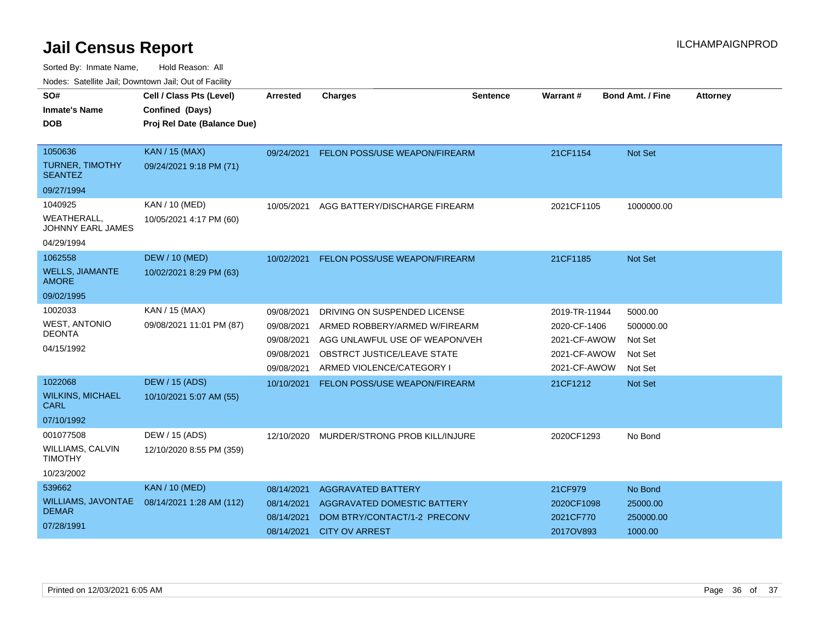| Noucs. Catchitic sail, Downtown sail, Out of Facility |                             |                 |                                    |                 |                 |                         |                 |
|-------------------------------------------------------|-----------------------------|-----------------|------------------------------------|-----------------|-----------------|-------------------------|-----------------|
| SO#                                                   | Cell / Class Pts (Level)    | <b>Arrested</b> | <b>Charges</b>                     | <b>Sentence</b> | <b>Warrant#</b> | <b>Bond Amt. / Fine</b> | <b>Attorney</b> |
| <b>Inmate's Name</b>                                  | Confined (Days)             |                 |                                    |                 |                 |                         |                 |
| <b>DOB</b>                                            | Proj Rel Date (Balance Due) |                 |                                    |                 |                 |                         |                 |
|                                                       |                             |                 |                                    |                 |                 |                         |                 |
| 1050636                                               | <b>KAN / 15 (MAX)</b>       | 09/24/2021      | FELON POSS/USE WEAPON/FIREARM      |                 | 21CF1154        | <b>Not Set</b>          |                 |
| <b>TURNER, TIMOTHY</b><br><b>SEANTEZ</b>              | 09/24/2021 9:18 PM (71)     |                 |                                    |                 |                 |                         |                 |
| 09/27/1994                                            |                             |                 |                                    |                 |                 |                         |                 |
| 1040925                                               | KAN / 10 (MED)              | 10/05/2021      | AGG BATTERY/DISCHARGE FIREARM      |                 | 2021CF1105      | 1000000.00              |                 |
| WEATHERALL,<br>JOHNNY EARL JAMES                      | 10/05/2021 4:17 PM (60)     |                 |                                    |                 |                 |                         |                 |
| 04/29/1994                                            |                             |                 |                                    |                 |                 |                         |                 |
| 1062558                                               | <b>DEW / 10 (MED)</b>       | 10/02/2021      | FELON POSS/USE WEAPON/FIREARM      |                 | 21CF1185        | Not Set                 |                 |
| <b>WELLS, JIAMANTE</b><br><b>AMORE</b>                | 10/02/2021 8:29 PM (63)     |                 |                                    |                 |                 |                         |                 |
| 09/02/1995                                            |                             |                 |                                    |                 |                 |                         |                 |
| 1002033                                               | KAN / 15 (MAX)              | 09/08/2021      | DRIVING ON SUSPENDED LICENSE       |                 | 2019-TR-11944   | 5000.00                 |                 |
| <b>WEST, ANTONIO</b>                                  | 09/08/2021 11:01 PM (87)    | 09/08/2021      | ARMED ROBBERY/ARMED W/FIREARM      |                 | 2020-CF-1406    | 500000.00               |                 |
| DEONTA                                                |                             | 09/08/2021      | AGG UNLAWFUL USE OF WEAPON/VEH     |                 | 2021-CF-AWOW    | Not Set                 |                 |
| 04/15/1992                                            |                             | 09/08/2021      | <b>OBSTRCT JUSTICE/LEAVE STATE</b> |                 | 2021-CF-AWOW    | Not Set                 |                 |
|                                                       |                             | 09/08/2021      | ARMED VIOLENCE/CATEGORY I          |                 | 2021-CF-AWOW    | Not Set                 |                 |
| 1022068                                               | <b>DEW / 15 (ADS)</b>       | 10/10/2021      | FELON POSS/USE WEAPON/FIREARM      |                 | 21CF1212        | <b>Not Set</b>          |                 |
| <b>WILKINS, MICHAEL</b><br>CARL                       | 10/10/2021 5:07 AM (55)     |                 |                                    |                 |                 |                         |                 |
| 07/10/1992                                            |                             |                 |                                    |                 |                 |                         |                 |
| 001077508                                             | DEW / 15 (ADS)              | 12/10/2020      | MURDER/STRONG PROB KILL/INJURE     |                 | 2020CF1293      | No Bond                 |                 |
| <b>WILLIAMS, CALVIN</b><br><b>TIMOTHY</b>             | 12/10/2020 8:55 PM (359)    |                 |                                    |                 |                 |                         |                 |
| 10/23/2002                                            |                             |                 |                                    |                 |                 |                         |                 |
| 539662                                                | <b>KAN / 10 (MED)</b>       | 08/14/2021      | <b>AGGRAVATED BATTERY</b>          |                 | 21CF979         | No Bond                 |                 |
| <b>WILLIAMS, JAVONTAE</b>                             | 08/14/2021 1:28 AM (112)    | 08/14/2021      | AGGRAVATED DOMESTIC BATTERY        |                 | 2020CF1098      | 25000.00                |                 |
| <b>DEMAR</b>                                          |                             | 08/14/2021      | DOM BTRY/CONTACT/1-2 PRECONV       |                 | 2021CF770       | 250000.00               |                 |
| 07/28/1991                                            |                             | 08/14/2021      | <b>CITY OV ARREST</b>              |                 | 2017OV893       | 1000.00                 |                 |